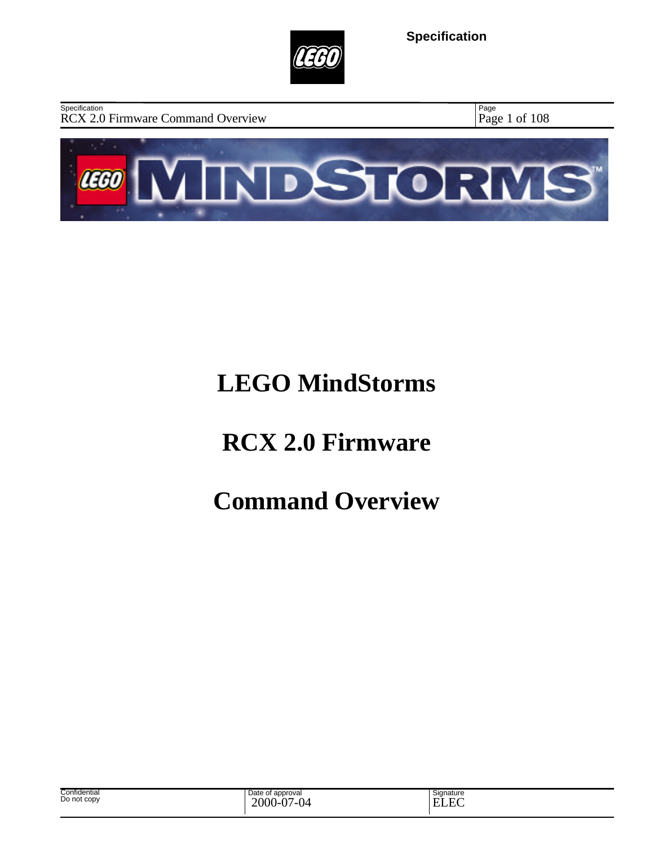

RCX 2.0 Firmware Command Overview Page 1 of 108 **Specification** 

Page



# **LEGO MindStorms**

# **RCX 2.0 Firmware**

# **Command Overview**

| Confidential<br>Do not copy | Date of approval<br>2000-<br>$\sim$<br>$\sim$<br>$\cdot$<br>$\cdot$ | Signature<br>$\sim$ $\sim$<br><b>н</b><br>- |  |
|-----------------------------|---------------------------------------------------------------------|---------------------------------------------|--|
|-----------------------------|---------------------------------------------------------------------|---------------------------------------------|--|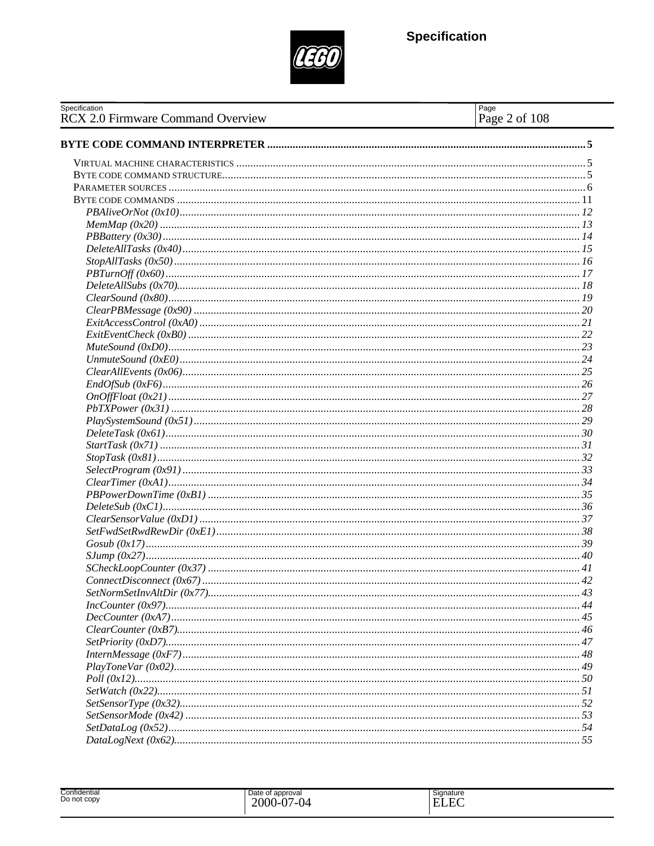

| Specification<br>RCX 2.0 Firmware Command Overview | Page<br>Page 2 of 108 |
|----------------------------------------------------|-----------------------|
|                                                    |                       |
|                                                    |                       |
|                                                    |                       |
|                                                    |                       |
|                                                    |                       |
|                                                    |                       |
|                                                    |                       |
|                                                    |                       |
|                                                    |                       |
|                                                    |                       |
|                                                    |                       |
|                                                    |                       |
|                                                    |                       |
|                                                    |                       |
|                                                    |                       |
|                                                    |                       |
|                                                    |                       |
|                                                    |                       |
|                                                    |                       |
|                                                    |                       |
|                                                    |                       |
|                                                    |                       |
|                                                    |                       |
|                                                    |                       |
|                                                    |                       |
|                                                    |                       |
|                                                    |                       |
|                                                    |                       |
|                                                    |                       |
|                                                    |                       |
|                                                    |                       |
|                                                    |                       |
|                                                    |                       |
|                                                    |                       |
|                                                    |                       |
|                                                    |                       |
|                                                    |                       |
|                                                    |                       |
|                                                    |                       |
|                                                    |                       |
|                                                    |                       |
|                                                    |                       |
|                                                    |                       |
|                                                    |                       |
|                                                    |                       |
|                                                    |                       |
|                                                    |                       |
|                                                    |                       |
|                                                    |                       |

| Confidential<br>-<br>Do not copy | Date of approval<br>$\Delta$<br>2000<br>7-04<br>.<br>$\cdot$ | ~<br>Signature<br>$\sim$<br>н<br>-<br>$-$ |
|----------------------------------|--------------------------------------------------------------|-------------------------------------------|
|----------------------------------|--------------------------------------------------------------|-------------------------------------------|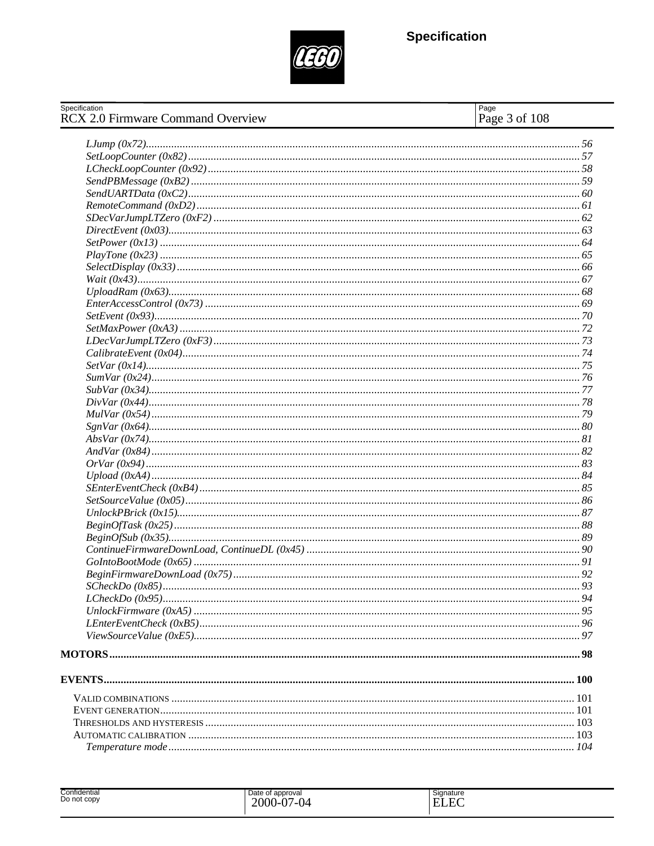

| Specification<br><b>RCX 2.0 Firmware Command Overview</b> | Page<br>Page 3 of 108 |
|-----------------------------------------------------------|-----------------------|
|                                                           |                       |
|                                                           |                       |
|                                                           |                       |
|                                                           |                       |
|                                                           |                       |
|                                                           |                       |
|                                                           |                       |
|                                                           |                       |
|                                                           |                       |
|                                                           |                       |
|                                                           |                       |
|                                                           |                       |
|                                                           |                       |
|                                                           |                       |
|                                                           |                       |
|                                                           |                       |
|                                                           |                       |
|                                                           |                       |
|                                                           |                       |
|                                                           |                       |
|                                                           |                       |
|                                                           |                       |
|                                                           |                       |
|                                                           |                       |
|                                                           |                       |
|                                                           |                       |
|                                                           |                       |
|                                                           |                       |
|                                                           |                       |
|                                                           |                       |
|                                                           |                       |
|                                                           |                       |
|                                                           |                       |
|                                                           |                       |
|                                                           |                       |
|                                                           |                       |
|                                                           |                       |
|                                                           |                       |
|                                                           |                       |
|                                                           |                       |
|                                                           |                       |
|                                                           |                       |
|                                                           |                       |
|                                                           |                       |
|                                                           |                       |
|                                                           |                       |
|                                                           |                       |
|                                                           |                       |
|                                                           |                       |
|                                                           |                       |

| Confidential<br>Do not copy | Date of approval<br>2000<br>$J-07$<br>/_∩∠<br>$\mathbf{U}^-$ | Signature<br>$\Gamma$<br><b>TIT</b><br>н<br>-<br>LLL |
|-----------------------------|--------------------------------------------------------------|------------------------------------------------------|
|-----------------------------|--------------------------------------------------------------|------------------------------------------------------|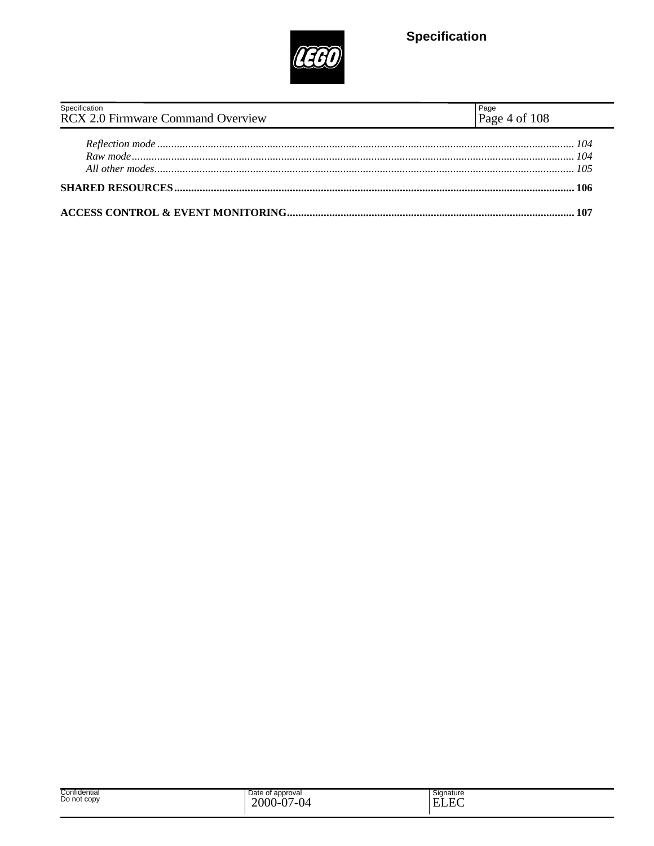

| Specification                            |                         |
|------------------------------------------|-------------------------|
| <b>RCX 2.0 Firmware Command Overview</b> | Page<br>Page 4 of $108$ |
|                                          |                         |
|                                          |                         |
|                                          |                         |
|                                          |                         |
|                                          |                         |
|                                          |                         |
|                                          |                         |

| Confidential<br>Do not copy | Date of approval<br>2000-<br>$\Delta$<br>$\sim$<br>/_( )⊿<br>$\mathbf v$<br>ິ | Signature<br>$\sim$<br>T.<br>–<br>- 177<br>н.<br>. .<br>◡▴▴ |  |
|-----------------------------|-------------------------------------------------------------------------------|-------------------------------------------------------------|--|
|-----------------------------|-------------------------------------------------------------------------------|-------------------------------------------------------------|--|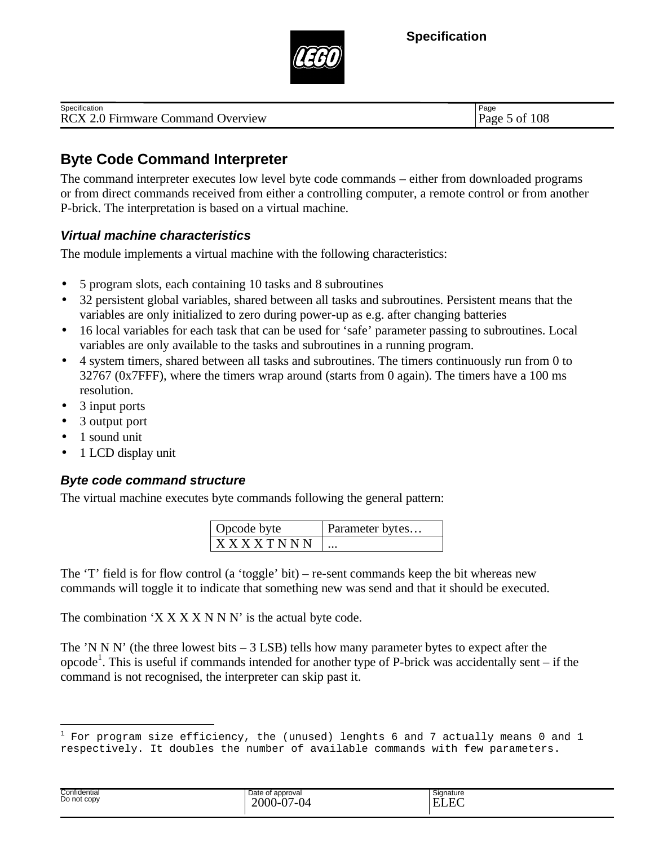

| Specification                            | Page                  |
|------------------------------------------|-----------------------|
| <b>RCX 2.0 Firmware Command Overview</b> | f 108<br>Page<br>o ot |

## **Byte Code Command Interpreter**

The command interpreter executes low level byte code commands – either from downloaded programs or from direct commands received from either a controlling computer, a remote control or from another P-brick. The interpretation is based on a virtual machine.

#### *Virtual machine characteristics*

The module implements a virtual machine with the following characteristics:

- 5 program slots, each containing 10 tasks and 8 subroutines
- 32 persistent global variables, shared between all tasks and subroutines. Persistent means that the variables are only initialized to zero during power-up as e.g. after changing batteries
- 16 local variables for each task that can be used for 'safe' parameter passing to subroutines. Local variables are only available to the tasks and subroutines in a running program.
- 4 system timers, shared between all tasks and subroutines. The timers continuously run from 0 to 32767 (0x7FFF), where the timers wrap around (starts from 0 again). The timers have a 100 ms resolution.
- 3 input ports
- 3 output port
- 1 sound unit

i<br>Li

• 1 LCD display unit

#### *Byte code command structure*

The virtual machine executes byte commands following the general pattern:

| Opcode byte     | Parameter bytes |
|-----------------|-----------------|
| <b>XXXXTNNN</b> | $\ddotsc$       |

The 'T' field is for flow control (a 'toggle' bit) – re-sent commands keep the bit whereas new commands will toggle it to indicate that something new was send and that it should be executed.

The combination  $'X$   $X$   $X$   $X$   $N$   $N$   $N'$  is the actual byte code.

The 'N N N' (the three lowest bits  $-3$  LSB) tells how many parameter bytes to expect after the opcode<sup>1</sup>. This is useful if commands intended for another type of P-brick was accidentally sent – if the command is not recognised, the interpreter can skip past it.

| Confidential<br>Do not copy | Date of approval<br>$7 - 04$<br>$\sim$<br>2000<br>. | Signature<br>$\mathbf{r}$<br>н1<br>н |  |
|-----------------------------|-----------------------------------------------------|--------------------------------------|--|
|-----------------------------|-----------------------------------------------------|--------------------------------------|--|

 $^1$  For program size efficiency, the (unused) lenghts 6 and 7 actually means 0 and 1 respectively. It doubles the number of available commands with few parameters.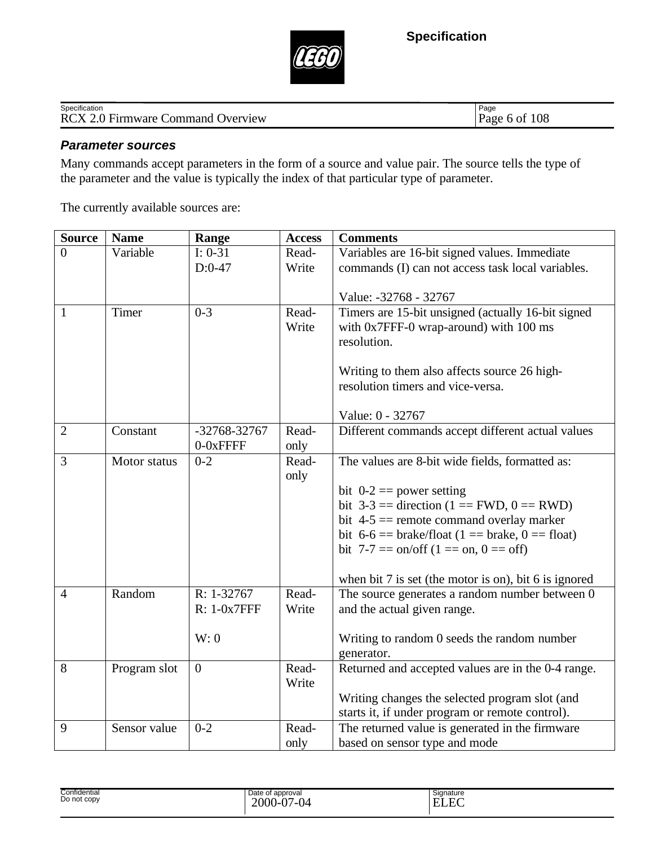

| Specification                            | Page               |
|------------------------------------------|--------------------|
| <b>RCX 2.0 Firmware Command Overview</b> | f 108<br>Page 6 of |

#### *Parameter sources*

Many commands accept parameters in the form of a source and value pair. The source tells the type of the parameter and the value is typically the index of that particular type of parameter.

The currently available sources are:

| <b>Source</b>  | <b>Name</b>  | Range          | <b>Access</b> | <b>Comments</b>                                                  |
|----------------|--------------|----------------|---------------|------------------------------------------------------------------|
| $\Omega$       | Variable     | $I: 0-31$      | Read-         | Variables are 16-bit signed values. Immediate                    |
|                |              | $D:0-47$       | Write         | commands (I) can not access task local variables.                |
|                |              |                |               |                                                                  |
|                |              |                |               | Value: -32768 - 32767                                            |
| $\overline{1}$ | Timer        | $0 - 3$        | Read-         | Timers are 15-bit unsigned (actually 16-bit signed               |
|                |              |                | Write         | with 0x7FFF-0 wrap-around) with 100 ms                           |
|                |              |                |               | resolution.                                                      |
|                |              |                |               | Writing to them also affects source 26 high-                     |
|                |              |                |               | resolution timers and vice-versa.                                |
|                |              |                |               |                                                                  |
|                |              |                |               | Value: 0 - 32767                                                 |
| $\overline{2}$ | Constant     | -32768-32767   | Read-         | Different commands accept different actual values                |
|                |              | $0-0x$ FFFF    | only          |                                                                  |
| $\overline{3}$ | Motor status | $0 - 2$        | Read-         | The values are 8-bit wide fields, formatted as:                  |
|                |              |                | only          |                                                                  |
|                |              |                |               | bit $0-2 == power$ setting                                       |
|                |              |                |               | bit $3-3$ = direction (1 = FWD, 0 = RWD)                         |
|                |              |                |               | bit $4-5 ==$ remote command overlay marker                       |
|                |              |                |               | bit $6-6 ==$ brake/float $(1 ==$ brake, $0 ==$ float)            |
|                |              |                |               | bit 7-7 = $\alpha$ on/off (1 = $\alpha$ , 0 = $\alpha$ )         |
|                |              |                |               | when bit 7 is set (the motor is on), bit 6 is ignored            |
| $\overline{4}$ | Random       | $R: 1-32767$   | Read-         | The source generates a random number between 0                   |
|                |              | R: 1-0x7FFF    | Write         | and the actual given range.                                      |
|                |              |                |               |                                                                  |
|                |              | W: 0           |               | Writing to random 0 seeds the random number                      |
| 8              |              | $\overline{0}$ | Read-         | generator.<br>Returned and accepted values are in the 0-4 range. |
|                | Program slot |                | Write         |                                                                  |
|                |              |                |               | Writing changes the selected program slot (and                   |
|                |              |                |               | starts it, if under program or remote control).                  |
| 9              | Sensor value | $0 - 2$        | Read-         | The returned value is generated in the firmware                  |
|                |              |                | only          | based on sensor type and mode                                    |

| Confidential<br>Do not copy | approval<br>Date of<br>$\sim$<br>2000-<br>∼<br>$\mathbf{U}$<br>$\mathbf{v}$ | <b>.</b><br>Signature<br>$\sim$<br>-<br>u bili |  |
|-----------------------------|-----------------------------------------------------------------------------|------------------------------------------------|--|
|-----------------------------|-----------------------------------------------------------------------------|------------------------------------------------|--|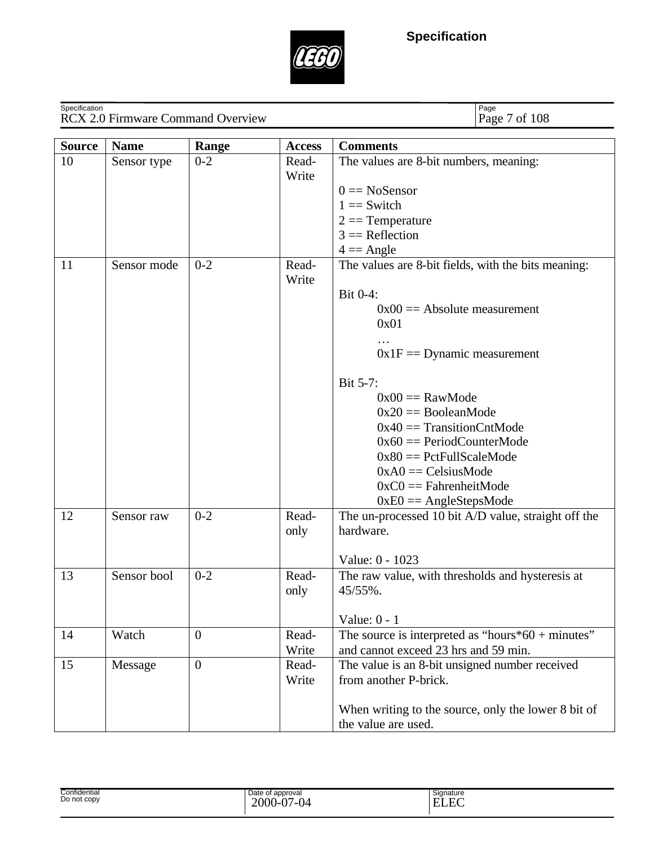

| Specification | <b>RCX 2.0 Firmware Command Overview</b> |              |                | Page<br>Page 7 of 108                                                                                                                                                                                                                                                                                                                                                           |
|---------------|------------------------------------------|--------------|----------------|---------------------------------------------------------------------------------------------------------------------------------------------------------------------------------------------------------------------------------------------------------------------------------------------------------------------------------------------------------------------------------|
| <b>Source</b> | <b>Name</b>                              | Range        | <b>Access</b>  | <b>Comments</b>                                                                                                                                                                                                                                                                                                                                                                 |
| 10            | Sensor type                              | $0 - 2$      | Read-<br>Write | The values are 8-bit numbers, meaning:<br>$0 = NoSensor$<br>$1 ==$ Switch<br>$2 ==$ Temperature<br>$3 =$ Reflection<br>$4 = \text{Angle}$                                                                                                                                                                                                                                       |
| 11            | Sensor mode                              | $0 - 2$      | Read-<br>Write | The values are 8-bit fields, with the bits meaning:<br>Bit 0-4:<br>$0x00 ==$ Absolute measurement<br>0x01<br>$0x1F =$ Dynamic measurement<br>Bit 5-7:<br>$0x00 == RawMode$<br>$0x20 == BooleanMode$<br>$0x40 ==$ TransitionCntMode<br>$0x60 == PeriodCounterMode$<br>$0x80 == PetFullScaleMode$<br>$0xA0 = CelsiusMode$<br>$0xC0 == FahrenheitMode$<br>$0xE0 == AngleStepsMode$ |
| 12            | Sensor raw                               | $0 - 2$      | Read-<br>only  | The un-processed 10 bit A/D value, straight off the<br>hardware.<br>Value: 0 - 1023                                                                                                                                                                                                                                                                                             |
| 13            | Sensor bool                              | $0 - 2$      | Read-<br>only  | The raw value, with thresholds and hysteresis at<br>45/55%.<br>Value: $0 - 1$                                                                                                                                                                                                                                                                                                   |
| 14            | Watch                                    | $\mathbf{0}$ | Read-<br>Write | The source is interpreted as "hours $*60 +$ minutes"<br>and cannot exceed 23 hrs and 59 min.                                                                                                                                                                                                                                                                                    |
| 15            | Message                                  | $\mathbf{0}$ | Read-<br>Write | The value is an 8-bit unsigned number received<br>from another P-brick.<br>When writing to the source, only the lower 8 bit of<br>the value are used.                                                                                                                                                                                                                           |

| Confidential<br>Do not copy | Date of approval<br>2000<br>n7<br>7-04<br>. 1-U. | Signature<br>$\Gamma$<br>mт<br>⊟ ELE⊂ |
|-----------------------------|--------------------------------------------------|---------------------------------------|
|-----------------------------|--------------------------------------------------|---------------------------------------|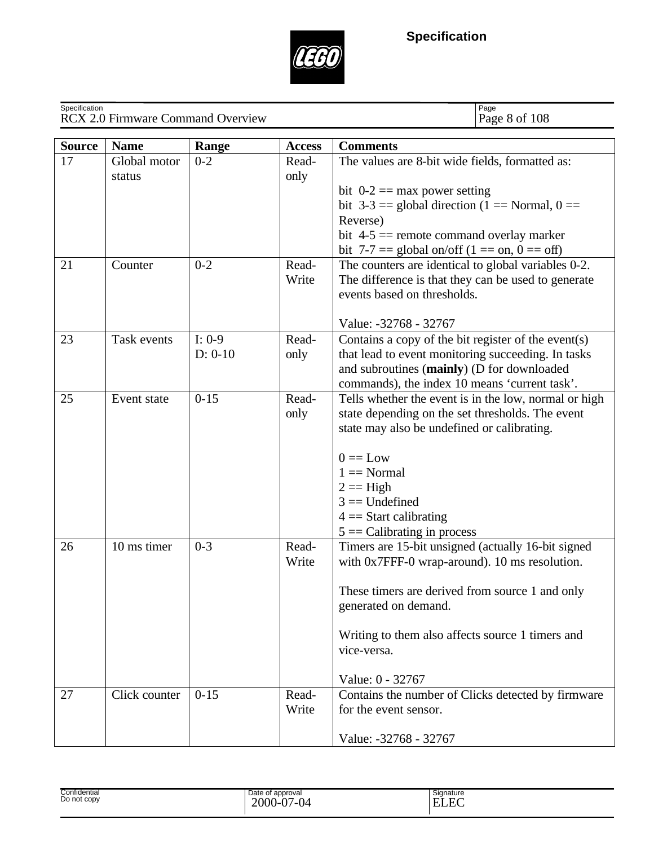

| Specification | <b>RCX 2.0 Firmware Command Overview</b> |                       |               | Page<br>Page 8 of 108                                                                            |  |  |
|---------------|------------------------------------------|-----------------------|---------------|--------------------------------------------------------------------------------------------------|--|--|
| <b>Source</b> | <b>Name</b>                              | Range                 | <b>Access</b> | <b>Comments</b>                                                                                  |  |  |
| 17            | Global motor                             | $0 - 2$               | Read-         | The values are 8-bit wide fields, formatted as:                                                  |  |  |
|               | status                                   |                       | only          |                                                                                                  |  |  |
|               |                                          |                       |               | bit $0-2 == max$ power setting                                                                   |  |  |
|               |                                          |                       |               | bit $3-3 ==$ global direction (1 = Normal, 0 = =                                                 |  |  |
|               |                                          |                       |               | Reverse)<br>bit $4-5 ==$ remote command overlay marker                                           |  |  |
|               |                                          |                       |               | bit 7-7 = global on/off $(1 == on, 0 == off)$                                                    |  |  |
| 21            | Counter                                  | $0 - 2$               | Read-         | The counters are identical to global variables 0-2.                                              |  |  |
|               |                                          |                       | Write         | The difference is that they can be used to generate                                              |  |  |
|               |                                          |                       |               | events based on thresholds.                                                                      |  |  |
|               |                                          |                       |               |                                                                                                  |  |  |
|               |                                          |                       |               | Value: -32768 - 32767                                                                            |  |  |
| 23            | Task events                              | $I: 0-9$<br>$D: 0-10$ | Read-<br>only | Contains a copy of the bit register of the event(s)                                              |  |  |
|               |                                          |                       |               | that lead to event monitoring succeeding. In tasks<br>and subroutines (mainly) (D for downloaded |  |  |
|               |                                          |                       |               | commands), the index 10 means 'current task'.                                                    |  |  |
| 25            | Event state                              | $0 - 15$              | Read-<br>only | Tells whether the event is in the low, normal or high                                            |  |  |
|               |                                          |                       |               | state depending on the set thresholds. The event                                                 |  |  |
|               |                                          |                       |               | state may also be undefined or calibrating.                                                      |  |  |
|               |                                          |                       |               |                                                                                                  |  |  |
|               |                                          |                       |               | $0 == Low$<br>$1 =$ Normal                                                                       |  |  |
|               |                                          |                       |               | $2 ==$ High                                                                                      |  |  |
|               |                                          |                       |               | $3 =$ Undefined                                                                                  |  |  |
|               |                                          |                       |               | $4 =$ Start calibrating                                                                          |  |  |
|               |                                          |                       |               | $5 =$ Calibrating in process                                                                     |  |  |
| 26            | 10 ms timer                              | $0 - 3$               | Read-         | Timers are 15-bit unsigned (actually 16-bit signed                                               |  |  |
|               |                                          |                       | Write         | with 0x7FFF-0 wrap-around). 10 ms resolution.                                                    |  |  |
|               |                                          |                       |               | These timers are derived from source 1 and only                                                  |  |  |
|               |                                          |                       |               | generated on demand.                                                                             |  |  |
|               |                                          |                       |               |                                                                                                  |  |  |
|               |                                          |                       |               | Writing to them also affects source 1 timers and                                                 |  |  |
|               |                                          |                       |               | vice-versa.                                                                                      |  |  |
|               |                                          |                       |               |                                                                                                  |  |  |
| 27            | Click counter                            | $0 - 15$              | Read-         | Value: 0 - 32767<br>Contains the number of Clicks detected by firmware                           |  |  |
|               |                                          |                       | Write         | for the event sensor.                                                                            |  |  |
|               |                                          |                       |               |                                                                                                  |  |  |
|               |                                          |                       |               | Value: -32768 - 32767                                                                            |  |  |

| Confidential<br>Date of approval<br>Do not copy<br>2000<br>$\sim$<br>' 14<br>.<br>$\mathbf{v}$ .<br>$\cdot$ | Signature<br>$\Gamma$<br>Ē<br>н<br>---- |  |
|-------------------------------------------------------------------------------------------------------------|-----------------------------------------|--|
|-------------------------------------------------------------------------------------------------------------|-----------------------------------------|--|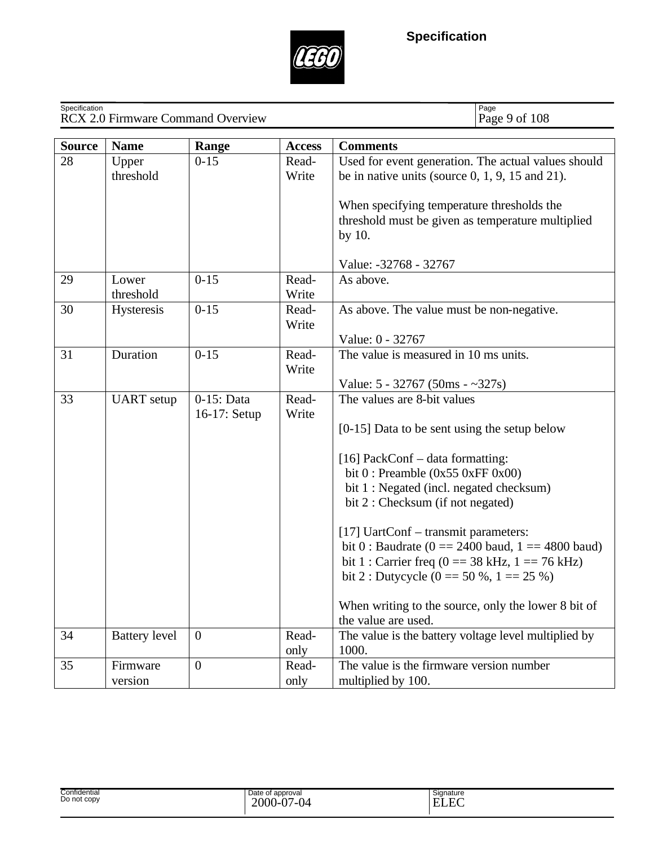

| Specification | <b>RCX 2.0 Firmware Command Overview</b> |                            |                | Page<br>Page 9 of 108                                                                                                                                                                                                                                                                                                                                                                                                                                                                                                      |  |
|---------------|------------------------------------------|----------------------------|----------------|----------------------------------------------------------------------------------------------------------------------------------------------------------------------------------------------------------------------------------------------------------------------------------------------------------------------------------------------------------------------------------------------------------------------------------------------------------------------------------------------------------------------------|--|
| <b>Source</b> | <b>Name</b>                              | Range                      | <b>Access</b>  | <b>Comments</b>                                                                                                                                                                                                                                                                                                                                                                                                                                                                                                            |  |
| 28            | Upper<br>threshold                       | $0 - 15$                   | Read-<br>Write | Used for event generation. The actual values should<br>be in native units (source $0, 1, 9, 15$ and $21$ ).<br>When specifying temperature thresholds the<br>threshold must be given as temperature multiplied<br>by 10.<br>Value: -32768 - 32767                                                                                                                                                                                                                                                                          |  |
| 29            | Lower<br>threshold                       | $0 - 15$                   | Read-<br>Write | As above.                                                                                                                                                                                                                                                                                                                                                                                                                                                                                                                  |  |
| 30            | Hysteresis                               | $0 - 15$                   | Read-<br>Write | As above. The value must be non-negative.<br>Value: 0 - 32767                                                                                                                                                                                                                                                                                                                                                                                                                                                              |  |
| 31            | Duration                                 | $0 - 15$                   | Read-<br>Write | The value is measured in 10 ms units.<br>Value: $5 - 32767$ (50ms $-227s$ )                                                                                                                                                                                                                                                                                                                                                                                                                                                |  |
| 33            | <b>UART</b> setup                        | 0-15: Data<br>16-17: Setup | Read-<br>Write | The values are 8-bit values<br>$[0-15]$ Data to be sent using the setup below<br>[16] PackConf $-$ data formatting:<br>bit $0$ : Preamble (0x55 0xFF 0x00)<br>bit 1 : Negated (incl. negated checksum)<br>bit 2 : Checksum (if not negated)<br>[17] UartConf – transmit parameters:<br>bit 0 : Baudrate ( $0 = 2400$ baud, $1 = 4800$ baud)<br>bit 1 : Carrier freq (0 = 38 kHz, 1 = 76 kHz)<br>bit 2 : Dutycycle (0 = $50\%$ , 1 = $25\%$ )<br>When writing to the source, only the lower 8 bit of<br>the value are used. |  |
| 34            | <b>Battery</b> level                     | $\theta$                   | Read-<br>only  | The value is the battery voltage level multiplied by<br>1000.                                                                                                                                                                                                                                                                                                                                                                                                                                                              |  |
| 35            | Firmware<br>version                      | $\overline{0}$             | Read-<br>only  | The value is the firmware version number<br>multiplied by 100.                                                                                                                                                                                                                                                                                                                                                                                                                                                             |  |

2000-07-04 ELEC Confidential Date of approval Signature Confidential<br>Do not copy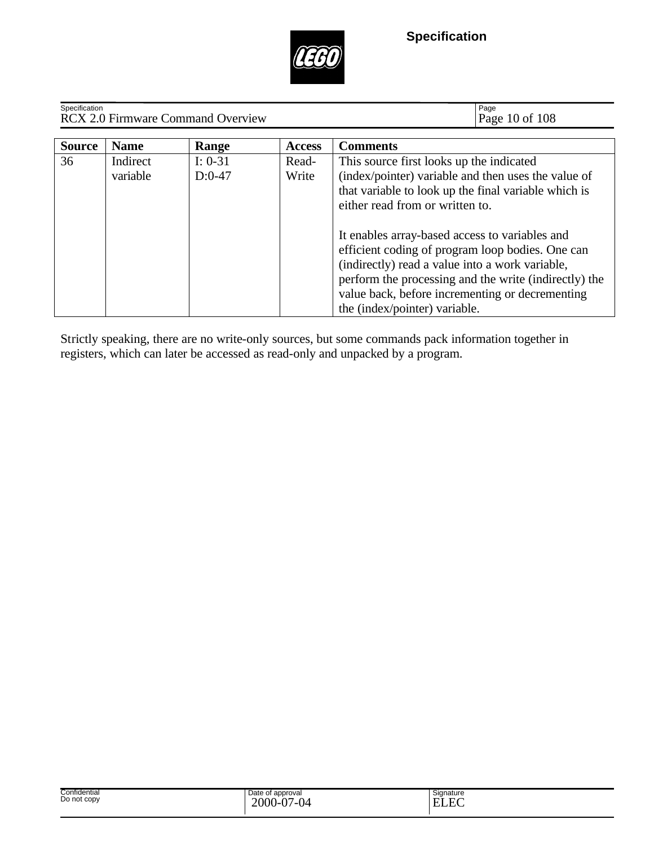

| Specification<br><b>RCX 2.0 Firmware Command Overview</b> |                      |                       |                | Page<br>Page 10 of 108                                                                                                                                                                                                                                                                             |
|-----------------------------------------------------------|----------------------|-----------------------|----------------|----------------------------------------------------------------------------------------------------------------------------------------------------------------------------------------------------------------------------------------------------------------------------------------------------|
| <b>Source</b>                                             | <b>Name</b>          | Range                 | <b>Access</b>  | <b>Comments</b>                                                                                                                                                                                                                                                                                    |
| 36                                                        | Indirect<br>variable | $I: 0-31$<br>$D:0-47$ | Read-<br>Write | This source first looks up the indicated<br>(index/pointer) variable and then uses the value of<br>that variable to look up the final variable which is<br>either read from or written to.                                                                                                         |
|                                                           |                      |                       |                | It enables array-based access to variables and<br>efficient coding of program loop bodies. One can<br>(indirectly) read a value into a work variable,<br>perform the processing and the write (indirectly) the<br>value back, before incrementing or decrementing<br>the (index/pointer) variable. |

Strictly speaking, there are no write-only sources, but some commands pack information together in registers, which can later be accessed as read-only and unpacked by a program.

| Date of approval<br>Signature<br>Do not copy<br>$\Delta$<br>$\Gamma$<br>2000<br>$\sim$<br>н<br>/ – II 141<br>-<br><br>п.<br>LJ LAN<br>$\cdot$ | Confidential |  |  |
|-----------------------------------------------------------------------------------------------------------------------------------------------|--------------|--|--|
|-----------------------------------------------------------------------------------------------------------------------------------------------|--------------|--|--|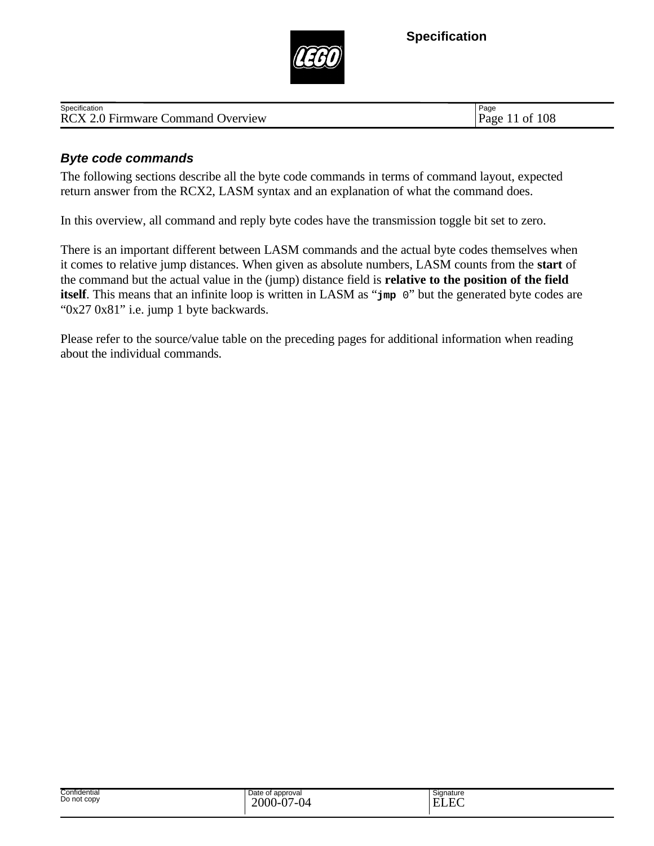

| .<br>Specification                                                                 | Page                |
|------------------------------------------------------------------------------------|---------------------|
| $\sim$ $\blacksquare$<br><b>RCX 2.</b><br><b>Overview</b><br>Jommand<br>Firmware C | 108<br>Page<br>- OI |
|                                                                                    |                     |

#### *Byte code commands*

The following sections describe all the byte code commands in terms of command layout, expected return answer from the RCX2, LASM syntax and an explanation of what the command does.

In this overview, all command and reply byte codes have the transmission toggle bit set to zero.

There is an important different between LASM commands and the actual byte codes themselves when it comes to relative jump distances. When given as absolute numbers, LASM counts from the **start** of the command but the actual value in the (jump) distance field is **relative to the position of the field itself**. This means that an infinite loop is written in LASM as "**jmp** 0" but the generated byte codes are "0x27 0x81" i.e. jump 1 byte backwards.

Please refer to the source/value table on the preceding pages for additional information when reading about the individual commands.

| Confidential<br>.<br>Do not copy | e of approval<br>Date<br>2000<br><b>ILL</b><br>.<br> | Signature<br>$\Gamma$<br>. .<br>-<br>w<br>_______ |
|----------------------------------|------------------------------------------------------|---------------------------------------------------|
|----------------------------------|------------------------------------------------------|---------------------------------------------------|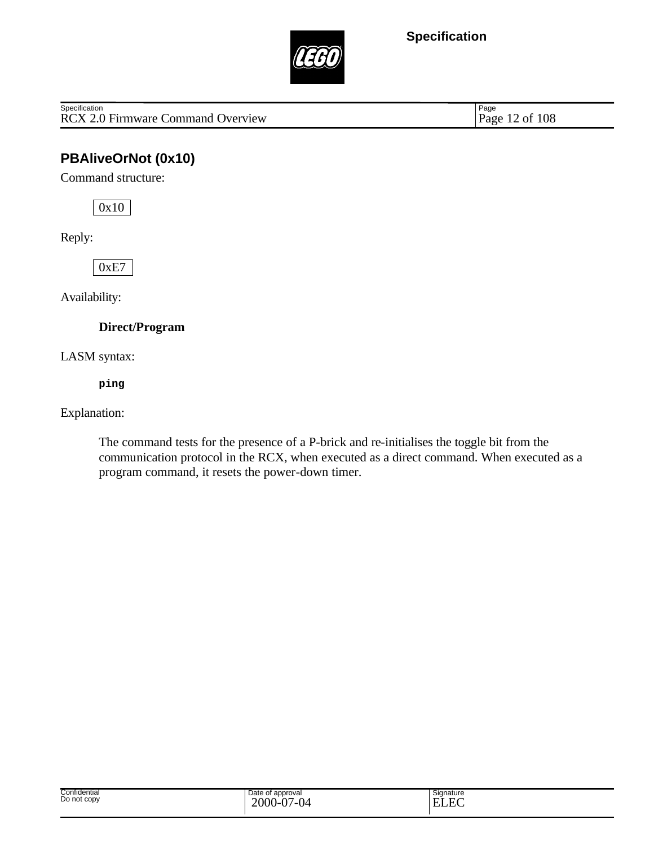

RCX 2.0 Firmware Command Overview Specification

Page 12 of 108

## **PBAliveOrNot (0x10)**

Command structure:

0x10

Reply:

0xE7

Availability:

**Direct/Program**

LASM syntax:

**ping**

Explanation:

The command tests for the presence of a P-brick and re-initialises the toggle bit from the communication protocol in the RCX, when executed as a direct command. When executed as a program command, it resets the power-down timer.

| Confidential<br>Do not copy | Date of approval<br>2000<br>Ñ7<br>$\sim$<br><u>. .</u><br>$\mathbf{U}$<br>v | Signature<br>$\Gamma$<br><b>TIT</b><br>н<br>-<br>LLL |
|-----------------------------|-----------------------------------------------------------------------------|------------------------------------------------------|
|-----------------------------|-----------------------------------------------------------------------------|------------------------------------------------------|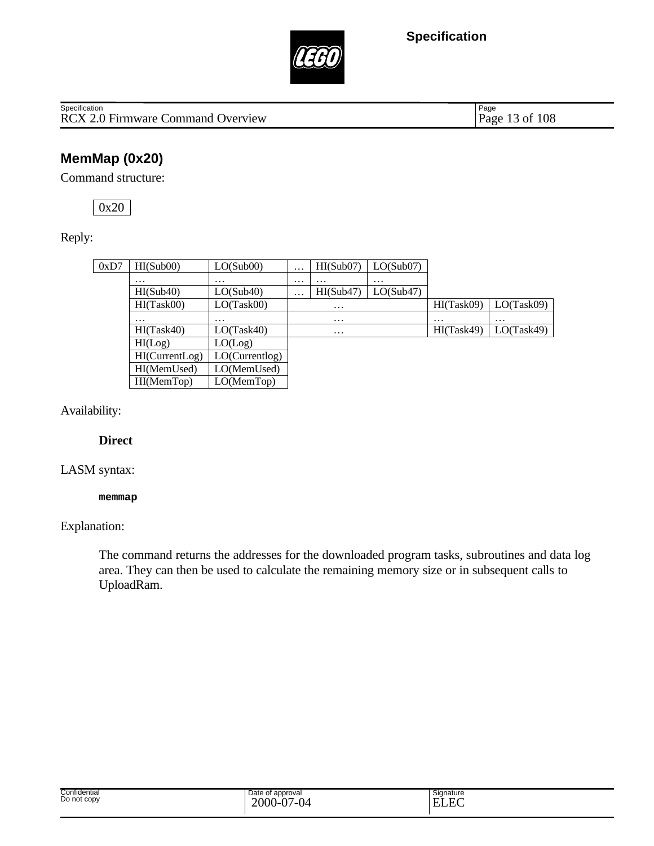

Page 13 of 108

## **MemMap (0x20)**

Command structure:

0x20

Reply:

| 0xD7 | HI(Sub00)      | LO(Sub00)      | $\cdots$ | HI(Sub07)         | LO(Sub07) |            |            |
|------|----------------|----------------|----------|-------------------|-----------|------------|------------|
|      | $\cdots$       | $\cdots$       | $\cdots$ | $\cdot\cdot\cdot$ | $\cdots$  |            |            |
|      | HI(Sub40)      | LO(Sub40)      | $\cdots$ | HI(Sub47)         | LO(Sub47) |            |            |
|      | HI(Task00)     | LO(Task00)     |          | $\cdots$          |           | HI(Task09) | LO(Task09) |
|      | .              | $\cdots$       |          | $\cdots$          |           | $\cdots$   | $\cdots$   |
|      | HI(Task40)     | LO(Task40)     |          | $\cdots$          |           | HI(Task49) | LO(Task49) |
|      | HI(Log)        | LO(Log)        |          |                   |           |            |            |
|      | HI(CurrentLog) | LO(Currentlog) |          |                   |           |            |            |
|      | HI(MemUsed)    | LO(MemUsed)    |          |                   |           |            |            |
|      | HI(MemTop)     | LO(MemTop)     |          |                   |           |            |            |
|      |                |                |          |                   |           |            |            |

Availability:

#### **Direct**

#### LASM syntax:

#### **memmap**

#### Explanation:

The command returns the addresses for the downloaded program tasks, subroutines and data log area. They can then be used to calculate the remaining memory size or in subsequent calls to UploadRam.

| Confidential<br>Do not copy | Date of approval<br>2000<br>$\cdot$ 0.7<br>$\sim$<br>v.<br>$\mathbf{v}$ | Signature<br>$\Gamma$<br>-<br>حصد |
|-----------------------------|-------------------------------------------------------------------------|-----------------------------------|
|-----------------------------|-------------------------------------------------------------------------|-----------------------------------|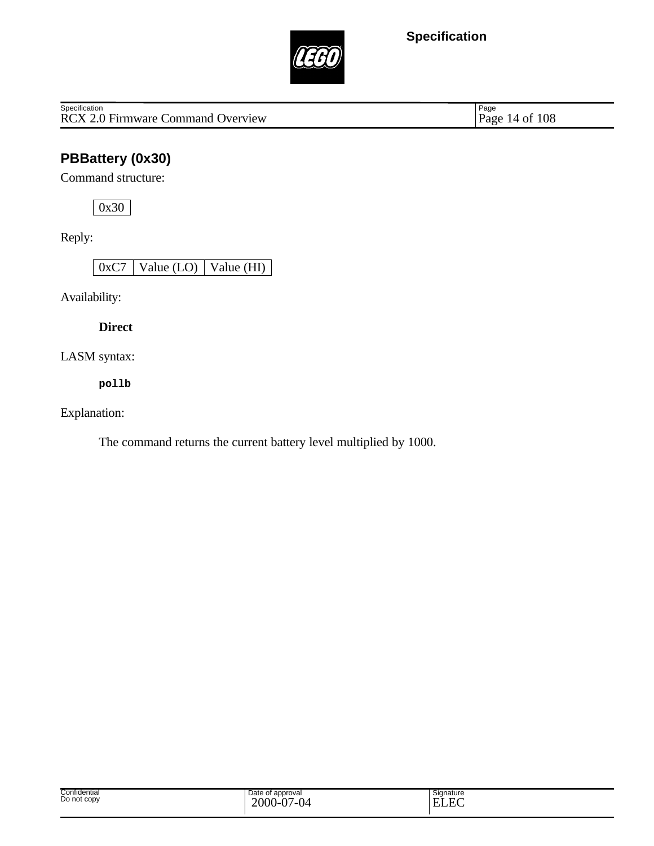

Specification<br>
RCX 2.0 Firmware Command Overview Page 14 of 108

Page 14 of 108

# **PBBattery (0x30)**

Command structure:

0x30

Reply:

0xC7 Value (LO) Value (HI)

Availability:

**Direct**

LASM syntax:

**pollb**

Explanation:

The command returns the current battery level multiplied by 1000.

| Confidential<br>Do not copy | Date of<br>approval<br>2000<br>$\sim$ $-$<br>$\sim$<br>Պ∠<br><br>$\cdot$<br>v | $\overline{\phantom{0}}$<br>Signature<br>T.<br>$\overline{H}$<br>H<br>. |
|-----------------------------|-------------------------------------------------------------------------------|-------------------------------------------------------------------------|
|-----------------------------|-------------------------------------------------------------------------------|-------------------------------------------------------------------------|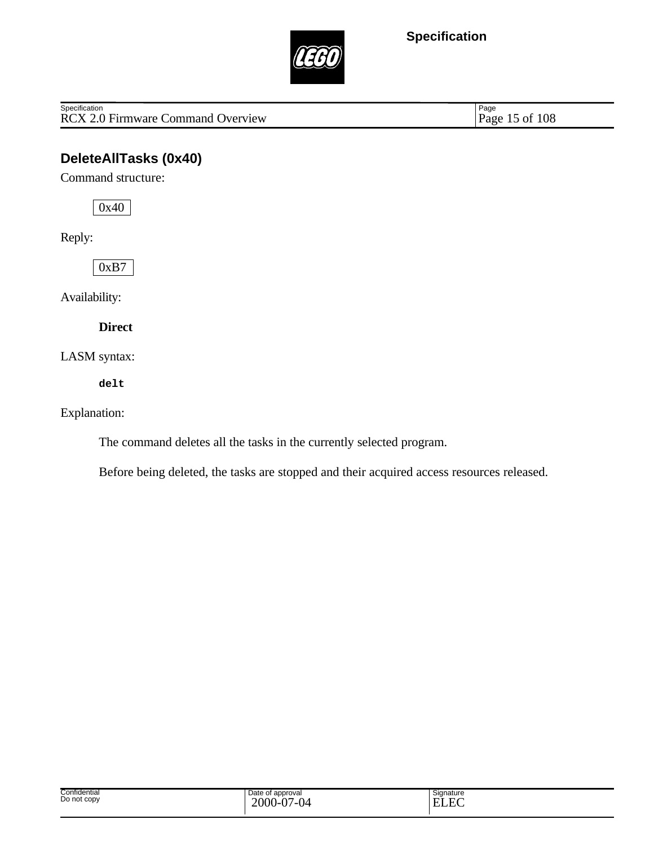

RCX 2.0 Firmware Command Overview Specification

Page 15 of 108

## **DeleteAllTasks (0x40)**

Command structure:

0x40

Reply:

0xB7

Availability:

**Direct**

LASM syntax:

**delt**

#### Explanation:

The command deletes all the tasks in the currently selected program.

Before being deleted, the tasks are stopped and their acquired access resources released.

| Confidential<br>Do not copy | Date of approval<br>2000<br>$\Delta$<br>$\sim$<br>$\mathbf v$<br>ັ | Signature<br>$\Gamma$<br><b>TIT</b><br>н<br>www |
|-----------------------------|--------------------------------------------------------------------|-------------------------------------------------|
|-----------------------------|--------------------------------------------------------------------|-------------------------------------------------|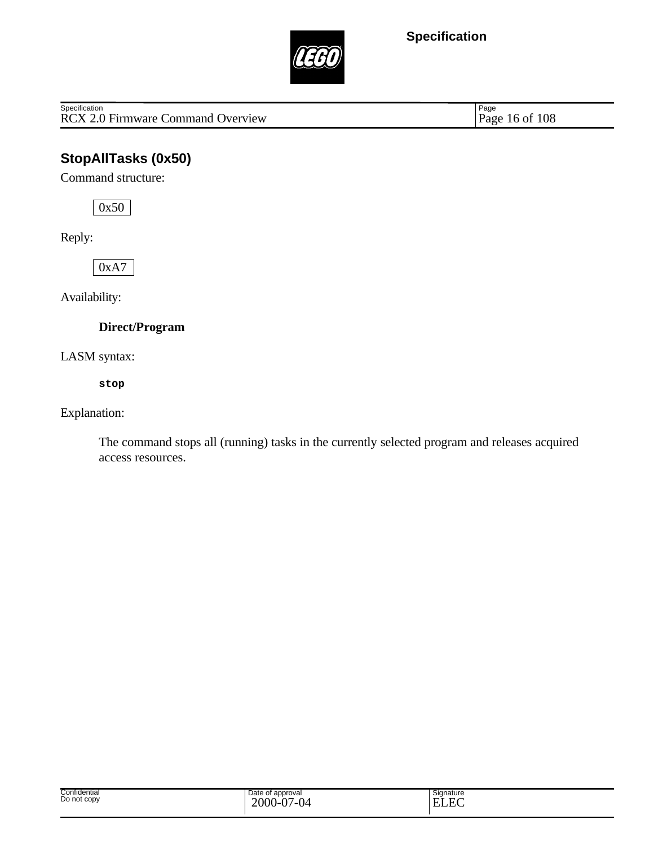

Specification<br>
RCX 2.0 Firmware Command Overview Page 16 of 108

Page 16 of 108

## **StopAllTasks (0x50)**

Command structure:

0x50

Reply:

0xA7

Availability:

**Direct/Program**

LASM syntax:

**stop**

Explanation:

The command stops all (running) tasks in the currently selected program and releases acquired access resources.

| Confidential<br>.<br>Do not copy | Date of<br>of approval<br>2000<br>$\overline{2}$<br>$\sim$<br><br>$\cdot$<br>$\cdot$ | Signature<br>E<br>. . |  |
|----------------------------------|--------------------------------------------------------------------------------------|-----------------------|--|
|----------------------------------|--------------------------------------------------------------------------------------|-----------------------|--|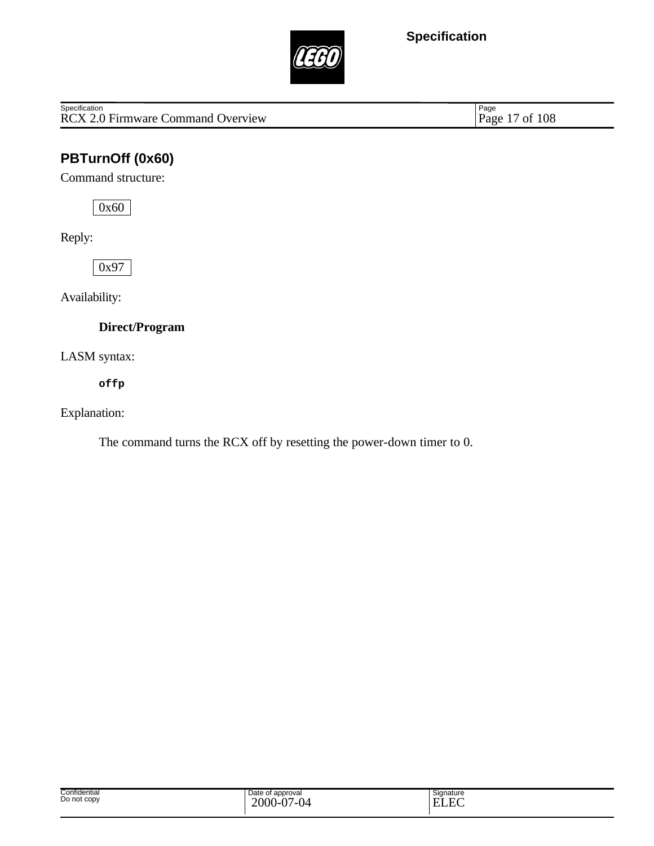

Specification<br>
RCX 2.0 Firmware Command Overview Page 17 of 108

Page 17 of 108

# **PBTurnOff (0x60)**

Command structure:

0x60

Reply:

0x97

Availability:

**Direct/Program**

LASM syntax:

**offp**

Explanation:

The command turns the RCX off by resetting the power-down timer to 0.

| Confidential<br>Do not copy | Date of approval<br>$2000 -$<br>$\Delta$ $\sim$<br>$\sim$<br>/_( )⊿<br>$\mathbf v$<br>◡ | Signature<br>$\sim$<br>T.<br>- Hif<br>.<br>-<br>LJ LAN |
|-----------------------------|-----------------------------------------------------------------------------------------|--------------------------------------------------------|
|-----------------------------|-----------------------------------------------------------------------------------------|--------------------------------------------------------|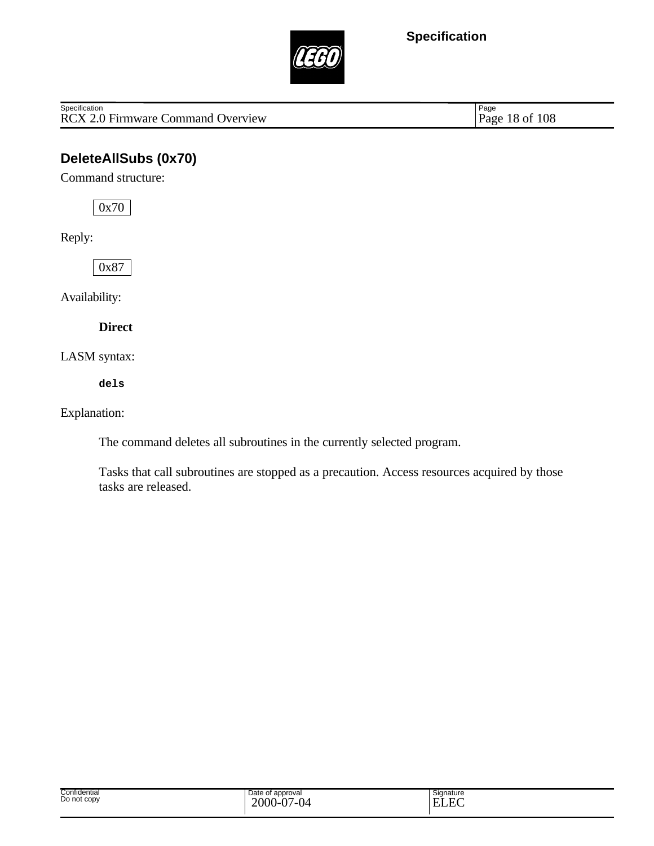

RCX 2.0 Firmware Command Overview **Specification** 

Page 18 of 108

## **DeleteAllSubs (0x70)**

Command structure:

0x70

Reply:

0x87

Availability:

**Direct**

LASM syntax:

**dels**

Explanation:

The command deletes all subroutines in the currently selected program.

Tasks that call subroutines are stopped as a precaution. Access resources acquired by those tasks are released.

| Confidential<br>Do not copy | Date of<br>of approval<br>$\overline{a}$<br>$\sim$<br>200<br>v<br><u>v</u> . | Signature<br>$\Gamma$<br>−<br>-<br>$\overline{1}$ |
|-----------------------------|------------------------------------------------------------------------------|---------------------------------------------------|
|                             |                                                                              |                                                   |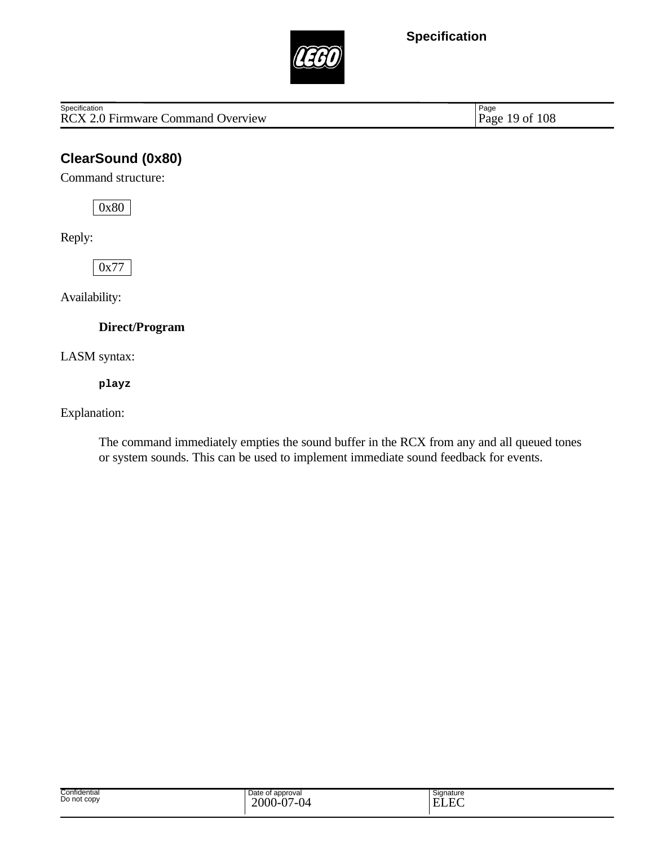

RCX 2.0 Firmware Command Overview **Specification** 

Page 19 of 108

## **ClearSound (0x80)**

Command structure:

0x80

Reply:

0x77

Availability:

**Direct/Program**

LASM syntax:

**playz**

Explanation:

The command immediately empties the sound buffer in the RCX from any and all queued tones or system sounds. This can be used to implement immediate sound feedback for events.

| Confidential<br>.<br>Do not copy | Date of approval<br>$\sim$<br>$\sim$<br>2000<br>v<br>$\cdot$ | Signature<br>$\Gamma$<br>┳.<br>н<br>2 L A |  |
|----------------------------------|--------------------------------------------------------------|-------------------------------------------|--|
|----------------------------------|--------------------------------------------------------------|-------------------------------------------|--|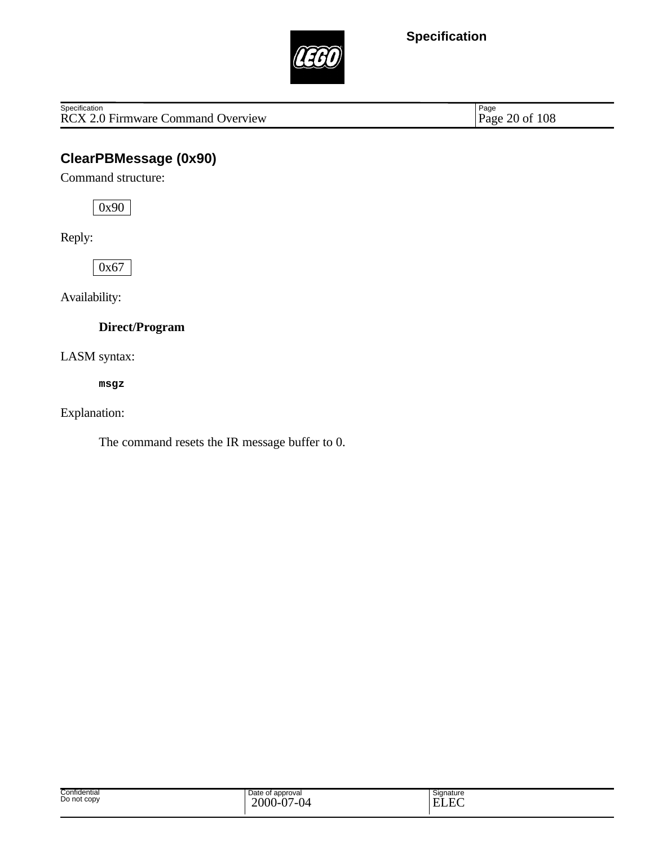

Specification<br>
RCX 2.0 Firmware Command Overview Page 20 of 108

Page 20 of 108

## **ClearPBMessage (0x90)**

Command structure:

0x90

Reply:

0x67

Availability:

**Direct/Program**

LASM syntax:

**msgz**

Explanation:

The command resets the IR message buffer to 0.

| Confidential<br>Do not copy | Date of<br>f approval<br>2000-<br>$\cdot$ $\sim$<br>04<br>. <i>.</i><br>$\mathbf v$ . | Signature<br>ELEC |
|-----------------------------|---------------------------------------------------------------------------------------|-------------------|
|-----------------------------|---------------------------------------------------------------------------------------|-------------------|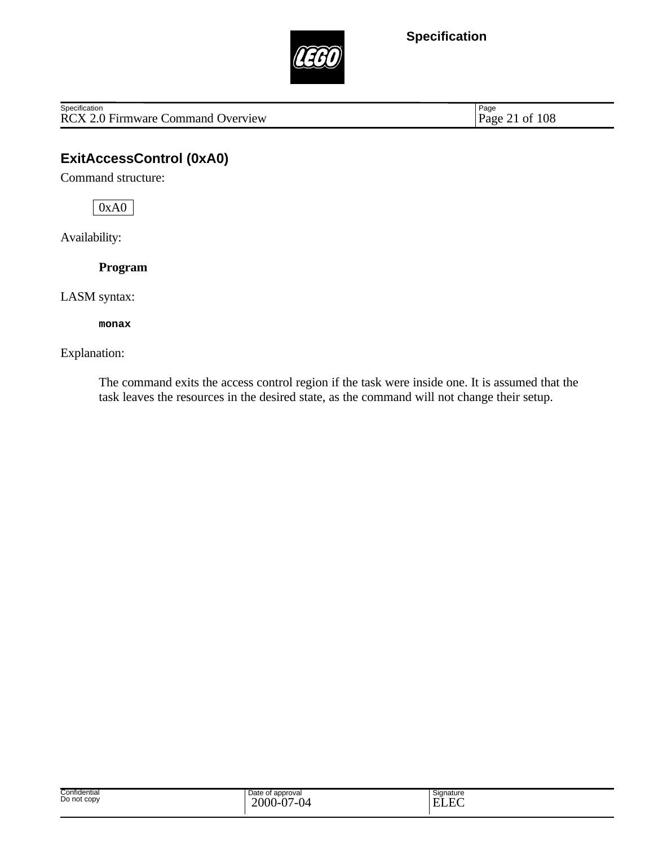

RCX 2.0 Firmware Command Overview **Specification** 

Page 21 of 108

## **ExitAccessControl (0xA0)**

Command structure:

0xA0

Availability:

**Program**

LASM syntax:

**monax**

#### Explanation:

The command exits the access control region if the task were inside one. It is assumed that the task leaves the resources in the desired state, as the command will not change their setup.

| Confidential<br>Do not copy | Date of<br>approval<br>2000<br>04<br><br>$\mathbf v$ . | Signature<br> ELE |
|-----------------------------|--------------------------------------------------------|-------------------|
|                             |                                                        |                   |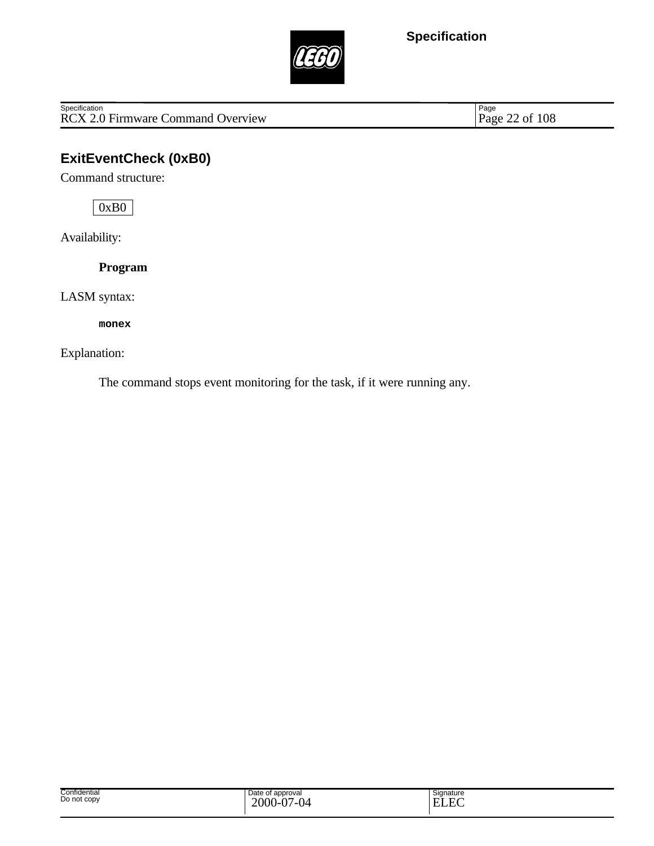

Specification<br>
RCX 2.0 Firmware Command Overview Page 22 of 108

Page 22 of 108

## **ExitEventCheck (0xB0)**

Command structure:

0xB0

Availability:

**Program**

LASM syntax:

**monex**

Explanation:

The command stops event monitoring for the task, if it were running any.

| Confidential<br>Do not copy | Date of approval<br>$\sim$<br>$\sim$<br>2000<br>Q <sup>4</sup><br>.<br>Ξυ. | Signature<br>E<br>$\mathbf{H}$<br>.<br>◡◡ |
|-----------------------------|----------------------------------------------------------------------------|-------------------------------------------|
|-----------------------------|----------------------------------------------------------------------------|-------------------------------------------|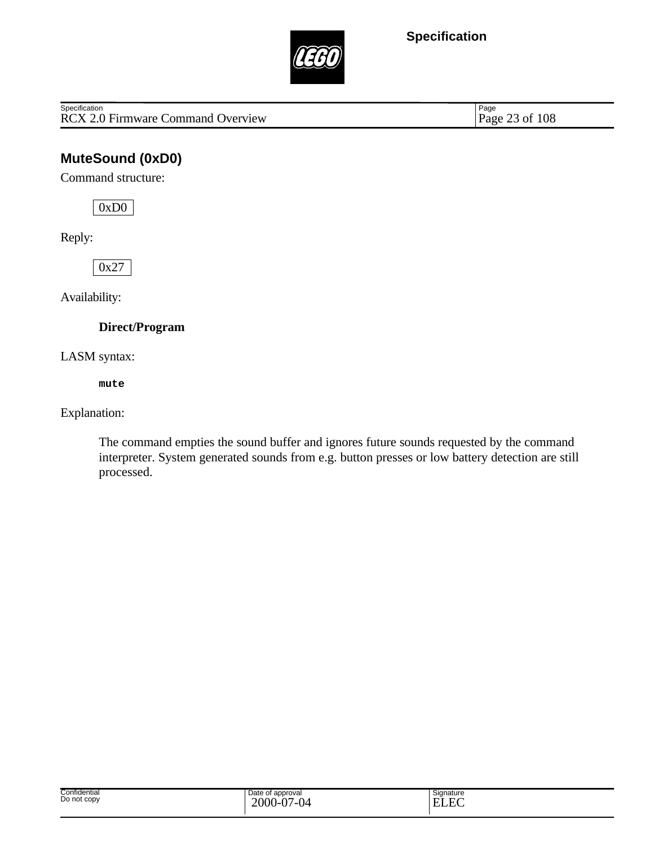

RCX 2.0 Firmware Command Overview **Specification** 

Page 23 of 108

## **MuteSound (0xD0)**

Command structure:

0xD0

Reply:

0x27

Availability:

**Direct/Program**

LASM syntax:

**mute**

Explanation:

The command empties the sound buffer and ignores future sounds requested by the command interpreter. System generated sounds from e.g. button presses or low battery detection are still processed.

| Confidential<br>Do not copy | Date of approval<br>$2000 -$<br>$\sim$ 0 $\ell$<br>Ñ7<br>.<br>: ש<br>v | Signature<br>ن ۔<br>$\Gamma$<br><b>TIT</b><br>н<br>-<br>LLL |
|-----------------------------|------------------------------------------------------------------------|-------------------------------------------------------------|
|-----------------------------|------------------------------------------------------------------------|-------------------------------------------------------------|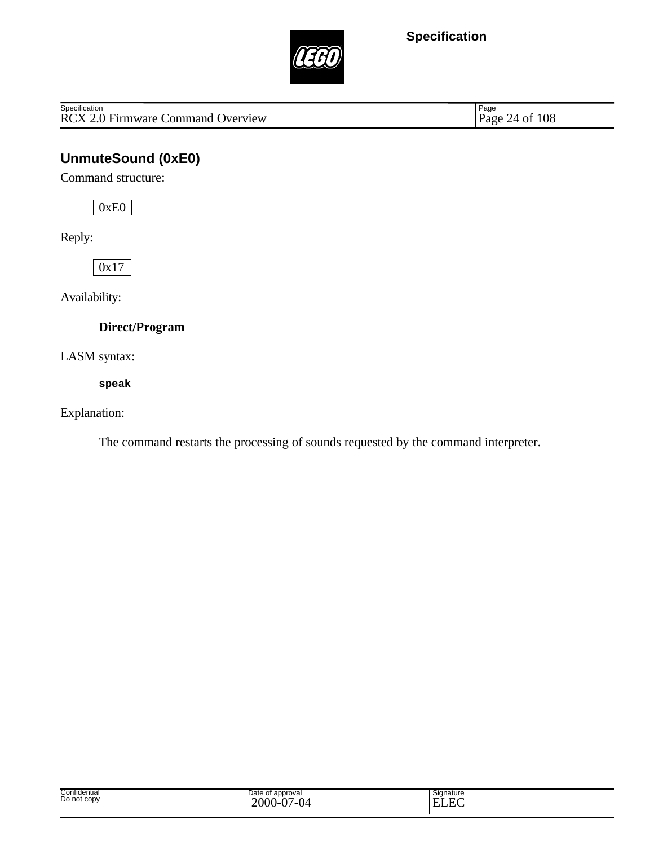

Specification<br>
RCX 2.0 Firmware Command Overview Page 24 of 108

Page 24 of 108

## **UnmuteSound (0xE0)**

Command structure:

0xE0

Reply:

0x17

Availability:

**Direct/Program**

LASM syntax:

**speak**

Explanation:

The command restarts the processing of sounds requested by the command interpreter.

| Confidential<br>Do not copy | Date of<br>t approval<br>$2000 -$<br>7-04<br>. $\mathsf{D}$<br>◡<br>v | -<br>Signature<br>$\sim$<br>E)<br>- |
|-----------------------------|-----------------------------------------------------------------------|-------------------------------------|
|-----------------------------|-----------------------------------------------------------------------|-------------------------------------|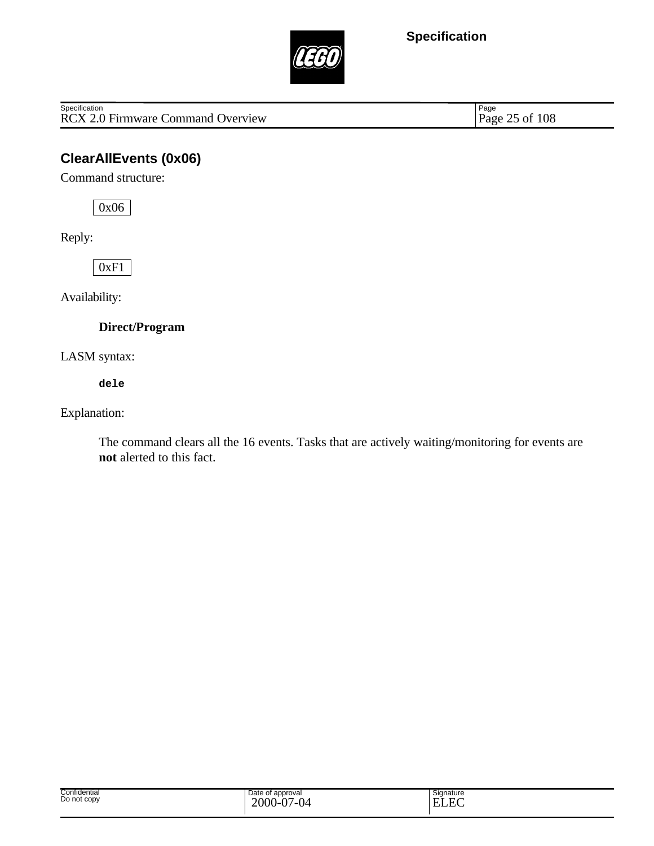

Specification<br>
RCX 2.0 Firmware Command Overview Page 25 of 108

Page 25 of 108

## **ClearAllEvents (0x06)**

Command structure:

0x06

Reply:

0xF1

Availability:

**Direct/Program**

LASM syntax:

**dele**

Explanation:

The command clears all the 16 events. Tasks that are actively waiting/monitoring for events are **not** alerted to this fact.

| Confidential<br>. | Date of approval           | Signature          |
|-------------------|----------------------------|--------------------|
| Do not copy       | $\Delta$<br>2000<br>$\sim$ | $\Gamma$<br>T<br>н |
|                   | .<br>.<br>v.<br>ັ          | $\sim$             |
|                   |                            |                    |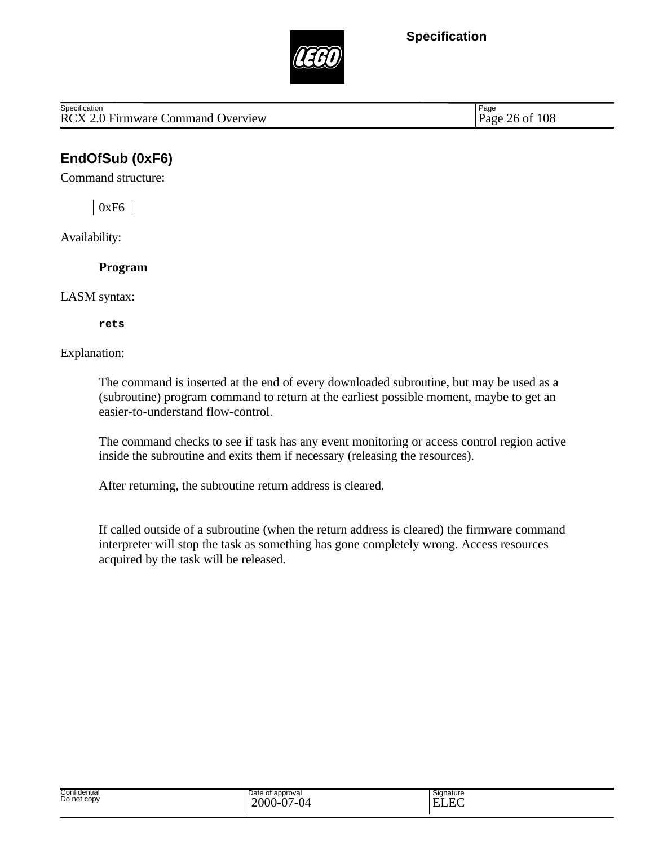

RCX 2.0 Firmware Command Overview Page 26 of 108 **Specification** 

Page

## **EndOfSub (0xF6)**

Command structure:

0xF6

Availability:

**Program**

LASM syntax:

**rets**

Explanation:

The command is inserted at the end of every downloaded subroutine, but may be used as a (subroutine) program command to return at the earliest possible moment, maybe to get an easier-to-understand flow-control.

The command checks to see if task has any event monitoring or access control region active inside the subroutine and exits them if necessary (releasing the resources).

After returning, the subroutine return address is cleared.

If called outside of a subroutine (when the return address is cleared) the firmware command interpreter will stop the task as something has gone completely wrong. Access resources acquired by the task will be released.

| Signature |  |
|-----------|--|
|           |  |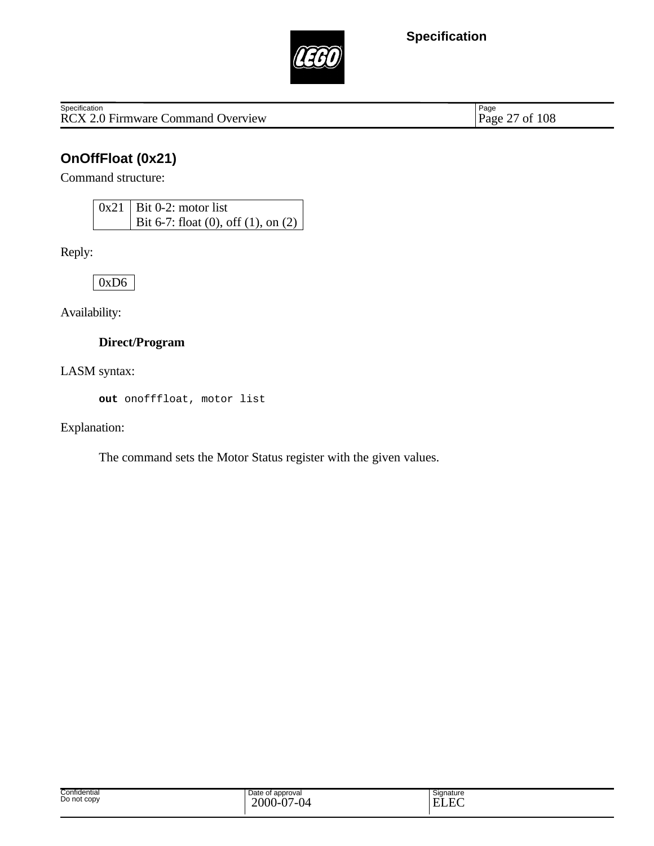

RCX 2.0 Firmware Command Overview **Specification** 

Page 27 of 108

## **OnOffFloat (0x21)**

Command structure:

 $0x21$  Bit 0-2: motor list Bit 6-7: float (0), off (1), on (2)

Reply:

0xD6

Availability:

#### **Direct/Program**

LASM syntax:

**out** onofffloat, motor list

Explanation:

The command sets the Motor Status register with the given values.

| Confidential<br>Date of approval<br>.<br>Do not copy<br>2000-<br>$\sim$<br>$\sim$<br>$\cdot$<br>$\cdot$ | Signature<br>−<br>. .<br>. .<br>- |
|---------------------------------------------------------------------------------------------------------|-----------------------------------|
|---------------------------------------------------------------------------------------------------------|-----------------------------------|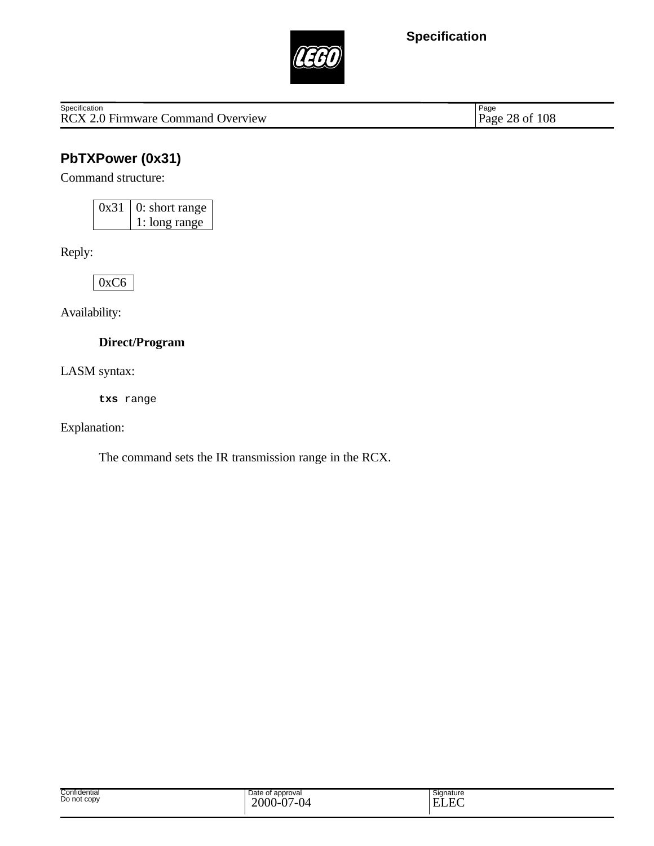

Specification<br>
RCX 2.0 Firmware Command Overview Page 28 of 108

Page 28 of 108

## **PbTXPower (0x31)**

Command structure:

0x31 0: short range 1: long range

Reply:

0xC6

Availability:

**Direct/Program**

LASM syntax:

**txs** range

Explanation:

The command sets the IR transmission range in the RCX.

| Confidential<br>.<br>Do not copy | Date of approval<br>$\sim$<br>$\sim$<br>2000<br>v<br>$\cdot$ | Signature<br>$\Gamma$<br>┳.<br>н<br>2 L A |  |
|----------------------------------|--------------------------------------------------------------|-------------------------------------------|--|
|----------------------------------|--------------------------------------------------------------|-------------------------------------------|--|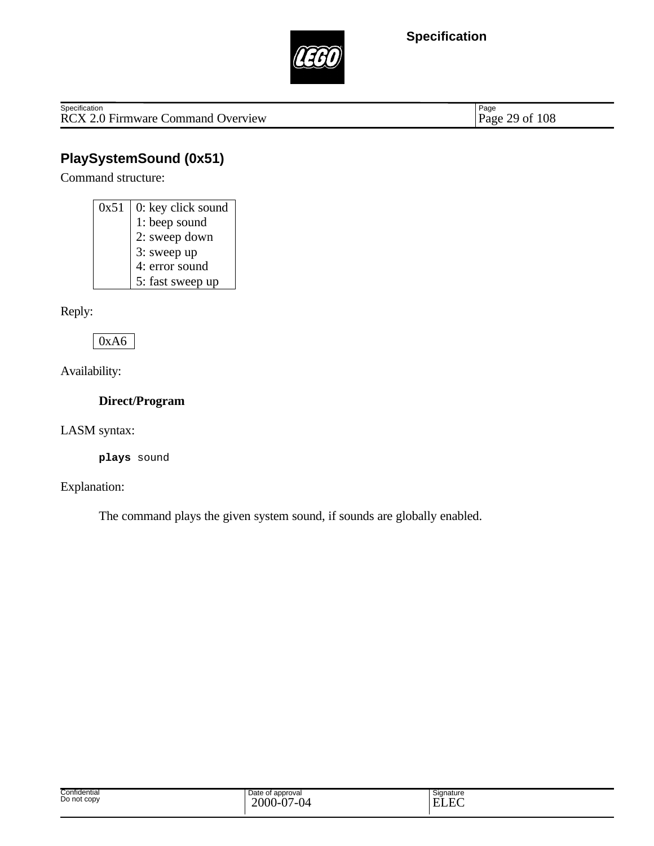

Specification<br>
RCX 2.0 Firmware Command Overview Page 29 of 108

Page 29 of 108

## **PlaySystemSound (0x51)**

Command structure:

| 0x51 | 0: key click sound |
|------|--------------------|
|      | 1: beep sound      |
|      | 2: sweep down      |
|      | 3: sweep up        |
|      | 4: error sound     |
|      | 5: fast sweep up   |

Reply:

0xA6

Availability:

**Direct/Program**

LASM syntax:

**plays** sound

Explanation:

The command plays the given system sound, if sounds are globally enabled.

| Confidential<br>Do not copy | Date of<br>t approval<br>.<br>2000-<br>$\sim$<br>/-04<br>$\mathbf v$ | Signature<br>ت ۔<br>$\Gamma$<br><b>TI</b><br>н<br>н<br>பல |
|-----------------------------|----------------------------------------------------------------------|-----------------------------------------------------------|
|-----------------------------|----------------------------------------------------------------------|-----------------------------------------------------------|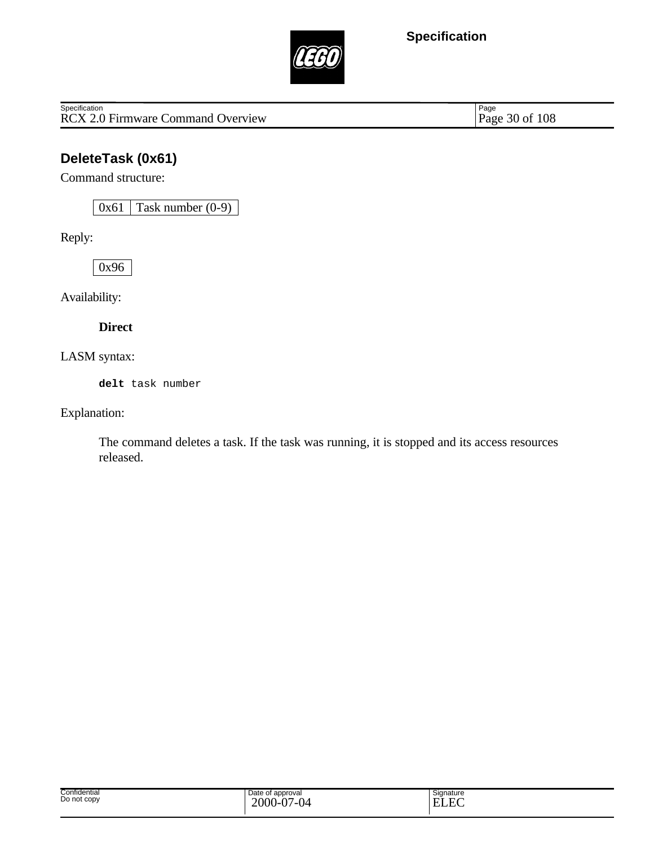

Specification<br>
RCX 2.0 Firmware Command Overview Page 30 of 108

Page 30 of 108

## **DeleteTask (0x61)**

Command structure:

 $0x61$  Task number  $(0-9)$ 

Reply:

0x96

Availability:

**Direct**

LASM syntax:

**delt** task number

Explanation:

The command deletes a task. If the task was running, it is stopped and its access resources released.

| Confidential     | Date of approval  | Signature              |
|------------------|-------------------|------------------------|
| .<br>Do not copy | $\sim$            | $\Gamma$<br><b>TIT</b> |
|                  | 2000<br>.107<br>. | н<br>-                 |
|                  | v.<br>ັ           | ccc                    |
|                  |                   |                        |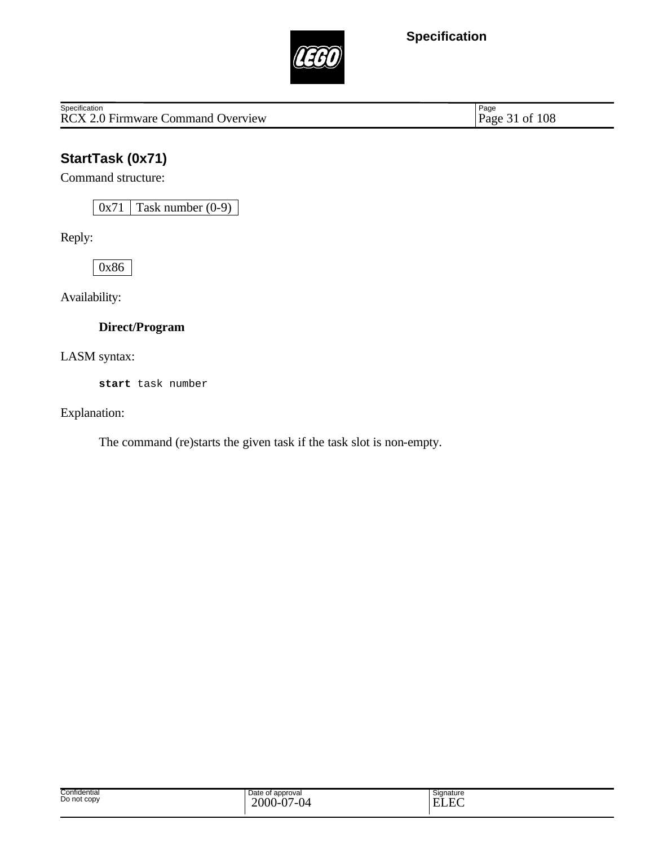

Specification<br>
RCX 2.0 Firmware Command Overview Page 31 of 108

Page 31 of 108

# **StartTask (0x71)**

Command structure:

 $0x71$  Task number  $(0-9)$ 

Reply:

0x86

Availability:

#### **Direct/Program**

LASM syntax:

**start** task number

Explanation:

The command (re)starts the given task if the task slot is non-empty.

| Confidential<br>Do not copy | Date of approval<br>2000-<br>$\sim$<br>$\sim$<br>/_( )⊿<br>v<br>◡ | Signature<br>Ē<br>$\overline{\phantom{0}}$<br>. .<br>. .<br>-<br>- |
|-----------------------------|-------------------------------------------------------------------|--------------------------------------------------------------------|
|-----------------------------|-------------------------------------------------------------------|--------------------------------------------------------------------|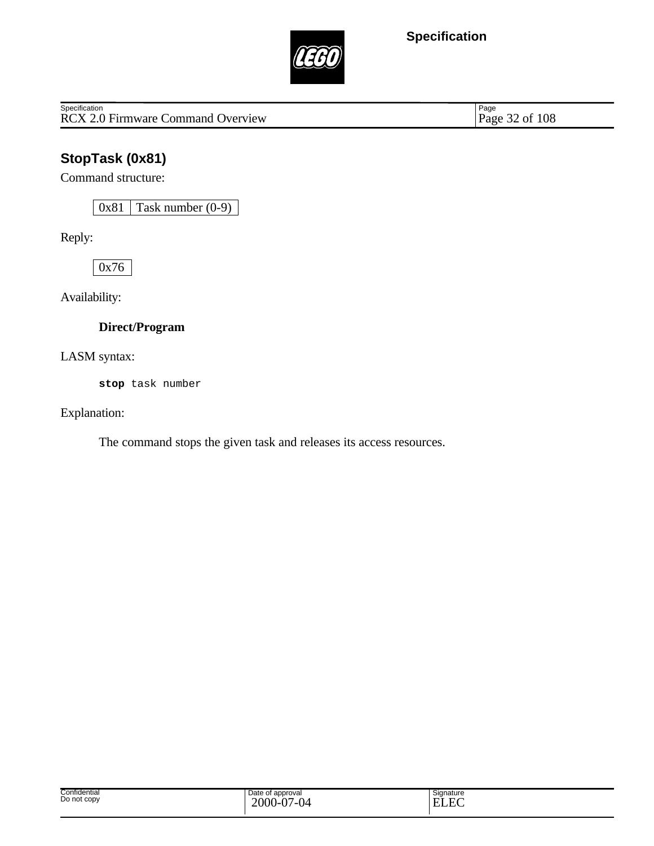

Specification<br>
RCX 2.0 Firmware Command Overview Page 32 of 108

Page 32 of 108

# **StopTask (0x81)**

Command structure:

 $0x81$  Task number  $(0-9)$ 

Reply:

0x76

Availability:

#### **Direct/Program**

LASM syntax:

**stop** task number

Explanation:

The command stops the given task and releases its access resources.

| Confidential<br>Do not copy | Date of approval<br>2000<br>$\Delta$<br>04<br>. I-V. | $\sim$<br>Signature<br>$\Gamma$<br>$\mathbf{E}$<br>H (<br>حتللت |
|-----------------------------|------------------------------------------------------|-----------------------------------------------------------------|
|-----------------------------|------------------------------------------------------|-----------------------------------------------------------------|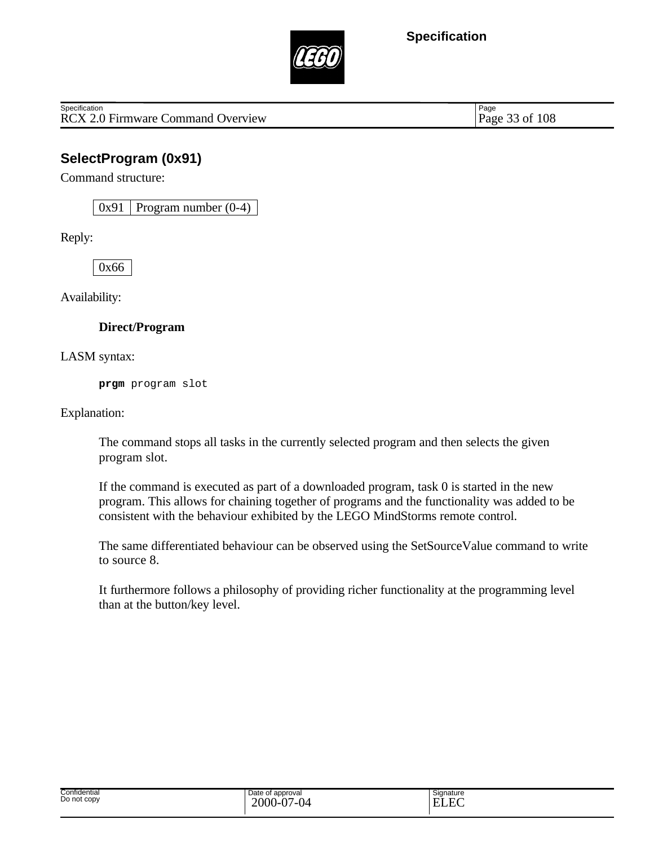

RCX 2.0 Firmware Command Overview Page 33 of 108 **Specification** 

Page

### **SelectProgram (0x91)**

Command structure:

 $0x91$  Program number  $(0-4)$ 

Reply:

0x66

Availability:

#### **Direct/Program**

LASM syntax:

**prgm** program slot

Explanation:

The command stops all tasks in the currently selected program and then selects the given program slot.

If the command is executed as part of a downloaded program, task 0 is started in the new program. This allows for chaining together of programs and the functionality was added to be consistent with the behaviour exhibited by the LEGO MindStorms remote control.

The same differentiated behaviour can be observed using the SetSourceValue command to write to source 8.

It furthermore follows a philosophy of providing richer functionality at the programming level than at the button/key level.

| Confidential<br>. | Date of approval               | Signature          |
|-------------------|--------------------------------|--------------------|
| Do not copy       | $\Delta$<br>2000<br>$\sqrt{ }$ | $\Gamma$<br>н<br>- |
|                   | ---<br>$\sqrt{2}$<br>v.<br>◡   | uli                |
|                   |                                |                    |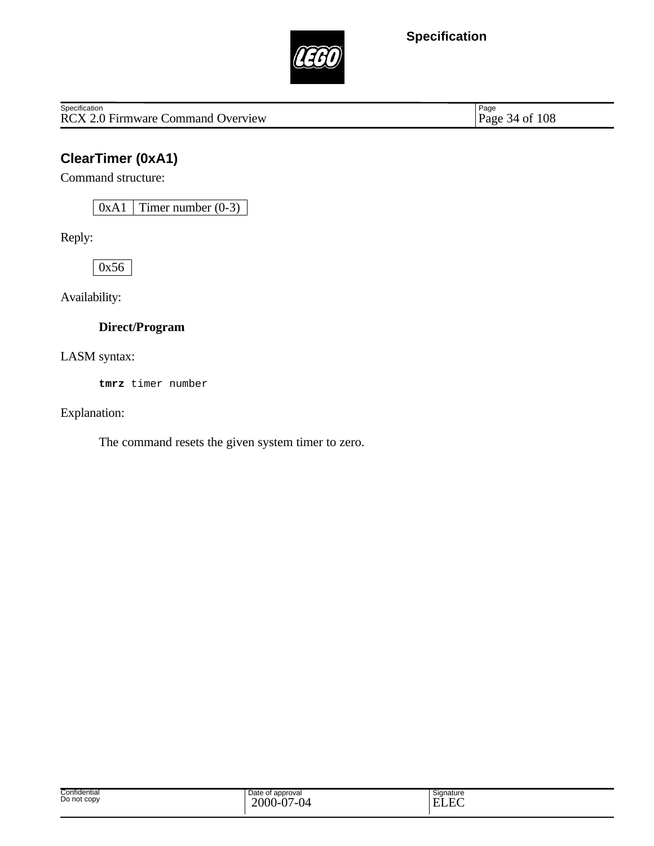

Specification<br>
RCX 2.0 Firmware Command Overview Page 34 of 108

Page 34 of 108

## **ClearTimer (0xA1)**

Command structure:

 $0xA1$  Timer number  $(0-3)$ 

Reply:

0x56

Availability:

#### **Direct/Program**

LASM syntax:

**tmrz** timer number

Explanation:

The command resets the given system timer to zero.

| Confidential<br>Do not copy | Date of approval<br>2000<br>$\Delta$<br>04<br>. I-V. | $\sim$<br>Signature<br>$\Gamma$<br>$\mathbf{E}$<br>H (<br>حتللت |
|-----------------------------|------------------------------------------------------|-----------------------------------------------------------------|
|-----------------------------|------------------------------------------------------|-----------------------------------------------------------------|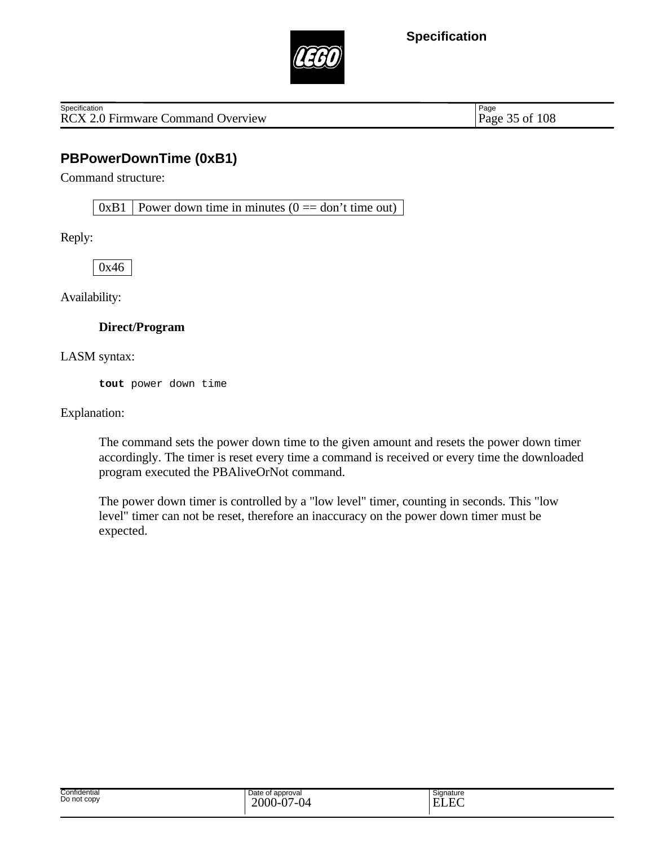

RCX 2.0 Firmware Command Overview Page 35 of 108 **Specification** 

Page

## **PBPowerDownTime (0xB1)**

Command structure:

 $0xB1$  Power down time in minutes ( $0 ==$  don't time out)

Reply:

0x46

Availability:

#### **Direct/Program**

LASM syntax:

**tout** power down time

Explanation:

The command sets the power down time to the given amount and resets the power down timer accordingly. The timer is reset every time a command is received or every time the downloaded program executed the PBAliveOrNot command.

The power down timer is controlled by a "low level" timer, counting in seconds. This "low level" timer can not be reset, therefore an inaccuracy on the power down timer must be expected.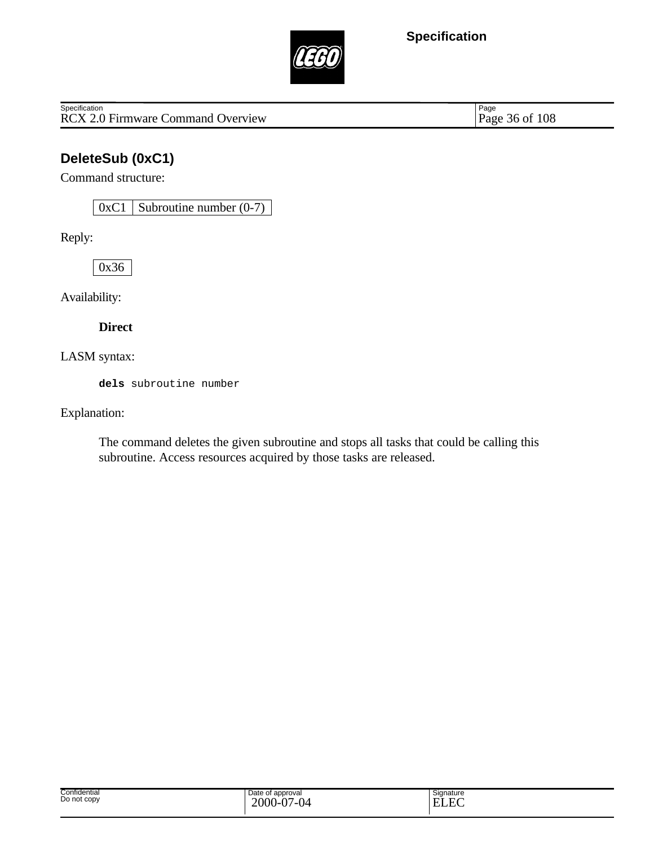

RCX 2.0 Firmware Command Overview **Specification** 

Page 36 of 108

## **DeleteSub (0xC1)**

Command structure:

 $0xC1$  Subroutine number  $(0-7)$ 

Reply:

0x36

Availability:

**Direct**

LASM syntax:

**dels** subroutine number

Explanation:

The command deletes the given subroutine and stops all tasks that could be calling this subroutine. Access resources acquired by those tasks are released.

| Date of approval<br>2000<br>Ò٦<br>$\sim$<br>1 M<br>.<br>.<br>v.<br>v | Signature<br>$\Gamma$<br>┳,<br>н<br>-<br>LLL |
|----------------------------------------------------------------------|----------------------------------------------|
|                                                                      |                                              |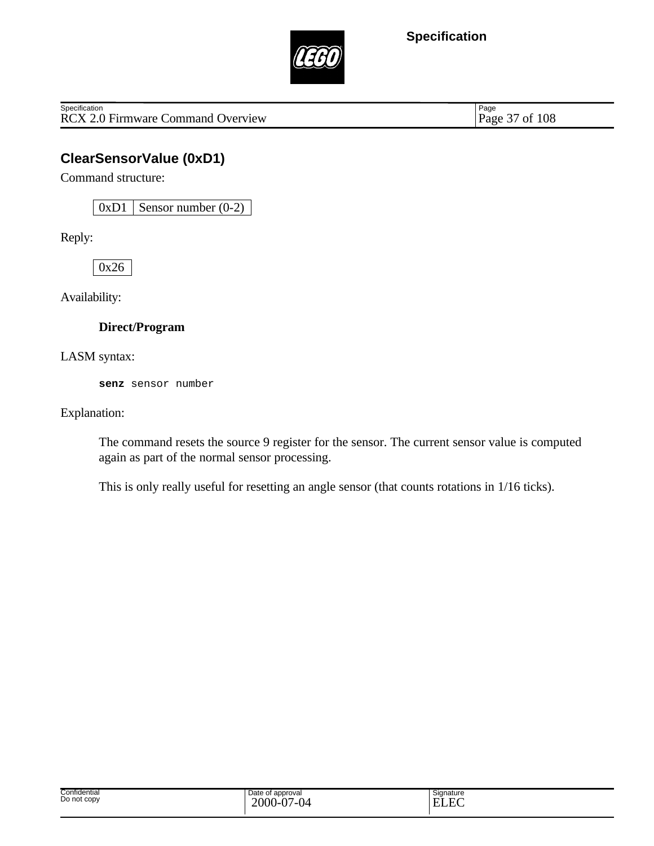

RCX 2.0 Firmware Command Overview **Specification** 

Page 37 of 108

## **ClearSensorValue (0xD1)**

Command structure:

 $0xD1$  Sensor number  $(0-2)$ 

Reply:

0x26

Availability:

### **Direct/Program**

LASM syntax:

**senz** sensor number

Explanation:

The command resets the source 9 register for the sensor. The current sensor value is computed again as part of the normal sensor processing.

This is only really useful for resetting an angle sensor (that counts rotations in 1/16 ticks).

| Confidential<br>Do not copy | Date of approval<br>2000<br>$\overline{a}$<br>$\sim$<br>ื้น<br>$\epsilon = 1$<br><br>υ.<br>ັ | Signature<br>$\Gamma$<br>н.<br>-<br>w |
|-----------------------------|----------------------------------------------------------------------------------------------|---------------------------------------|
|-----------------------------|----------------------------------------------------------------------------------------------|---------------------------------------|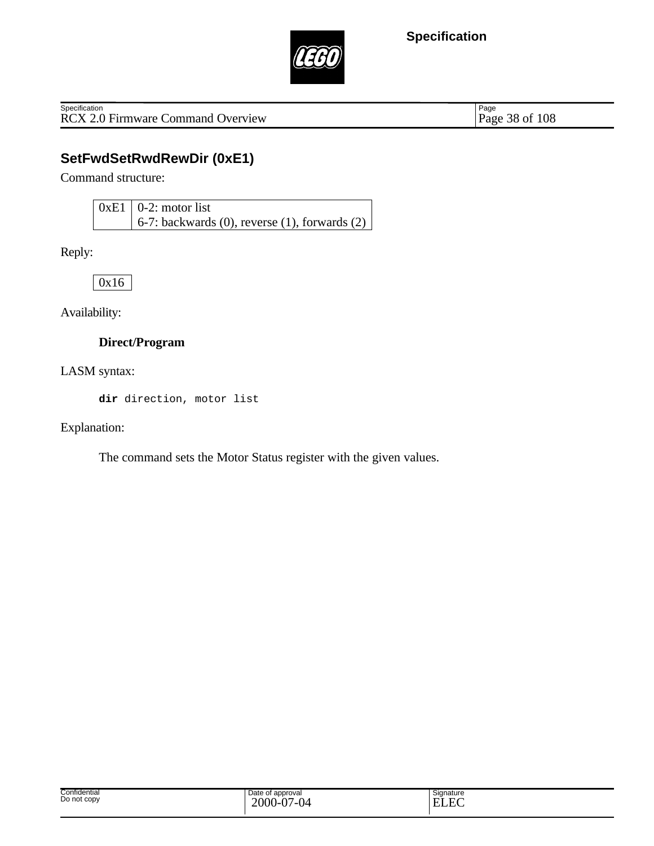

RCX 2.0 Firmware Command Overview **Specification** 

Page 38 of 108

## **SetFwdSetRwdRewDir (0xE1)**

Command structure:

 $0xE1$  0-2: motor list 6-7: backwards (0), reverse (1), forwards (2)

Reply:

0x16

Availability:

#### **Direct/Program**

LASM syntax:

**dir** direction, motor list

Explanation:

The command sets the Motor Status register with the given values.

| Date of<br>approval<br>$2000 -$<br>$\Delta$<br>7-04<br>$\mathbf v$<br>$\cdot$ | $\overline{\phantom{0}}$<br>Signature<br>E<br>. . |
|-------------------------------------------------------------------------------|---------------------------------------------------|
|                                                                               |                                                   |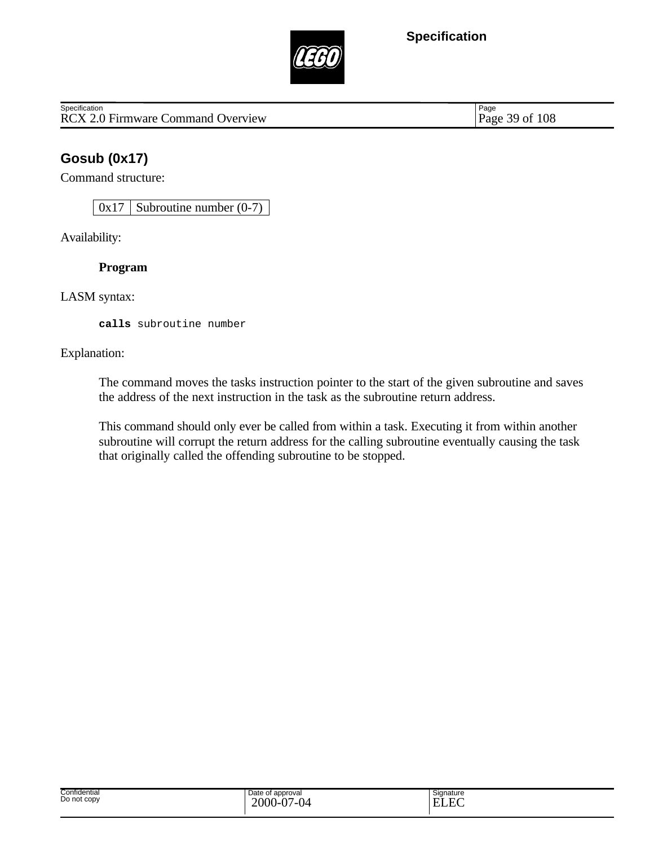

RCX 2.0 Firmware Command Overview Page 39 of 108 **Specification** 

Page

## **Gosub (0x17)**

Command structure:

 $0x17$  Subroutine number  $(0-7)$ 

Availability:

**Program**

LASM syntax:

**calls** subroutine number

Explanation:

The command moves the tasks instruction pointer to the start of the given subroutine and saves the address of the next instruction in the task as the subroutine return address.

This command should only ever be called from within a task. Executing it from within another subroutine will corrupt the return address for the calling subroutine eventually causing the task that originally called the offending subroutine to be stopped.

| Confidential<br>Date of approval<br>Do not copy<br>$\Delta$<br>2000<br>.<br>v | $ -$<br>$\sim$<br>-<br>.<br>v | Signature<br>$\Gamma$<br>. H.A<br>$\sim$ |
|-------------------------------------------------------------------------------|-------------------------------|------------------------------------------|
|-------------------------------------------------------------------------------|-------------------------------|------------------------------------------|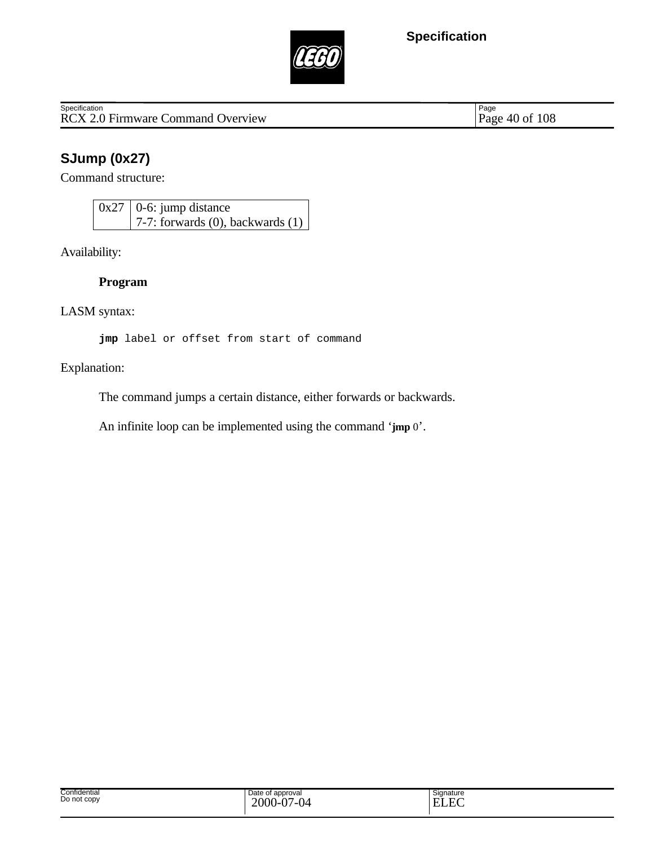

RCX 2.0 Firmware Command Overview **Specification** 

Page 40 of 108

## **SJump (0x27)**

Command structure:

 $0x27$  0-6: jump distance 7-7: forwards (0), backwards (1)

Availability:

**Program**

LASM syntax:

**jmp** label or offset from start of command

Explanation:

The command jumps a certain distance, either forwards or backwards.

An infinite loop can be implemented using the command '**jmp** 0'.

| Date of<br>approval<br>$2000 -$<br>$\Delta$<br>7-04<br>$\mathbf v$<br>$\cdot$ | $\overline{\phantom{0}}$<br>Signature<br>E<br>. . |
|-------------------------------------------------------------------------------|---------------------------------------------------|
|                                                                               |                                                   |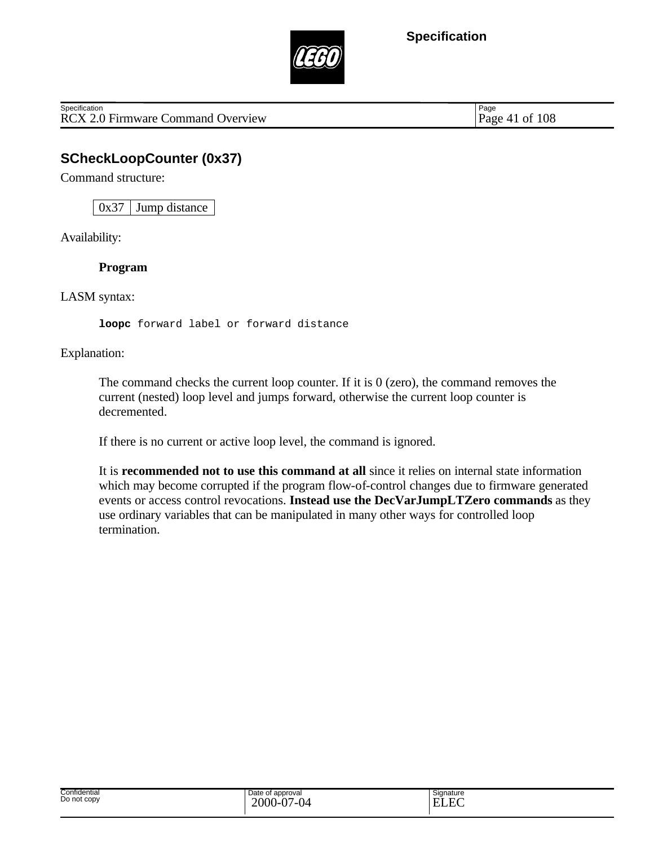

RCX 2.0 Firmware Command Overview Page 41 of 108 **Specification** 

Page

# **SCheckLoopCounter (0x37)**

Command structure:

 $0x37$  Jump distance

Availability:

**Program**

LASM syntax:

**loopc** forward label or forward distance

Explanation:

The command checks the current loop counter. If it is 0 (zero), the command removes the current (nested) loop level and jumps forward, otherwise the current loop counter is decremented.

If there is no current or active loop level, the command is ignored.

It is **recommended not to use this command at all** since it relies on internal state information which may become corrupted if the program flow-of-control changes due to firmware generated events or access control revocations. **Instead use the DecVarJumpLTZero commands** as they use ordinary variables that can be manipulated in many other ways for controlled loop termination.

| Confidential<br>Do not copy | Date of approval<br>$2000-0'$<br>$7 - \Omega$<br>Ñ7<br>v | Signature<br>$\Gamma$<br>$ -$<br>ь<br>н.<br>حصابا |
|-----------------------------|----------------------------------------------------------|---------------------------------------------------|
|-----------------------------|----------------------------------------------------------|---------------------------------------------------|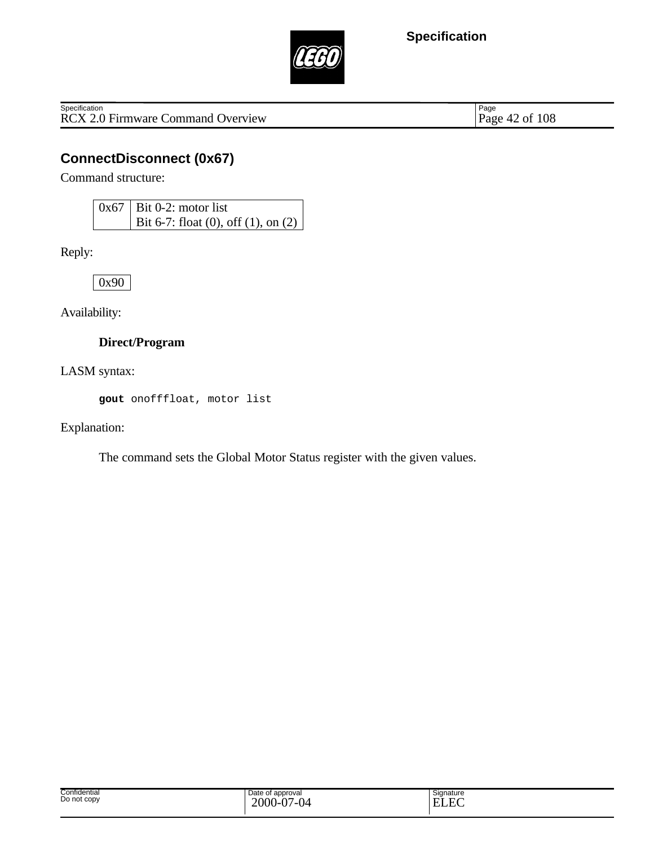

Specification<br>
RCX 2.0 Firmware Command Overview Page 42 of 108

Page 42 of 108

## **ConnectDisconnect (0x67)**

Command structure:

| $0x67$   Bit 0-2: motor list                |
|---------------------------------------------|
| Bit 6-7: float (0), off (1), on (2) $\vert$ |

Reply:

0x90

Availability:

### **Direct/Program**

LASM syntax:

**gout** onofffloat, motor list

Explanation:

The command sets the Global Motor Status register with the given values.

| Confidential<br>. | Date of<br>of approval                 | Signature                     |
|-------------------|----------------------------------------|-------------------------------|
| Do not copy       | $\Delta$<br>$2000 -$<br>7-04<br>◡<br>v | $\sim$<br>$\mathbf{E}$<br>. . |
|                   |                                        |                               |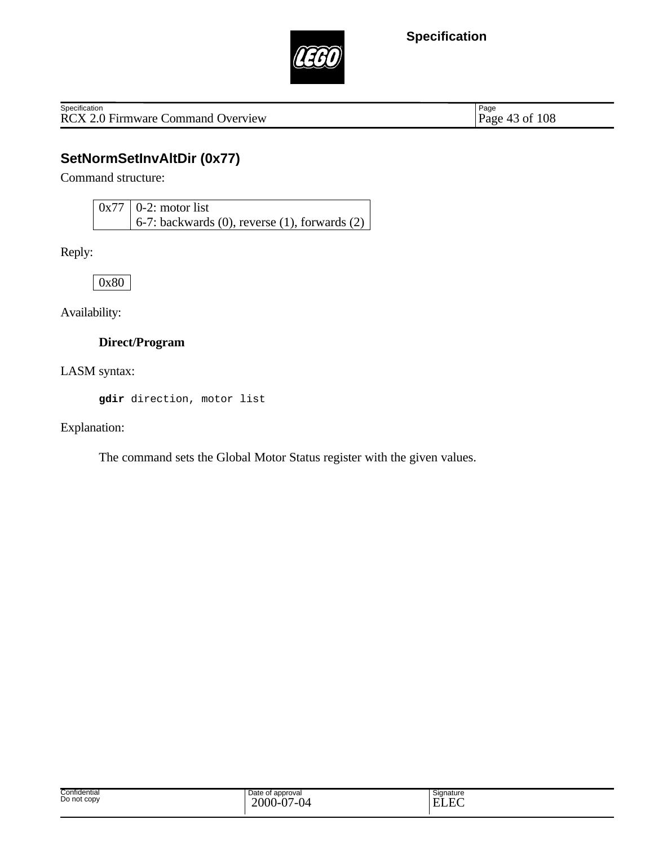

RCX 2.0 Firmware Command Overview **Specification** 

Page 43 of 108

## **SetNormSetInvAltDir (0x77)**

Command structure:

 $0x77$  0-2: motor list 6-7: backwards (0), reverse (1), forwards (2)

Reply:

0x80

Availability:

#### **Direct/Program**

LASM syntax:

**gdir** direction, motor list

Explanation:

The command sets the Global Motor Status register with the given values.

| Confidential<br>Do not copy | Date of<br>of approval<br>$\Delta$ $\sim$<br>$2000 -$<br>7-04<br>◡ | Signature<br>$\sim$<br>E<br>. |
|-----------------------------|--------------------------------------------------------------------|-------------------------------|
|-----------------------------|--------------------------------------------------------------------|-------------------------------|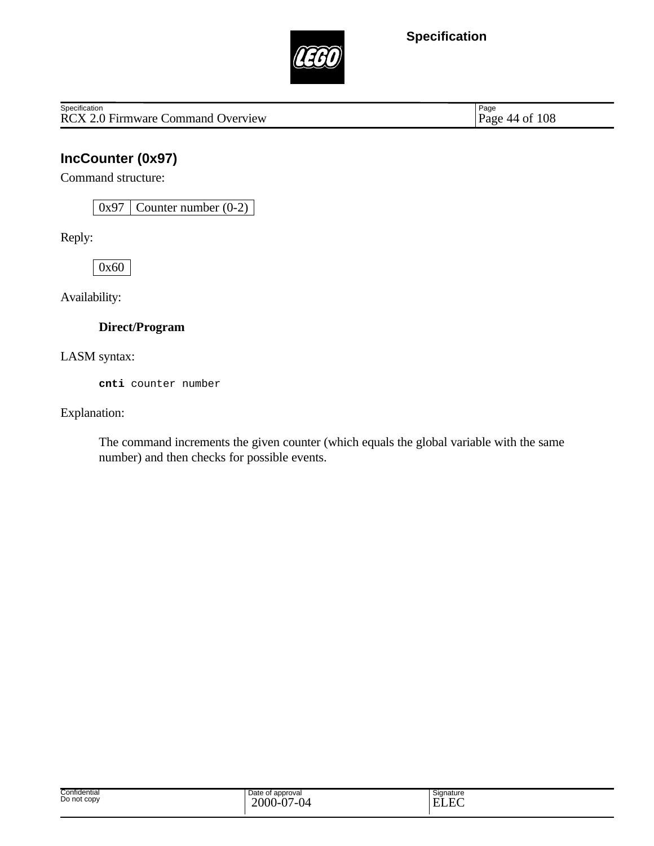

RCX 2.0 Firmware Command Overview **Specification** 

Page 44 of 108

## **IncCounter (0x97)**

Command structure:

 $0x97$  Counter number  $(0-2)$ 

Reply:

0x60

Availability:

### **Direct/Program**

LASM syntax:

**cnti** counter number

Explanation:

The command increments the given counter (which equals the global variable with the same number) and then checks for possible events.

| Confidential<br>Do not copy | Date of approval<br>2000<br>$\Delta$<br>$\sim$<br>.<br>.<br>v.<br>ັ | Signature<br>$\sim$<br>$\Gamma$<br>T<br>н<br>-<br>www |  |
|-----------------------------|---------------------------------------------------------------------|-------------------------------------------------------|--|
|-----------------------------|---------------------------------------------------------------------|-------------------------------------------------------|--|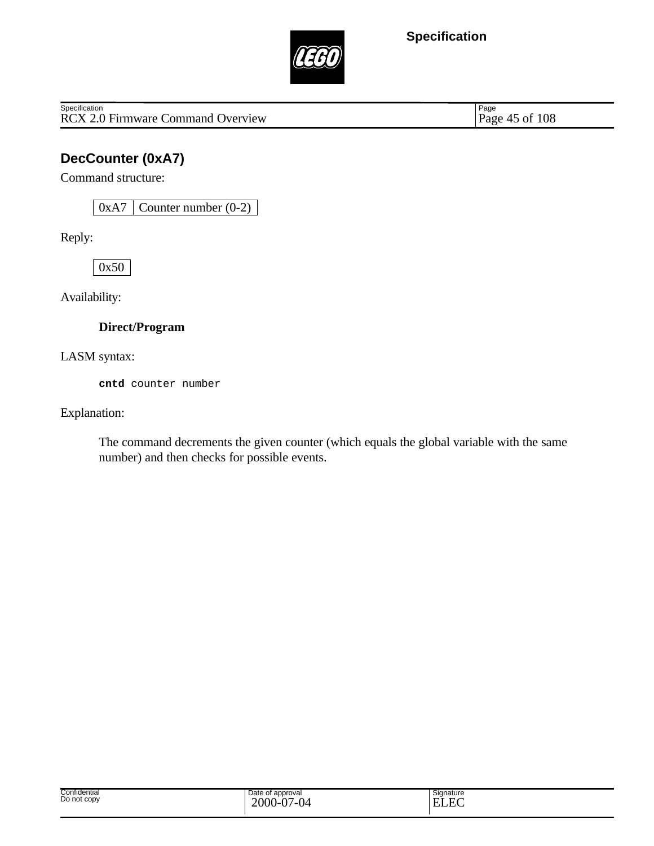

RCX 2.0 Firmware Command Overview **Specification** 

Page 45 of 108

## **DecCounter (0xA7)**

Command structure:

 $0xA7$  Counter number  $(0-2)$ 

Reply:

0x50

Availability:

### **Direct/Program**

LASM syntax:

**cntd** counter number

Explanation:

The command decrements the given counter (which equals the global variable with the same number) and then checks for possible events.

| Confidential<br>Do not copy | Date of approval<br>2000<br>$J-07$<br>/_∩∠<br>$\mathbf{U}^-$ | Signature<br>$\Gamma$<br><b>TIT</b><br>н<br>-<br>LLL |
|-----------------------------|--------------------------------------------------------------|------------------------------------------------------|
|-----------------------------|--------------------------------------------------------------|------------------------------------------------------|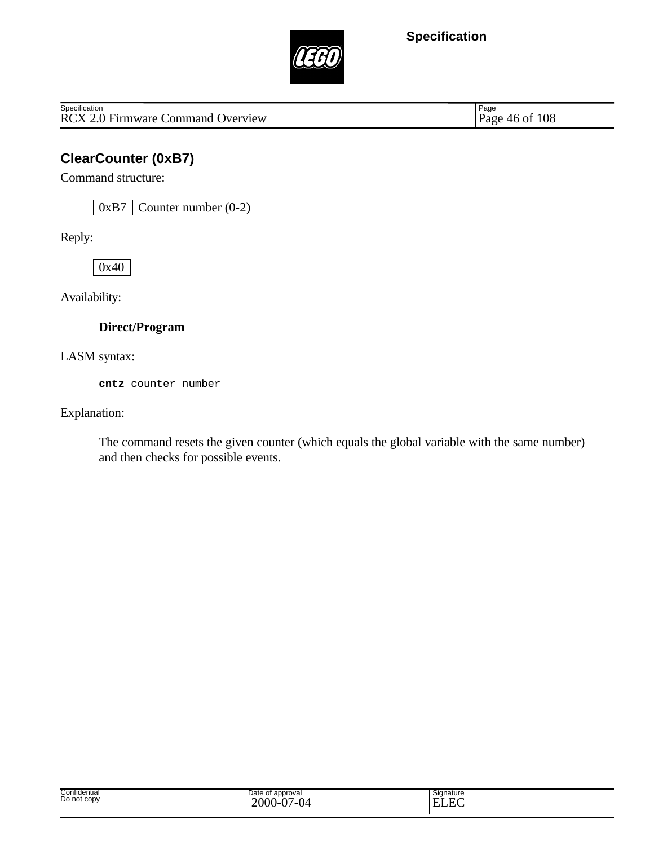

RCX 2.0 Firmware Command Overview **Specification** 

Page 46 of 108

## **ClearCounter (0xB7)**

Command structure:

0xB7 Counter number (0-2)

Reply:

0x40

Availability:

#### **Direct/Program**

LASM syntax:

**cntz** counter number

Explanation:

The command resets the given counter (which equals the global variable with the same number) and then checks for possible events.

| Confidential<br>Do not copy | Date of<br>of approval<br>$\Delta$ $\sim$<br>$2000 -$<br>7-04<br>◡ | Signature<br>$\sim$<br>E<br>. |
|-----------------------------|--------------------------------------------------------------------|-------------------------------|
|-----------------------------|--------------------------------------------------------------------|-------------------------------|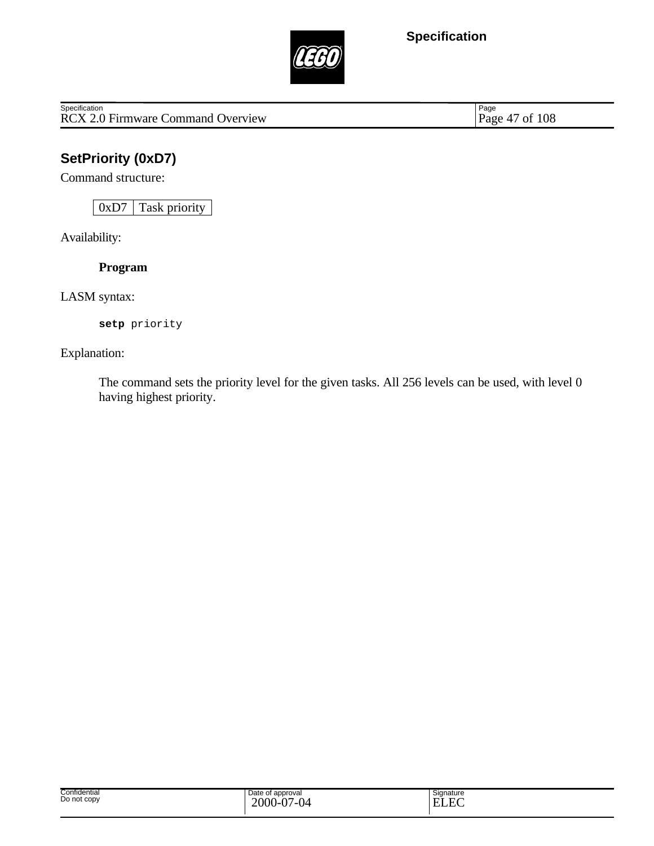

Specification<br>
RCX 2.0 Firmware Command Overview Page 47 of 108

Page 47 of 108

# **SetPriority (0xD7)**

Command structure:

0xD7 Task priority

Availability:

**Program**

LASM syntax:

**setp** priority

Explanation:

The command sets the priority level for the given tasks. All 256 levels can be used, with level 0 having highest priority.

| Confidential<br>Do not copy | Date of<br>approval<br>∍∩∩∩<br>$\sim$<br>' 14<br>∠∪∪∪<br>---<br>`V /<br>◡ | Signature<br>. <del>. .</del><br>T.<br>$\overline{\phantom{0}}$<br>н.<br>. .<br>.г<br>$\overline{\phantom{a}}$<br>$\lambda$ |
|-----------------------------|---------------------------------------------------------------------------|-----------------------------------------------------------------------------------------------------------------------------|
|-----------------------------|---------------------------------------------------------------------------|-----------------------------------------------------------------------------------------------------------------------------|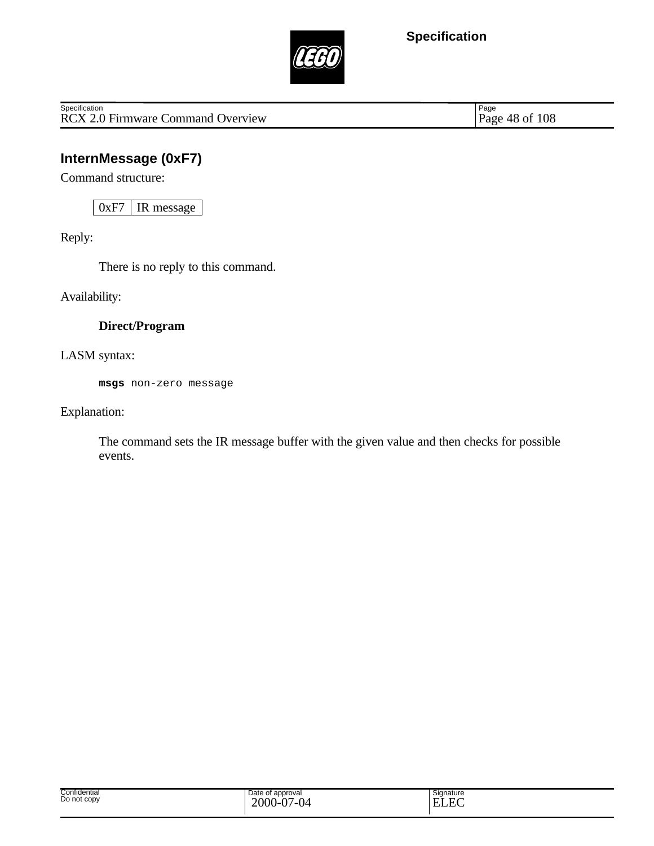

RCX 2.0 Firmware Command Overview **Specification** 

Page 48 of 108

## **InternMessage (0xF7)**

Command structure:

0xF7 | IR message

Reply:

There is no reply to this command.

Availability:

### **Direct/Program**

LASM syntax:

**msgs** non-zero message

Explanation:

The command sets the IR message buffer with the given value and then checks for possible events.

| Date of<br>approval<br>$2000 -$<br>$\Delta$<br>7-04<br>$\mathbf v$<br>$\cdot$ | $\overline{\phantom{0}}$<br>Signature<br>E<br>. . |
|-------------------------------------------------------------------------------|---------------------------------------------------|
|                                                                               |                                                   |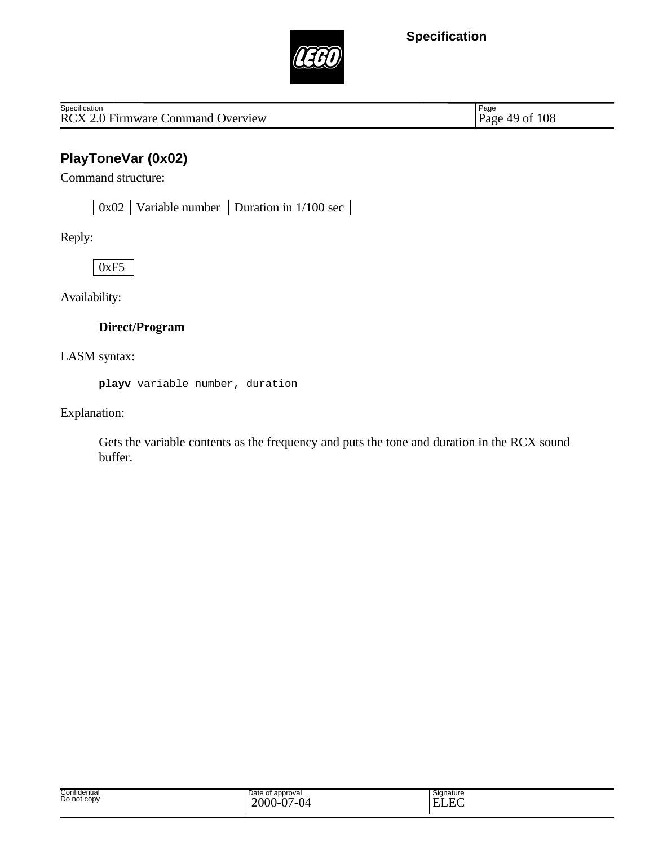

RCX 2.0 Firmware Command Overview **Specification** 

Page 49 of 108

## **PlayToneVar (0x02)**

Command structure:

0x02 Variable number Duration in 1/100 sec

Reply:

0xF5

Availability:

#### **Direct/Program**

LASM syntax:

**playv** variable number, duration

Explanation:

Gets the variable contents as the frequency and puts the tone and duration in the RCX sound buffer.

| Confidential<br>Do not copy | Date of<br>of approval<br>$\Delta$ $\sim$<br>$2000 -$<br>7-04<br>◡ | Signature<br>$\sim$<br>E<br>. |
|-----------------------------|--------------------------------------------------------------------|-------------------------------|
|-----------------------------|--------------------------------------------------------------------|-------------------------------|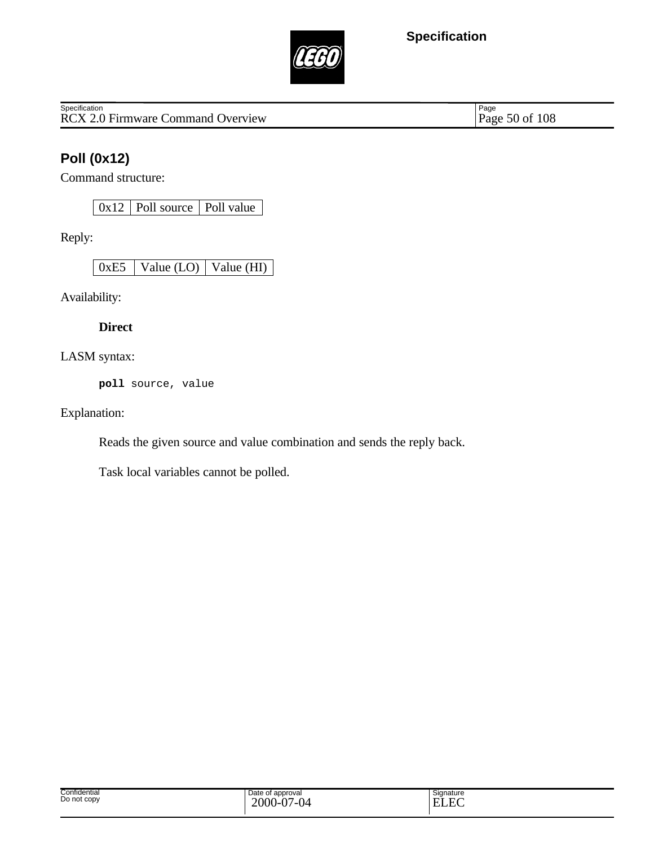

RCX 2.0 Firmware Command Overview **Specification** 

Page 50 of 108

## **Poll (0x12)**

Command structure:

0x12 | Poll source | Poll value

Reply:

0xE5 Value (LO) Value (HI)

Availability:

**Direct**

LASM syntax:

**poll** source, value

Explanation:

Reads the given source and value combination and sends the reply back.

Task local variables cannot be polled.

| Confidential<br>Date of approval<br>.<br>Do not copy<br>2000-<br>$\sim$<br>$\sim$<br>$\cdot$<br>$\cdot$ | Signature<br>−<br>. .<br>. .<br>- |
|---------------------------------------------------------------------------------------------------------|-----------------------------------|
|---------------------------------------------------------------------------------------------------------|-----------------------------------|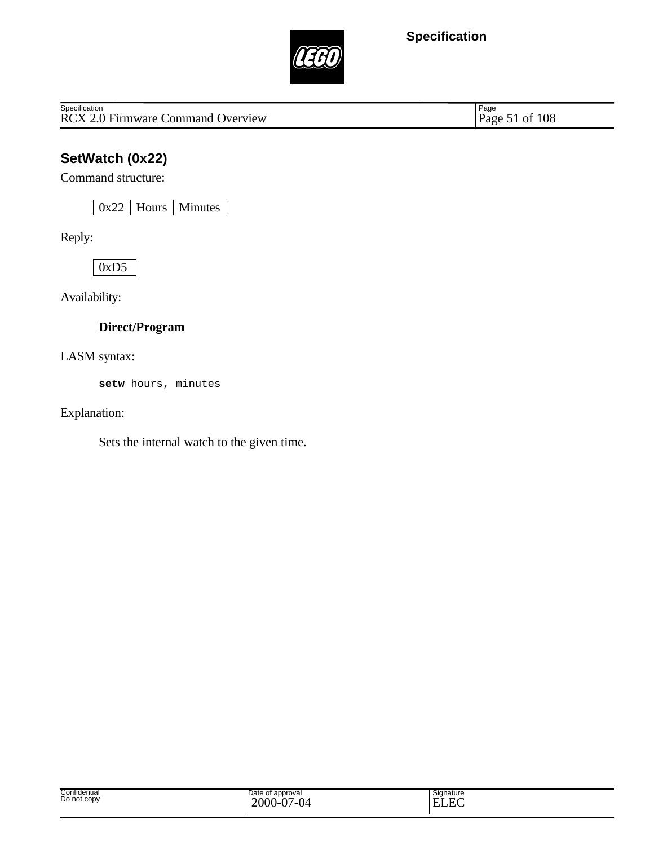

Specification<br>
RCX 2.0 Firmware Command Overview Page 51 of 108

Page 51 of 108

# **SetWatch (0x22)**

Command structure:

0x22 Hours Minutes

Reply:

0xD5

Availability:

### **Direct/Program**

LASM syntax:

**setw** hours, minutes

Explanation:

Sets the internal watch to the given time.

| Confidential<br>Do not copy | Date of approval<br>$2000 - 0'$<br>$\Delta$ $\sim$<br>04 | Signature<br>$\sim$<br>TJ.<br>н.<br>.<br>.г<br>. .<br>ww. |
|-----------------------------|----------------------------------------------------------|-----------------------------------------------------------|
|-----------------------------|----------------------------------------------------------|-----------------------------------------------------------|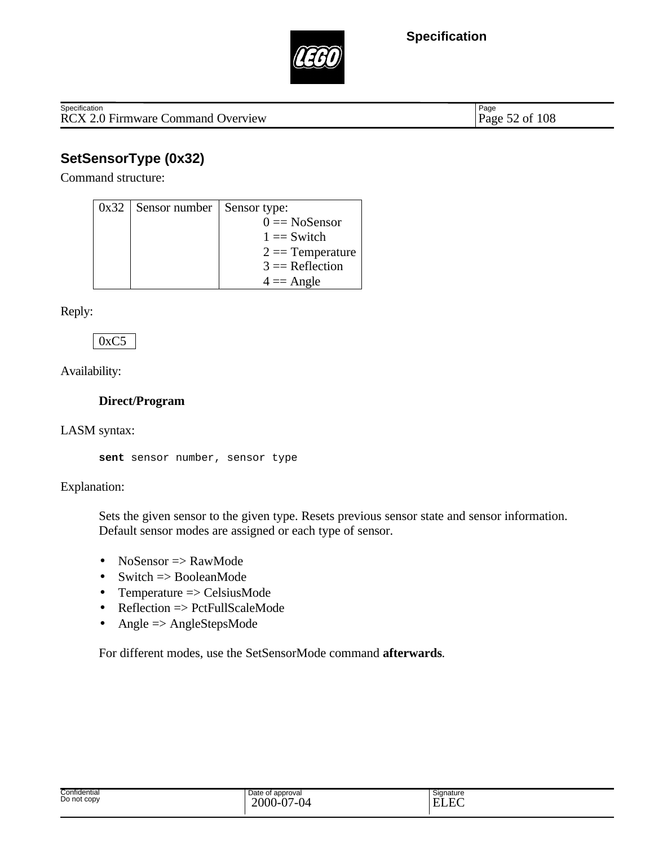

RCX 2.0 Firmware Command Overview Page 52 of 108 **Specification** 

Page

# **SetSensorType (0x32)**

Command structure:

| 0x32 | Sensor number | Sensor type:       |
|------|---------------|--------------------|
|      |               | $0 = NoSensor$     |
|      |               | $1 =$ Switch       |
|      |               | $2 ==$ Temperature |
|      |               | $3 =$ Reflection   |
|      |               | $4 = \text{Angle}$ |

Reply:

 $0xC5$ 

Availability:

#### **Direct/Program**

LASM syntax:

**sent** sensor number, sensor type

#### Explanation:

Sets the given sensor to the given type. Resets previous sensor state and sensor information. Default sensor modes are assigned or each type of sensor.

- NoSensor  $\Rightarrow$  RawMode
- Switch  $\Rightarrow$  BooleanMode
- Temperature => CelsiusMode
- Reflection  $\Rightarrow$  PctFullScaleMode
- Angle  $\Rightarrow$  AngleStepsMode

For different modes, use the SetSensorMode command **afterwards**.

| Confidential<br>Do not copy | Date<br>approval<br>$\sim$<br>1 M | Signature<br>$\Gamma$<br>. .<br>-<br>-<br> |
|-----------------------------|-----------------------------------|--------------------------------------------|
|                             |                                   |                                            |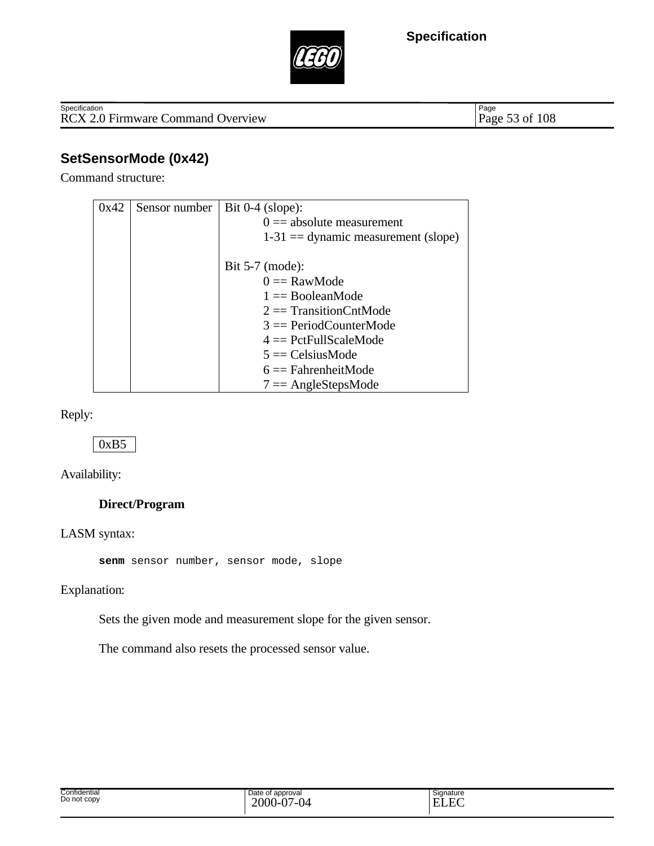



RCX 2.0 Firmware Command Overview **Specification** 

Page 53 of 108

## **SetSensorMode (0x42)**

Command structure:

| 0x42 | Sensor number | Bit $0-4$ (slope):                   |
|------|---------------|--------------------------------------|
|      |               | $0 ==$ absolute measurement          |
|      |               | $1-31 =$ dynamic measurement (slope) |
|      |               |                                      |
|      |               | Bit $5-7$ (mode):                    |
|      |               | $0 = \text{RawMode}$                 |
|      |               | $1 =$ BooleanMode                    |
|      |               | $2 \equiv$ Transition CntMode        |
|      |               | $3 =$ PeriodCounterMode              |
|      |               | $4 = PetFullScaleMode$               |
|      |               | $5 = CelsiusMode$                    |
|      |               | $6 =$ FahrenheitMode                 |
|      |               | $7 = AngleStepsMode$                 |

Reply:

### 0xB5

Availability:

### **Direct/Program**

LASM syntax:

**senm** sensor number, sensor mode, slope

Explanation:

Sets the given mode and measurement slope for the given sensor.

The command also resets the processed sensor value.

| ี confidentiaเ<br>וטש | approval | Signature          |
|-----------------------|----------|--------------------|
| Do not copy           | $\sim$   | –<br>$\sim$<br>. . |
|                       |          |                    |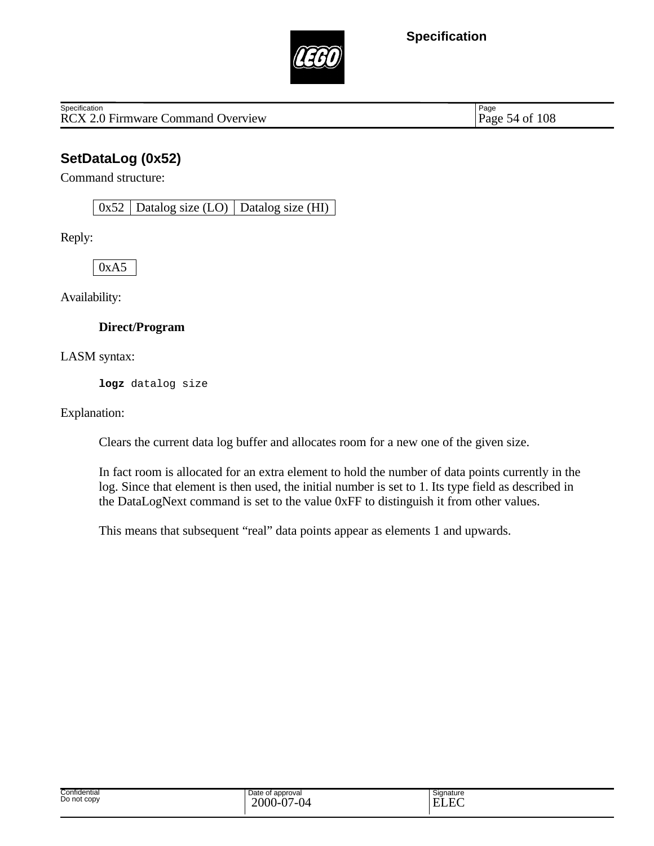

RCX 2.0 Firmware Command Overview Page 54 of 108 **Specification** 

Page

## **SetDataLog (0x52)**

Command structure:

 $0x52$  Datalog size (LO) Datalog size (HI)

Reply:

0xA5

Availability:

#### **Direct/Program**

LASM syntax:

**logz** datalog size

Explanation:

Clears the current data log buffer and allocates room for a new one of the given size.

In fact room is allocated for an extra element to hold the number of data points currently in the log. Since that element is then used, the initial number is set to 1. Its type field as described in the DataLogNext command is set to the value 0xFF to distinguish it from other values.

This means that subsequent "real" data points appear as elements 1 and upwards.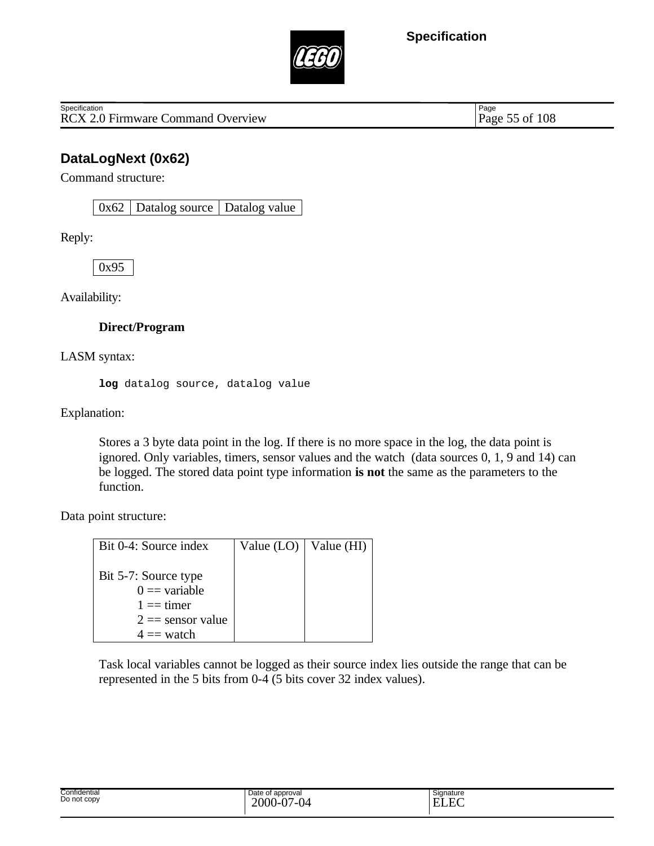

RCX 2.0 Firmware Command Overview Page 55 of 108 **Specification** 

Page

## **DataLogNext (0x62)**

Command structure:

 $0x62$  Datalog source Datalog value

Reply:

0x95

Availability:

#### **Direct/Program**

LASM syntax:

**log** datalog source, datalog value

Explanation:

Stores a 3 byte data point in the log. If there is no more space in the log, the data point is ignored. Only variables, timers, sensor values and the watch (data sources 0, 1, 9 and 14) can be logged. The stored data point type information **is not** the same as the parameters to the function.

Data point structure:

| Bit 0-4: Source index | Value $(LO)$ | $\forall$ alue (HI) |
|-----------------------|--------------|---------------------|
|                       |              |                     |
| Bit 5-7: Source type  |              |                     |
| $0 =$ variable        |              |                     |
| $1 ==$ timer          |              |                     |
| $2 ==$ sensor value   |              |                     |
| $4 ==$ watch          |              |                     |

Task local variables cannot be logged as their source index lies outside the range that can be represented in the 5 bits from 0-4 (5 bits cover 32 index values).

| Date of approval<br>2000<br>Ò٦<br>$\sim$<br>/ LI 1⊿<br>$\mathbf v$<br>v | Signature<br>н |
|-------------------------------------------------------------------------|----------------|
|                                                                         |                |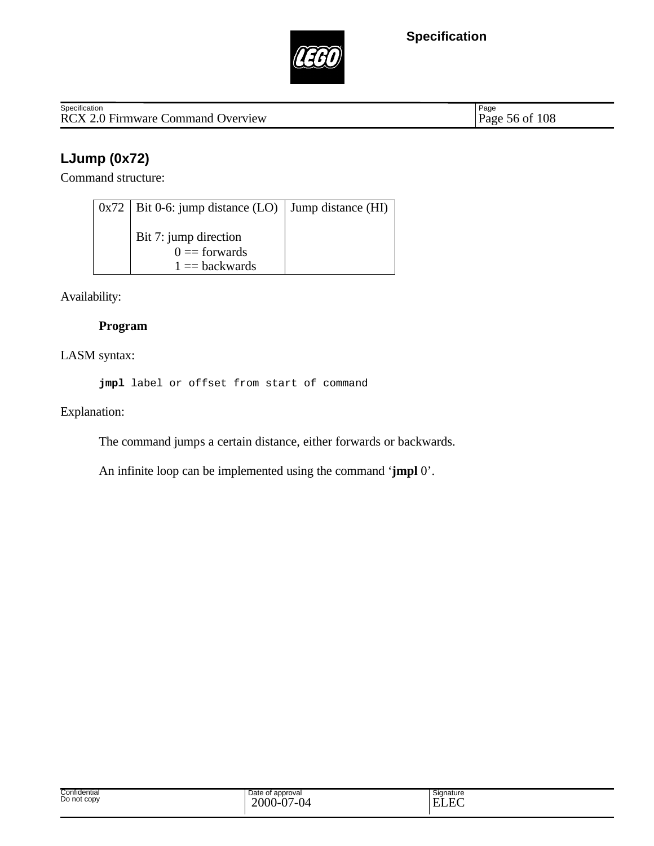



Specification<br>
RCX 2.0 Firmware Command Overview Page 56 of 108

Page 56 of 108

# **LJump (0x72)**

Command structure:

| $0x72$   Bit 0-6: jump distance (LO)   Jump distance (HI)  |  |
|------------------------------------------------------------|--|
| Bit 7: jump direction<br>$0 =$ forwards<br>$1 = backwards$ |  |

Availability:

### **Program**

LASM syntax:

**jmpl** label or offset from start of command

Explanation:

The command jumps a certain distance, either forwards or backwards.

An infinite loop can be implemented using the command '**jmpl** 0'.

| Confidential | Date of approval                       | Signature                                      |
|--------------|----------------------------------------|------------------------------------------------|
| Do not copy  | $\Lambda$<br>2000-<br>$\sim$<br>/_( )⊿ | −<br>–<br>. .<br>-<br>$\overline{\phantom{a}}$ |
|              | v<br>◡                                 | $\lambda$                                      |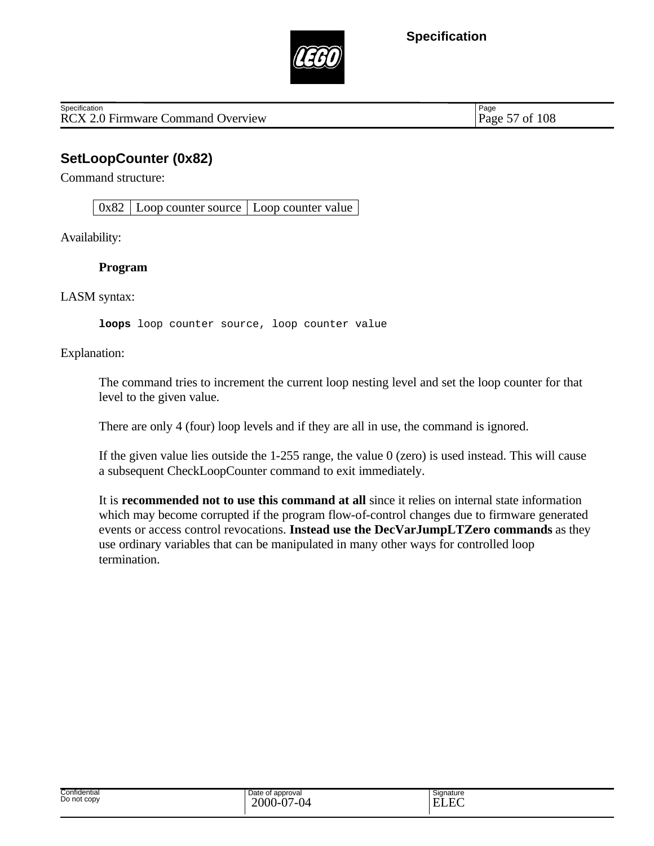

RCX 2.0 Firmware Command Overview Page 57 of 108 **Specification** 

Page

## **SetLoopCounter (0x82)**

Command structure:

 $0x82$  Loop counter source Loop counter value

Availability:

#### **Program**

LASM syntax:

**loops** loop counter source, loop counter value

Explanation:

The command tries to increment the current loop nesting level and set the loop counter for that level to the given value.

There are only 4 (four) loop levels and if they are all in use, the command is ignored.

If the given value lies outside the 1-255 range, the value 0 (zero) is used instead. This will cause a subsequent CheckLoopCounter command to exit immediately.

It is **recommended not to use this command at all** since it relies on internal state information which may become corrupted if the program flow-of-control changes due to firmware generated events or access control revocations. **Instead use the DecVarJumpLTZero commands** as they use ordinary variables that can be manipulated in many other ways for controlled loop termination.

| Signature<br>. . |
|------------------|
|                  |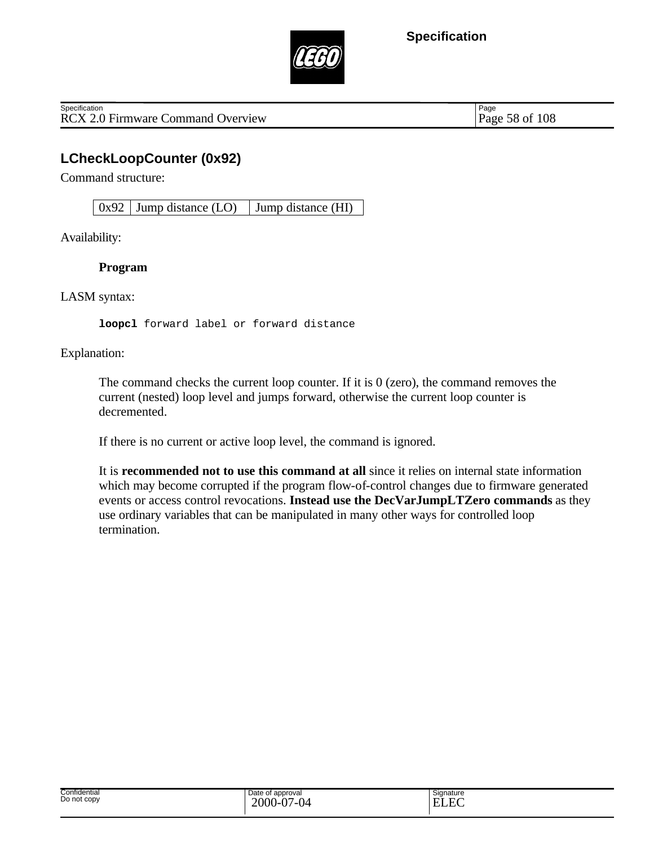

RCX 2.0 Firmware Command Overview Page 58 of 108 **Specification** 

Page

## **LCheckLoopCounter (0x92)**

Command structure:

 $0x92$  Jump distance (LO) Jump distance (HI)

Availability:

#### **Program**

LASM syntax:

**loopcl** forward label or forward distance

Explanation:

The command checks the current loop counter. If it is 0 (zero), the command removes the current (nested) loop level and jumps forward, otherwise the current loop counter is decremented.

If there is no current or active loop level, the command is ignored.

It is **recommended not to use this command at all** since it relies on internal state information which may become corrupted if the program flow-of-control changes due to firmware generated events or access control revocations. **Instead use the DecVarJumpLTZero commands** as they use ordinary variables that can be manipulated in many other ways for controlled loop termination.

| Confidential<br>Date of approval<br>Signature<br>Do not copy<br>2000<br>$\Gamma$<br>$\overline{C}$<br>$\sim$<br>--<br>н<br>-<br>---<br>.<br>v.<br><b>LLV</b><br>v |  |
|-------------------------------------------------------------------------------------------------------------------------------------------------------------------|--|
|-------------------------------------------------------------------------------------------------------------------------------------------------------------------|--|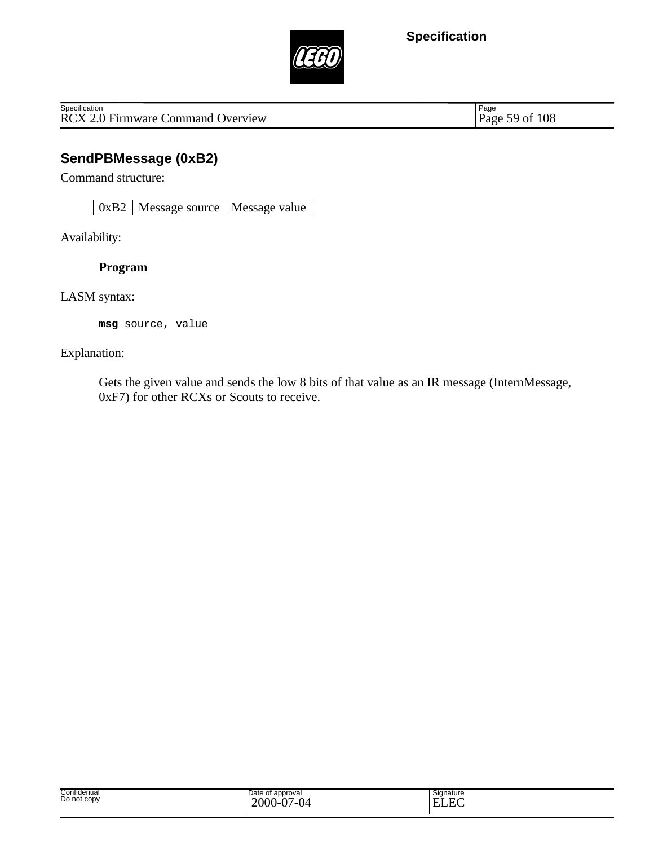

RCX 2.0 Firmware Command Overview **Specification** 

Page 59 of 108

## **SendPBMessage (0xB2)**

Command structure:

0xB2 | Message source | Message value

Availability:

**Program**

LASM syntax:

**msg** source, value

#### Explanation:

Gets the given value and sends the low 8 bits of that value as an IR message (InternMessage, 0xF7) for other RCXs or Scouts to receive.

| Confidential<br>Do not copy | Date of<br>t approval<br>$2000 -$<br>. $\mathsf{D}$<br>7-04<br>.<br>$\mathbf v$<br>v | Signature<br>$\Gamma$<br>FĨ<br>w<br>_______ |
|-----------------------------|--------------------------------------------------------------------------------------|---------------------------------------------|
|-----------------------------|--------------------------------------------------------------------------------------|---------------------------------------------|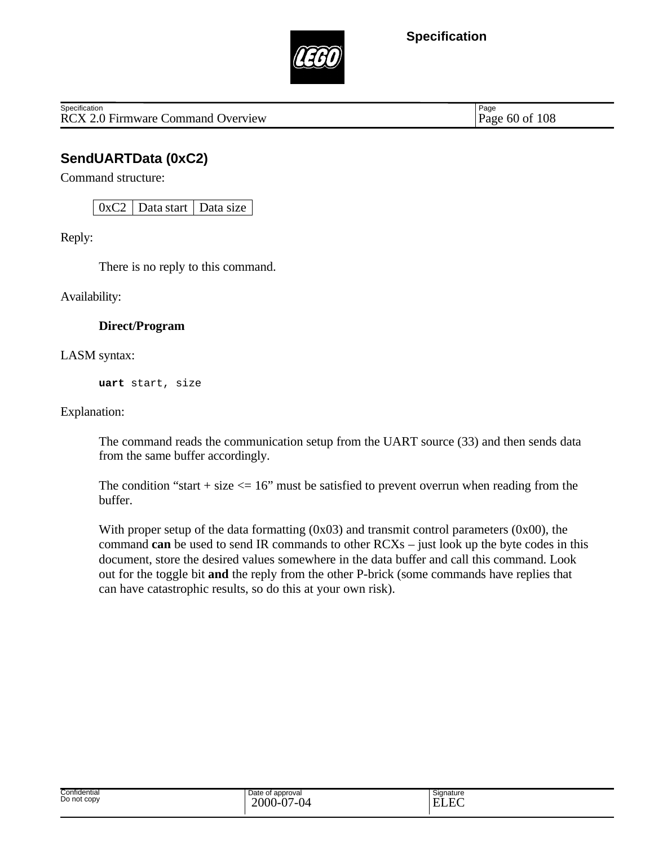

RCX 2.0 Firmware Command Overview Page 60 of 108 **Specification** 

Page

## **SendUARTData (0xC2)**

Command structure:

 $0xC2$  Data start Data size

Reply:

There is no reply to this command.

Availability:

#### **Direct/Program**

LASM syntax:

**uart** start, size

Explanation:

The command reads the communication setup from the UART source (33) and then sends data from the same buffer accordingly.

The condition "start + size  $\leq$  16" must be satisfied to prevent overrun when reading from the buffer.

With proper setup of the data formatting (0x03) and transmit control parameters (0x00), the command **can** be used to send IR commands to other RCXs – just look up the byte codes in this document, store the desired values somewhere in the data buffer and call this command. Look out for the toggle bit **and** the reply from the other P-brick (some commands have replies that can have catastrophic results, so do this at your own risk).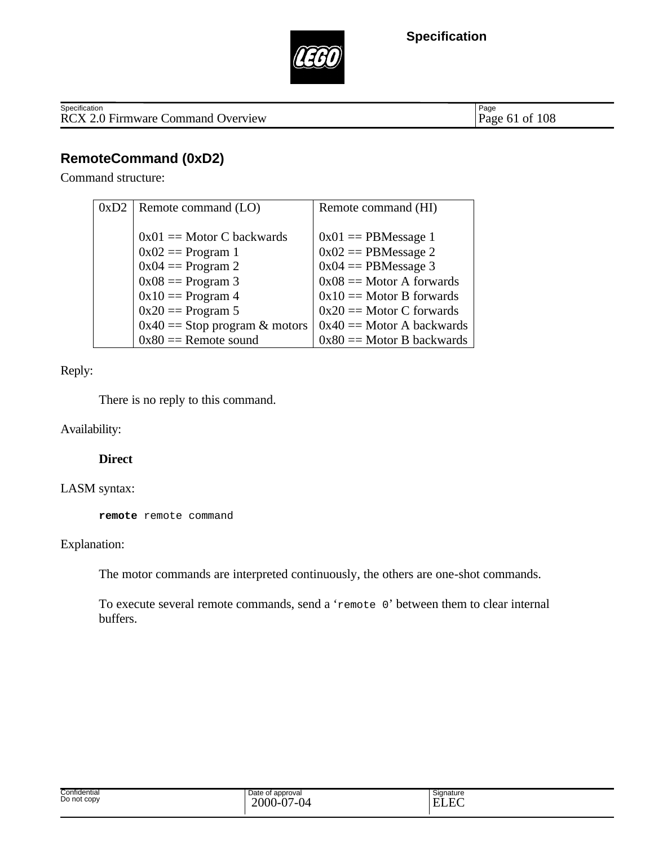



RCX 2.0 Firmware Command Overview **Specification** 

Page 61 of 108

## **RemoteCommand (0xD2)**

Command structure:

| 0xD2 | Remote command (LO)             | Remote command (HI)         |
|------|---------------------------------|-----------------------------|
|      |                                 |                             |
|      | $0x01 ==$ Motor C backwards     | $0x01 == PBMessage 1$       |
|      | $0x02 == Program 1$             | $0x02 == PBMessage 2$       |
|      | $0x04 == Program 2$             | $0x04 == PBMessage 3$       |
|      | $0x08 == Program 3$             | $0x08 ==$ Motor A forwards  |
|      | $0x10 == Program 4$             | $0x10 ==$ Motor B forwards  |
|      | $0x20 == Program 5$             | $0x20 ==$ Motor C forwards  |
|      | $0x40 ==$ Stop program & motors | $0x40 ==$ Motor A backwards |
|      | $0x80 ==$ Remote sound          | $0x80 ==$ Motor B backwards |

Reply:

There is no reply to this command.

Availability:

#### **Direct**

#### LASM syntax:

**remote** remote command

#### Explanation:

The motor commands are interpreted continuously, the others are one-shot commands.

To execute several remote commands, send a 'remote 0' between them to clear internal buffers.

| Confidential<br>Do not copy | Date of approval<br>$2000 -$<br>$7 - 0$<br>Ñ7<br><u>. .</u><br>. ש<br>v | Signature<br>$\Gamma$<br><b></b><br>-<br>-<br>. JULU |
|-----------------------------|-------------------------------------------------------------------------|------------------------------------------------------|
|-----------------------------|-------------------------------------------------------------------------|------------------------------------------------------|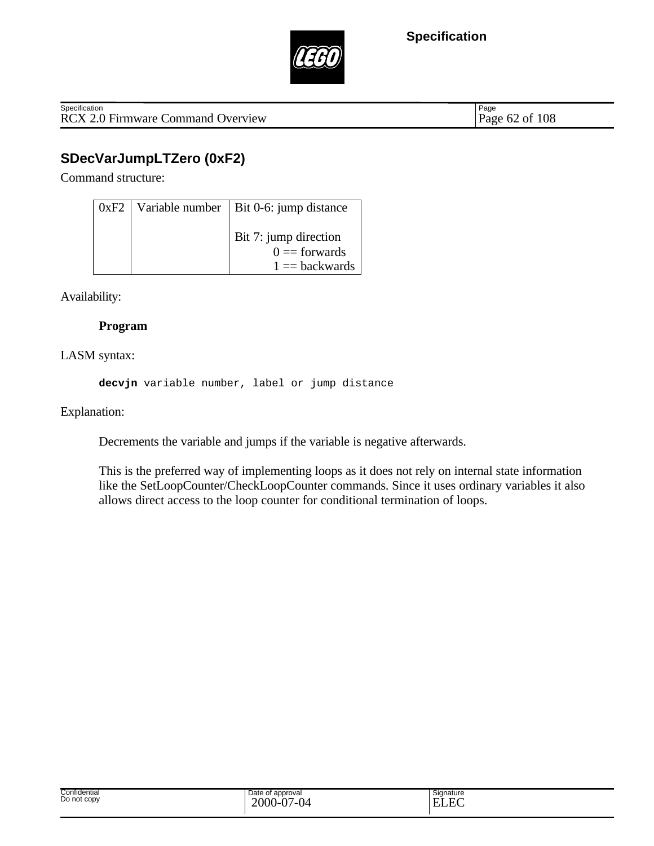

RCX 2.0 Firmware Command Overview Page 62 of 108 **Specification** 

Page

# **SDecVarJumpLTZero (0xF2)**

Command structure:

|  | $0xF2$   Variable number   Bit 0-6: jump distance |
|--|---------------------------------------------------|
|  | Bit 7: jump direction<br>$0 =$ forwards           |
|  | $1 = backwards$                                   |

Availability:

### **Program**

LASM syntax:

**decvjn** variable number, label or jump distance

Explanation:

Decrements the variable and jumps if the variable is negative afterwards.

This is the preferred way of implementing loops as it does not rely on internal state information like the SetLoopCounter/CheckLoopCounter commands. Since it uses ordinary variables it also allows direct access to the loop counter for conditional termination of loops.

| Confidential<br>.<br>Do not copy | Date of approval<br>$\sim$<br>$-000 - c$<br>⌒∽<br>ட<br>.<br>∿ | $\sim$<br>Signature<br>$\sim$<br>--<br>ь<br>⊷ |
|----------------------------------|---------------------------------------------------------------|-----------------------------------------------|
|                                  |                                                               |                                               |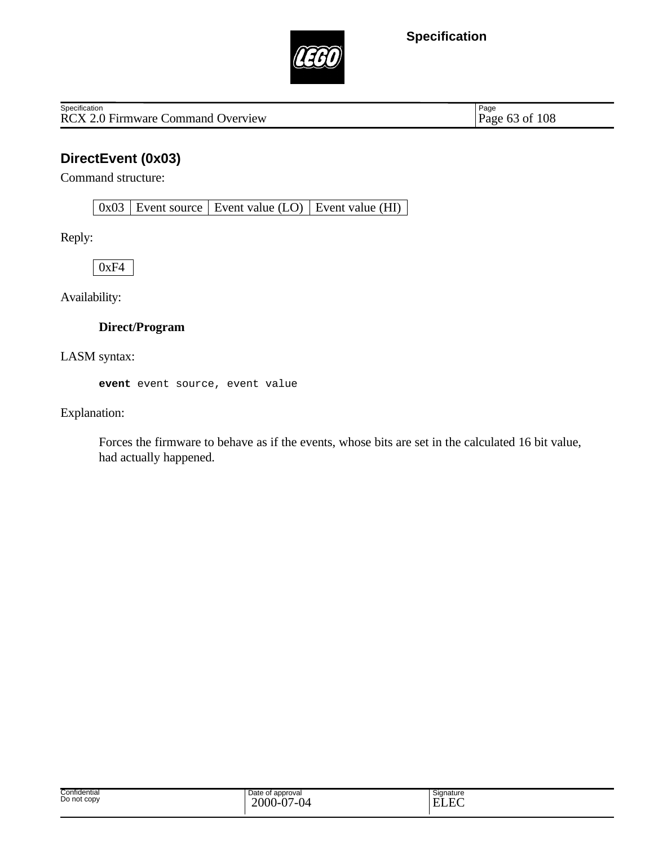

RCX 2.0 Firmware Command Overview **Specification** 

Page 63 of 108

## **DirectEvent (0x03)**

Command structure:

 $0x03$  Event source Event value (LO) Event value (HI)

Reply:

 $0xF4$ 

Availability:

### **Direct/Program**

LASM syntax:

**event** event source, event value

Explanation:

Forces the firmware to behave as if the events, whose bits are set in the calculated 16 bit value, had actually happened.

| Confidential<br>.<br>Do not copy | Date of<br>of approval<br>2000<br>$\overline{2}$<br>$\sim$<br><br>$\cdot$<br>$\cdot$ | Signature<br>E<br>. . |  |
|----------------------------------|--------------------------------------------------------------------------------------|-----------------------|--|
|----------------------------------|--------------------------------------------------------------------------------------|-----------------------|--|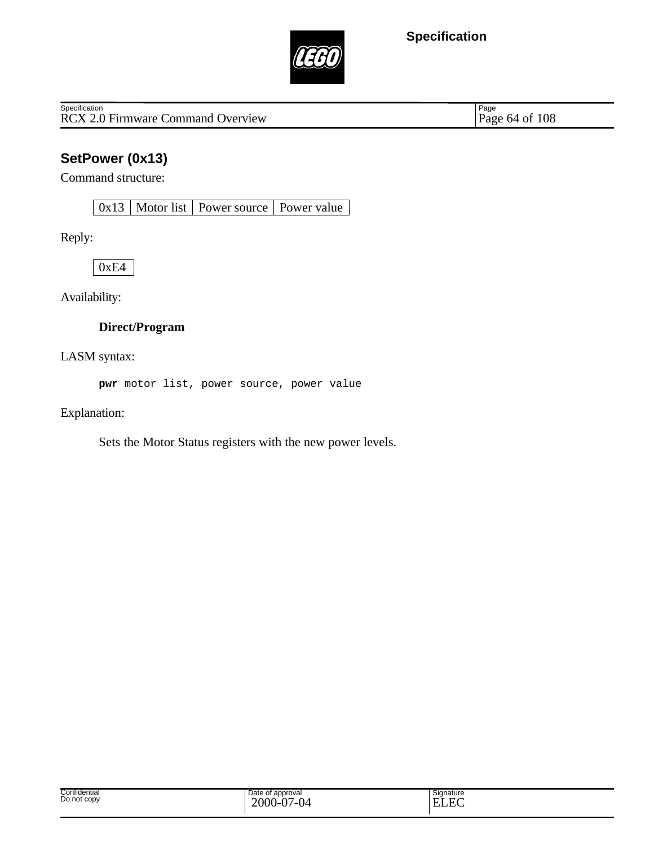

RCX 2.0 Firmware Command Overview **Specification** 

Page 64 of 108

# **SetPower (0x13)**

Command structure:

0x13 Motor list Power source Power value

Reply:

0xE4

Availability:

#### **Direct/Program**

LASM syntax:

**pwr** motor list, power source, power value

Explanation:

Sets the Motor Status registers with the new power levels.

| Confidential<br>Do not copy | Date of approval<br>2000<br>$\Delta$<br>04<br>. v-v.<br>. . | $\sim$<br>Signature<br>$\sim$<br>Ē<br>H)<br>н.<br>. |
|-----------------------------|-------------------------------------------------------------|-----------------------------------------------------|
|-----------------------------|-------------------------------------------------------------|-----------------------------------------------------|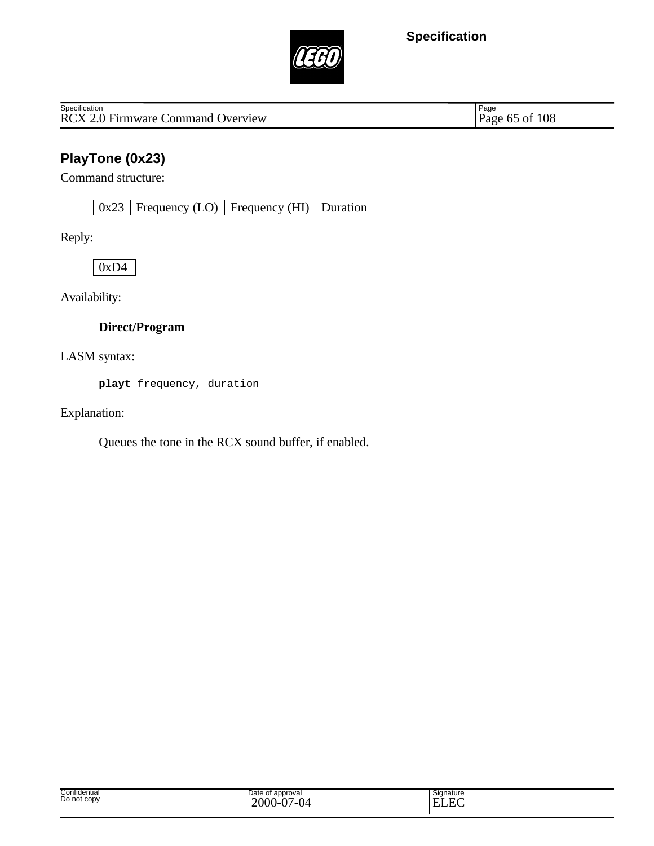

RCX 2.0 Firmware Command Overview **Specification** 

Page 65 of 108

# **PlayTone (0x23)**

Command structure:

0x23 Frequency (LO) Frequency (HI) Duration

Reply:

0xD4

Availability:

### **Direct/Program**

LASM syntax:

**playt** frequency, duration

Explanation:

Queues the tone in the RCX sound buffer, if enabled.

| Confidential<br>Do not copy | Date of approval<br>2000<br>$\Delta$<br>.04<br>. I-V. | $\sim$<br>Signature<br>$\Gamma$<br>$\mathbf{E}$<br>H (<br>حتللت |
|-----------------------------|-------------------------------------------------------|-----------------------------------------------------------------|
|-----------------------------|-------------------------------------------------------|-----------------------------------------------------------------|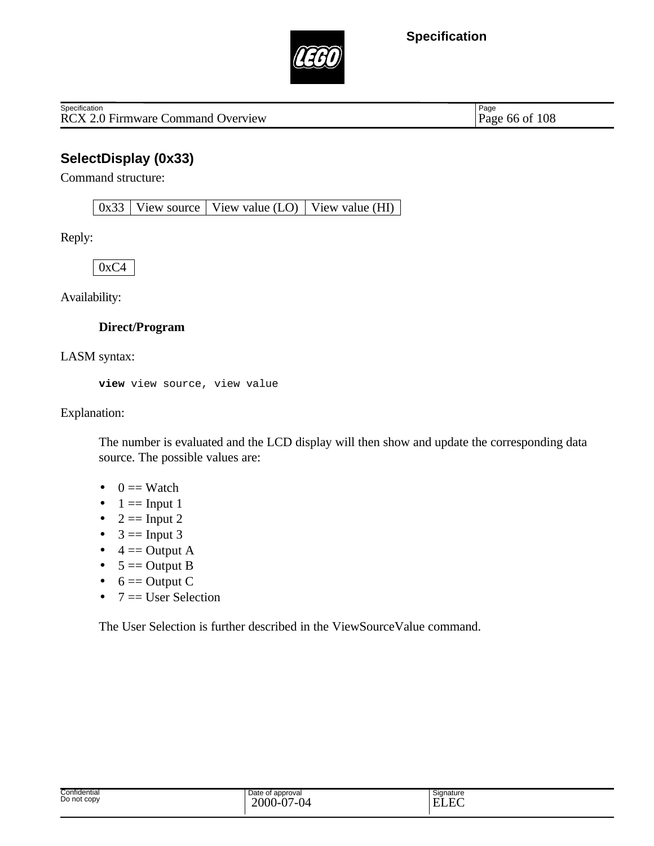

RCX 2.0 Firmware Command Overview Page 66 of 108 **Specification** 

Page

## **SelectDisplay (0x33)**

Command structure:

 $0x33$  View source View value (LO) View value (HI)

Reply:

 $0xC4$ 

Availability:

#### **Direct/Program**

LASM syntax:

**view** view source, view value

Explanation:

The number is evaluated and the LCD display will then show and update the corresponding data source. The possible values are:

- $\bullet$  0 = Watch
- $\bullet$  1 = Input 1
- $2 == Input 2$
- $3 == Input 3$
- $\bullet$  4 = Output A
- $\bullet$  5 = Output B
- $\bullet$  6 = Output C
- $7 =$  User Selection

The User Selection is further described in the ViewSourceValue command.

| Confidential<br>Do not copy | Date of approval<br>$2000 -$<br>$\sim$ 0 $\ell$<br>Ñ7<br>.<br>: ש<br>v | Signature<br>ن ۔<br>$\Gamma$<br><b>TIT</b><br>н<br>-<br>LLL |
|-----------------------------|------------------------------------------------------------------------|-------------------------------------------------------------|
|-----------------------------|------------------------------------------------------------------------|-------------------------------------------------------------|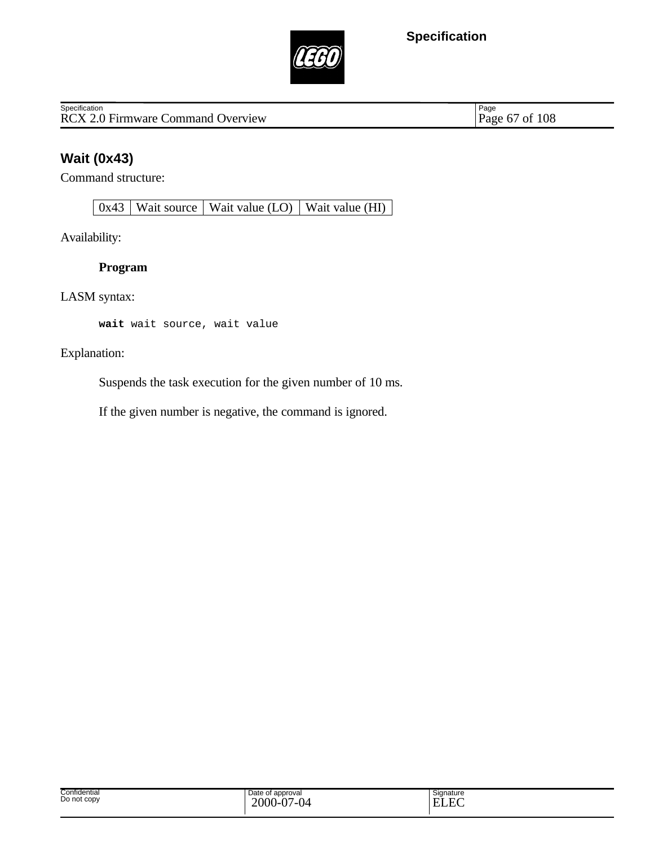

RCX 2.0 Firmware Command Overview **Specification** 

Page 67 of 108

# **Wait (0x43)**

Command structure:

 $0x43$  Wait source Wait value (LO) Wait value (HI)

Availability:

### **Program**

LASM syntax:

**wait** wait source, wait value

Explanation:

Suspends the task execution for the given number of 10 ms.

If the given number is negative, the command is ignored.

| Confidential<br>Do not copy | Date of approval<br>2000<br>.04<br>. | Signature<br>. FC $\,$<br><b>ELEC</b> |
|-----------------------------|--------------------------------------|---------------------------------------|
|-----------------------------|--------------------------------------|---------------------------------------|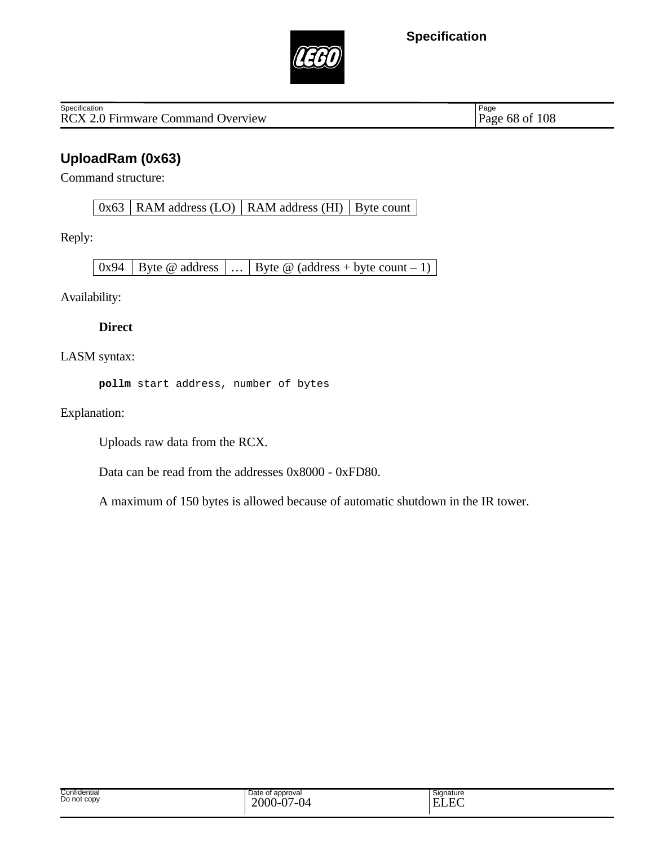

RCX 2.0 Firmware Command Overview **Specification** 

Page 68 of 108

# **UploadRam (0x63)**

Command structure:

 $0x63$  RAM address (LO) RAM address (HI) Byte count

Reply:

 $\begin{array}{|c|c|c|c|c|c|c|c|c|}\n\hline\n0x94 &\text{Bytes} & \text{address} & \dots & \text{Byte @ (address + byte count - 1)}\n\end{array}$ 

Availability:

**Direct**

LASM syntax:

**pollm** start address, number of bytes

Explanation:

Uploads raw data from the RCX.

Data can be read from the addresses 0x8000 - 0xFD80.

A maximum of 150 bytes is allowed because of automatic shutdown in the IR tower.

| Confidential<br>Do not copy | Date of approval<br>$\sim$<br>$\sim$<br>2000<br>Q <sup>4</sup><br>.<br>Ξυ. | Signature<br>E<br>$\mathbf{H}$<br>.<br>◡◡ |
|-----------------------------|----------------------------------------------------------------------------|-------------------------------------------|
|-----------------------------|----------------------------------------------------------------------------|-------------------------------------------|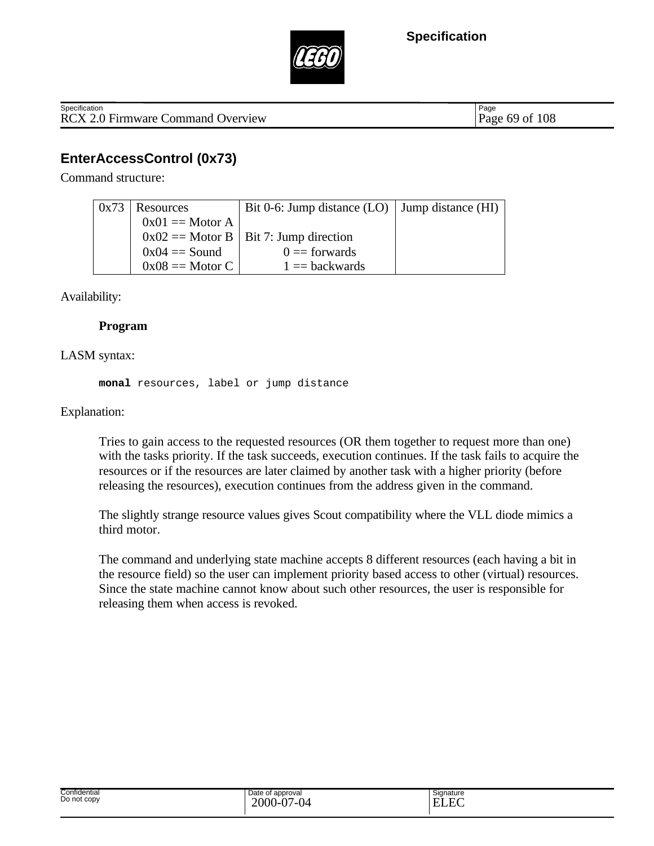



RCX 2.0 Firmware Command Overview Page 69 of 108 **Specification** 

Page

## **EnterAccessControl (0x73)**

Command structure:

| 0x73 | Resources         | Bit 0-6: Jump distance $(LO)$ Jump distance $(HI)$ |  |
|------|-------------------|----------------------------------------------------|--|
|      | $0x01 ==$ Motor A |                                                    |  |
|      |                   | $0x02 ==$ Motor B   Bit 7: Jump direction          |  |
|      | $0x04 == Sound$   | $0 =$ forwards                                     |  |
|      | $0x08 ==$ Motor C | $1 = backwards$                                    |  |

Availability:

#### **Program**

#### LASM syntax:

**monal** resources, label or jump distance

#### Explanation:

Tries to gain access to the requested resources (OR them together to request more than one) with the tasks priority. If the task succeeds, execution continues. If the task fails to acquire the resources or if the resources are later claimed by another task with a higher priority (before releasing the resources), execution continues from the address given in the command.

The slightly strange resource values gives Scout compatibility where the VLL diode mimics a third motor.

The command and underlying state machine accepts 8 different resources (each having a bit in the resource field) so the user can implement priority based access to other (virtual) resources. Since the state machine cannot know about such other resources, the user is responsible for releasing them when access is revoked.

| Confidential     | Date of approval                        | Signature    |
|------------------|-----------------------------------------|--------------|
| .<br>Do not copy | $\Delta$<br>$\sim$                      | $\mathbf{r}$ |
|                  | $2000 - 6$<br>ıд<br>$\mathbf{1}$<br>י ש |              |
|                  | $\mathbf{v}$                            |              |
|                  |                                         |              |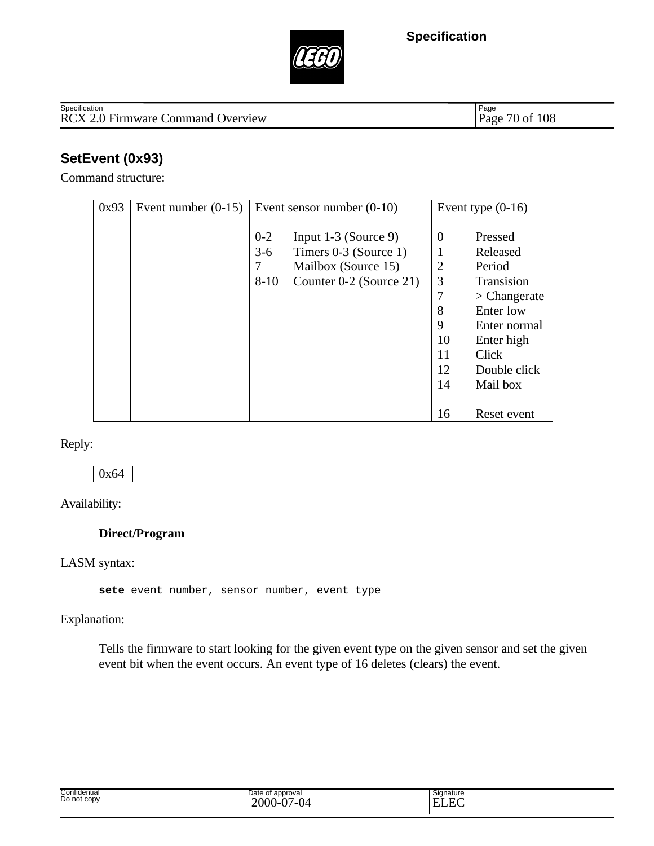



#### RCX 2.0 Firmware Command Overview **Specification**

Page 70 of 108

# **SetEvent (0x93)**

Command structure:

| 0x93 | Event number $(0-15)$ |          | Event sensor number $(0-10)$ |                | Event type $(0-16)$ |
|------|-----------------------|----------|------------------------------|----------------|---------------------|
|      |                       |          |                              |                |                     |
|      |                       | $0 - 2$  | Input $1-3$ (Source 9)       | $\theta$       | Pressed             |
|      |                       | $3 - 6$  | Timers 0-3 (Source 1)        |                | Released            |
|      |                       | 7        | Mailbox (Source 15)          | $\overline{2}$ | Period              |
|      |                       | $8 - 10$ | Counter 0-2 (Source 21)      | 3              | <b>Transision</b>   |
|      |                       |          |                              | $\overline{7}$ | $\geq$ Changerate   |
|      |                       |          |                              | 8              | Enter low           |
|      |                       |          |                              | 9              | Enter normal        |
|      |                       |          |                              | 10             | Enter high          |
|      |                       |          |                              | 11             | Click               |
|      |                       |          |                              | 12             | Double click        |
|      |                       |          |                              | 14             | Mail box            |
|      |                       |          |                              |                |                     |
|      |                       |          |                              | 16             | Reset event         |

Reply:

0x64

Availability:

#### **Direct/Program**

#### LASM syntax:

**sete** event number, sensor number, event type

Explanation:

Tells the firmware to start looking for the given event type on the given sensor and set the given event bit when the event occurs. An event type of 16 deletes (clears) the event.

| Confidential<br>Do not copy | Date of approval<br>$\overline{a}$<br>$\sim$<br>2000<br>⊬ن<br>.<br>$\mathbf{U}$ | Signature<br>$\Gamma$<br>. .<br>محاصلات |  |
|-----------------------------|---------------------------------------------------------------------------------|-----------------------------------------|--|
|-----------------------------|---------------------------------------------------------------------------------|-----------------------------------------|--|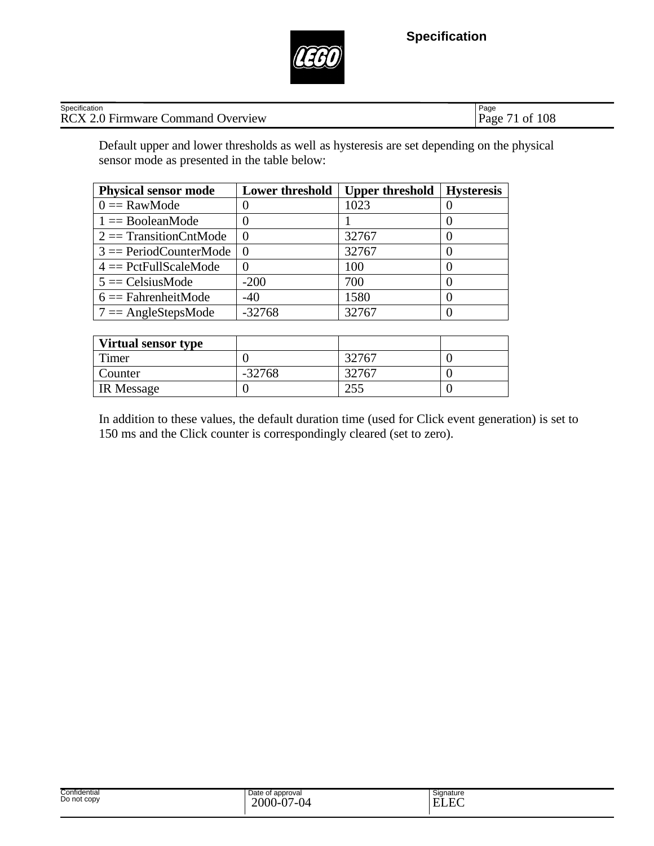

| Specification    | Page |
|------------------|------|
| RCX2             | 108  |
| .0 Firmware 0    | Page |
| Command Overview | Οİ   |

Default upper and lower thresholds as well as hysteresis are set depending on the physical sensor mode as presented in the table below:

| <b>Physical sensor mode</b> | <b>Lower threshold</b> | <b>Upper threshold</b> | <b>Hysteresis</b> |
|-----------------------------|------------------------|------------------------|-------------------|
| $0 =$ RawMode               |                        | 1023                   |                   |
| $1 =$ BooleanMode           |                        |                        |                   |
| $2 ==$ Transition CntMode   |                        | 32767                  |                   |
| $3 =$ PeriodCounterMode     |                        | 32767                  |                   |
| $4 = PetFullScaleMode$      |                        | 100                    |                   |
| $5 = CelsiusMode$           | $-200$                 | 700                    |                   |
| $6 ==$ FahrenheitMode       | $-40$                  | 1580                   |                   |
| $7 = AngleStepsMode$        | $-32768$               | 32767                  |                   |

| <b>Virtual sensor type</b> |          |       |  |
|----------------------------|----------|-------|--|
| Timer                      |          | 32767 |  |
| <b>Counter</b>             | $-32768$ | 32767 |  |
| <b>IR</b> Message          |          | 255   |  |

In addition to these values, the default duration time (used for Click event generation) is set to 150 ms and the Click counter is correspondingly cleared (set to zero).

| Confidential<br>.<br>Do not copy | Date of<br>of approval<br>2000<br>$\overline{2}$<br>$\sim$<br><br>$\cdot$<br>$\cdot$ | Signature<br>E<br>. . |  |
|----------------------------------|--------------------------------------------------------------------------------------|-----------------------|--|
|----------------------------------|--------------------------------------------------------------------------------------|-----------------------|--|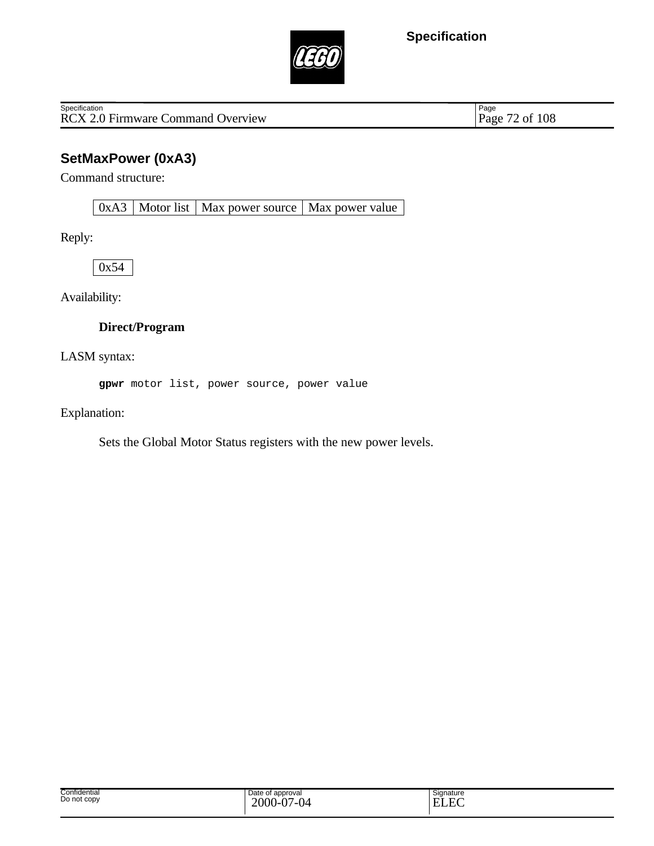

RCX 2.0 Firmware Command Overview **Specification** 

Page 72 of 108

# **SetMaxPower (0xA3)**

Command structure:

 $0xA3$  Motor list Max power source Max power value

Reply:

0x54

Availability:

### **Direct/Program**

LASM syntax:

**gpwr** motor list, power source, power value

Explanation:

Sets the Global Motor Status registers with the new power levels.

| Confidential<br>Do not copy | Date of<br>of approval<br>$2000 - 0$<br>$\Delta$ $\sim$<br>7-04<br>v | Signature<br>$\sim$<br>E<br>- Eif<br>. . |
|-----------------------------|----------------------------------------------------------------------|------------------------------------------|
|-----------------------------|----------------------------------------------------------------------|------------------------------------------|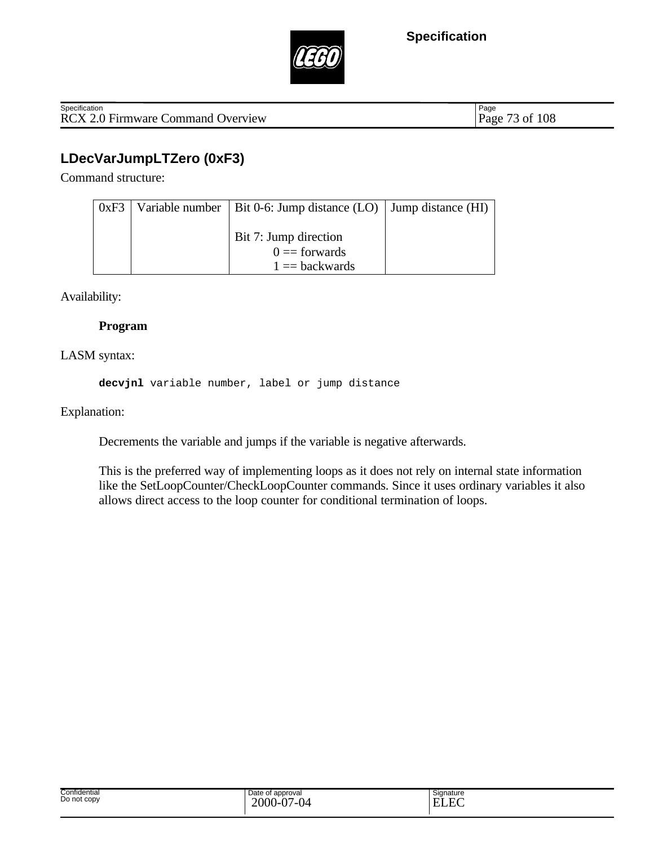



RCX 2.0 Firmware Command Overview Page 73 of 108 **Specification** 

Page

# **LDecVarJumpLTZero (0xF3)**

Command structure:

| 0xF3 | Variable number   Bit 0-6: Jump distance $(LO)$   Jump distance $(HI)$ |  |
|------|------------------------------------------------------------------------|--|
|      |                                                                        |  |
|      | Bit 7: Jump direction                                                  |  |
|      | $0 =$ forwards                                                         |  |
|      | $1 = backwards$                                                        |  |

Availability:

#### **Program**

LASM syntax:

**decvjnl** variable number, label or jump distance

Explanation:

Decrements the variable and jumps if the variable is negative afterwards.

This is the preferred way of implementing loops as it does not rely on internal state information like the SetLoopCounter/CheckLoopCounter commands. Since it uses ordinary variables it also allows direct access to the loop counter for conditional termination of loops.

| Signature<br>$\Gamma$<br>н.<br>-no |  |
|------------------------------------|--|
|                                    |  |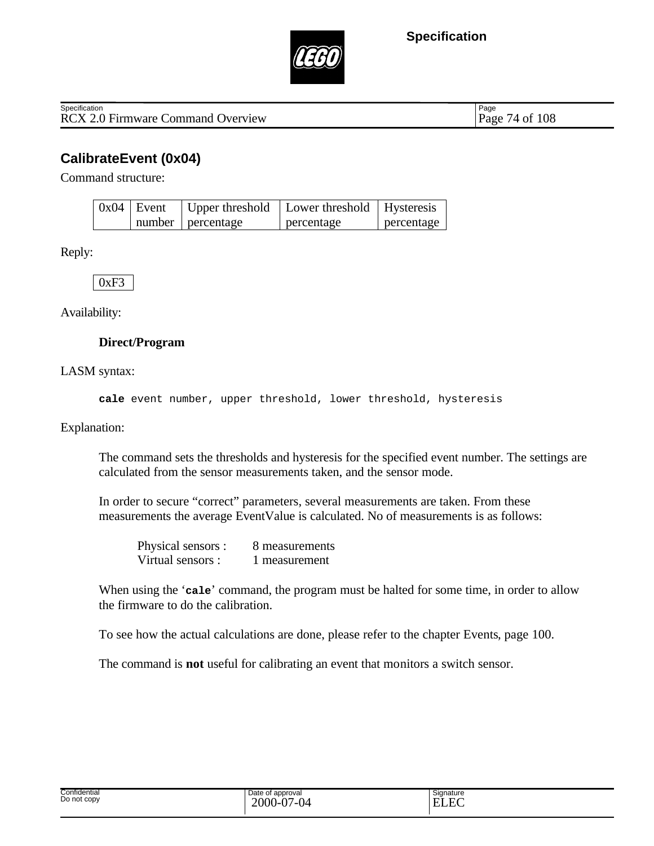



RCX 2.0 Firmware Command Overview Page 74 of 108 **Specification** 

Page

### **CalibrateEvent (0x04)**

Command structure:

| $0x04$ Event |                     | Upper threshold   Lower threshold   Hysteresis |            |
|--------------|---------------------|------------------------------------------------|------------|
|              | number   percentage | percentage                                     | percentage |

Reply:

 $0xF3$ 

Availability:

#### **Direct/Program**

LASM syntax:

**cale** event number, upper threshold, lower threshold, hysteresis

Explanation:

The command sets the thresholds and hysteresis for the specified event number. The settings are calculated from the sensor measurements taken, and the sensor mode.

In order to secure "correct" parameters, several measurements are taken. From these measurements the average EventValue is calculated. No of measurements is as follows:

Physical sensors : 8 measurements Virtual sensors : 1 measurement

When using the '**cale**' command, the program must be halted for some time, in order to allow the firmware to do the calibration.

To see how the actual calculations are done, please refer to the chapter Events, page 100.

The command is **not** useful for calibrating an event that monitors a switch sensor.

| Confidential<br>Do not copy | Date of approval<br>$\sim$<br>2000<br>$\sim$<br>U4<br>. v-v.<br>. . | $\overline{\phantom{a}}$<br>Signature<br>$\Gamma$<br><b>TIT</b> |
|-----------------------------|---------------------------------------------------------------------|-----------------------------------------------------------------|
|-----------------------------|---------------------------------------------------------------------|-----------------------------------------------------------------|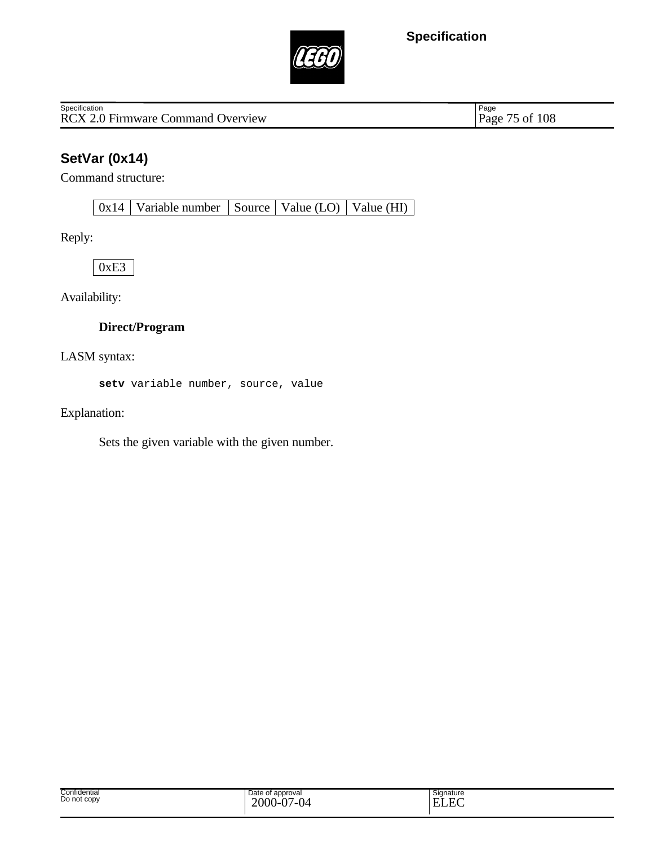

RCX 2.0 Firmware Command Overview **Specification** 

Page 75 of 108

# **SetVar (0x14)**

Command structure:

0x14 | Variable number | Source | Value (LO) | Value (HI) |

Reply:

0xE3

Availability:

#### **Direct/Program**

LASM syntax:

**setv** variable number, source, value

Explanation:

Sets the given variable with the given number.

| Confidential<br>Do not copy | Date of approval<br>2000<br>$\sim$<br>04<br>ີ່ '−ບ. | Signature<br>–<br>E<br>- H`/<br>' LILIN. |
|-----------------------------|-----------------------------------------------------|------------------------------------------|
|-----------------------------|-----------------------------------------------------|------------------------------------------|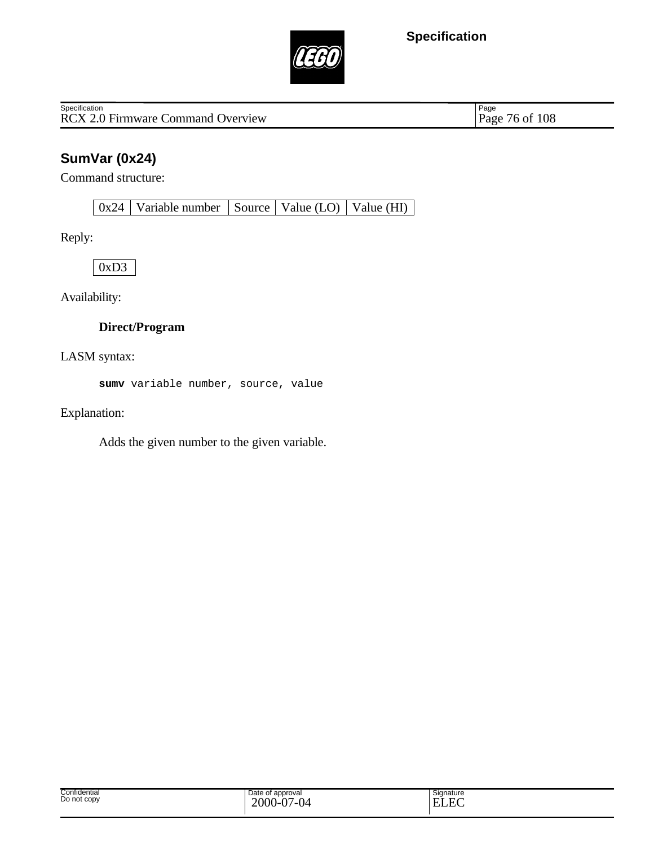

RCX 2.0 Firmware Command Overview **Specification** 

Page 76 of 108

# **SumVar (0x24)**

Command structure:

0x24 Variable number Source Value (LO) Value (HI)

Reply:

0xD3

Availability:

#### **Direct/Program**

LASM syntax:

**sumv** variable number, source, value

Explanation:

Adds the given number to the given variable.

| Confidential<br>Do not copy | Date of approval<br>2000<br>$\sim$<br>'-04<br>. | Signature<br>--<br>н.<br>н |
|-----------------------------|-------------------------------------------------|----------------------------|
|-----------------------------|-------------------------------------------------|----------------------------|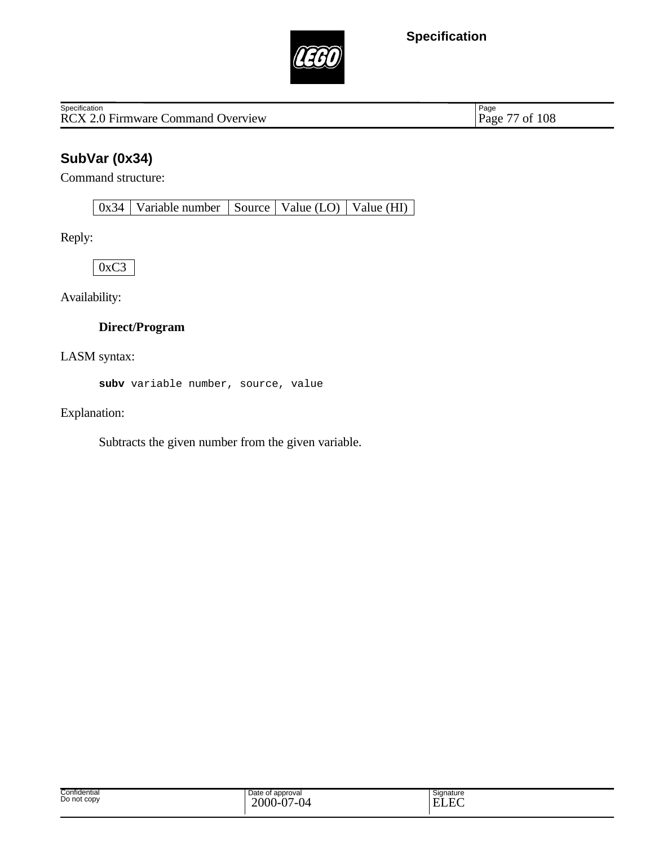

RCX 2.0 Firmware Command Overview **Specification** 

Page 77 of 108

# **SubVar (0x34)**

Command structure:

0x34 | Variable number | Source | Value (LO) | Value (HI) |

Reply:

0xC3

Availability:

### **Direct/Program**

LASM syntax:

**subv** variable number, source, value

Explanation:

Subtracts the given number from the given variable.

| Confidential<br>Do not copy | Date of approval<br>2000<br>'-04<br>. 1-U | $\overline{\phantom{a}}$<br>Signature<br>$\Gamma$<br><b>TIT</b><br>. L 7<br>н<br>ccc |
|-----------------------------|-------------------------------------------|--------------------------------------------------------------------------------------|
|-----------------------------|-------------------------------------------|--------------------------------------------------------------------------------------|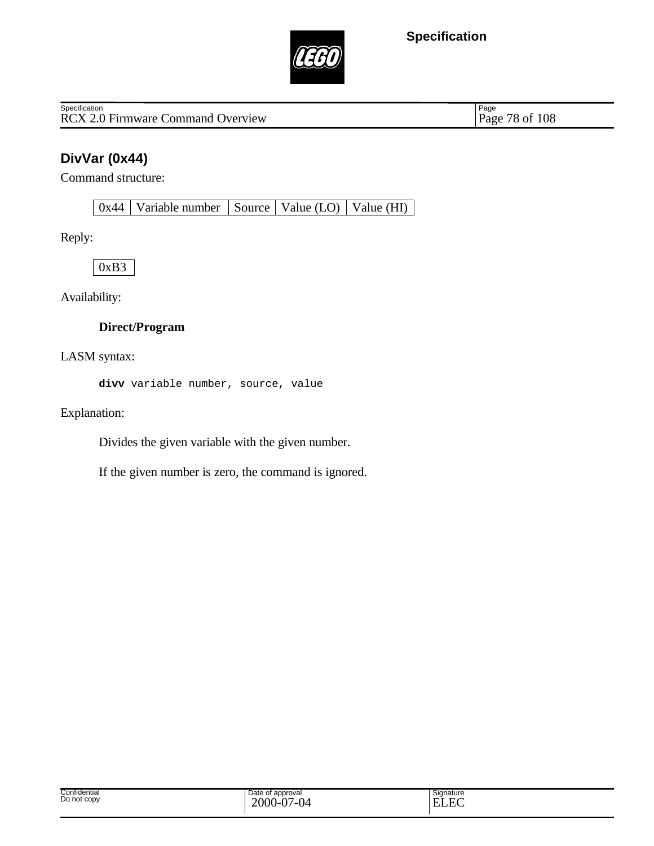

RCX 2.0 Firmware Command Overview **Specification** 

Page 78 of 108

# **DivVar (0x44)**

Command structure:

 $0x44$  Variable number Source Value (LO) Value (HI)

Reply:

0xB3

Availability:

#### **Direct/Program**

LASM syntax:

**divv** variable number, source, value

Explanation:

Divides the given variable with the given number.

If the given number is zero, the command is ignored.

| Confidential<br>Date of approval<br>Signature<br>Do not copy<br>2000-<br>$\overline{P}$<br>$\sim$<br>Ē<br>/_( )⊿<br>. .<br>. .<br>-<br>-<br>◡▴▴<br>v<br>v |  |
|-----------------------------------------------------------------------------------------------------------------------------------------------------------|--|
|-----------------------------------------------------------------------------------------------------------------------------------------------------------|--|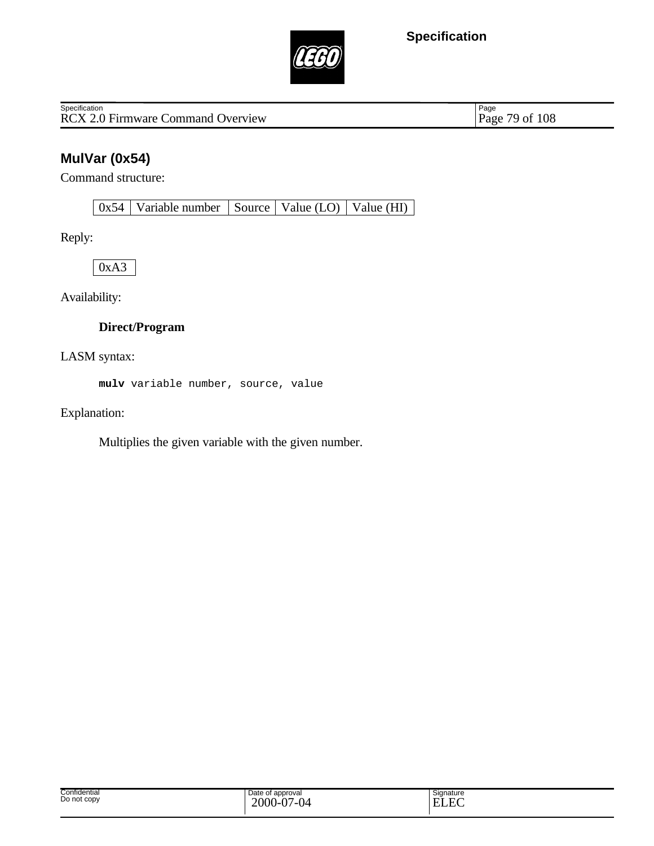

RCX 2.0 Firmware Command Overview **Specification** 

Page 79 of 108

# **MulVar (0x54)**

Command structure:

0x54 Variable number Source Value (LO) Value (HI)

Reply:

0xA3

Availability:

### **Direct/Program**

LASM syntax:

**mulv** variable number, source, value

Explanation:

Multiplies the given variable with the given number.

| Confidential<br>Do not copy | Date of approval<br>2000<br>$\Delta$<br>.04<br>. I-V. | $\sim$<br>Signature<br>$\Gamma$<br>$\mathbf{E}$<br>H (<br>حتللت |
|-----------------------------|-------------------------------------------------------|-----------------------------------------------------------------|
|-----------------------------|-------------------------------------------------------|-----------------------------------------------------------------|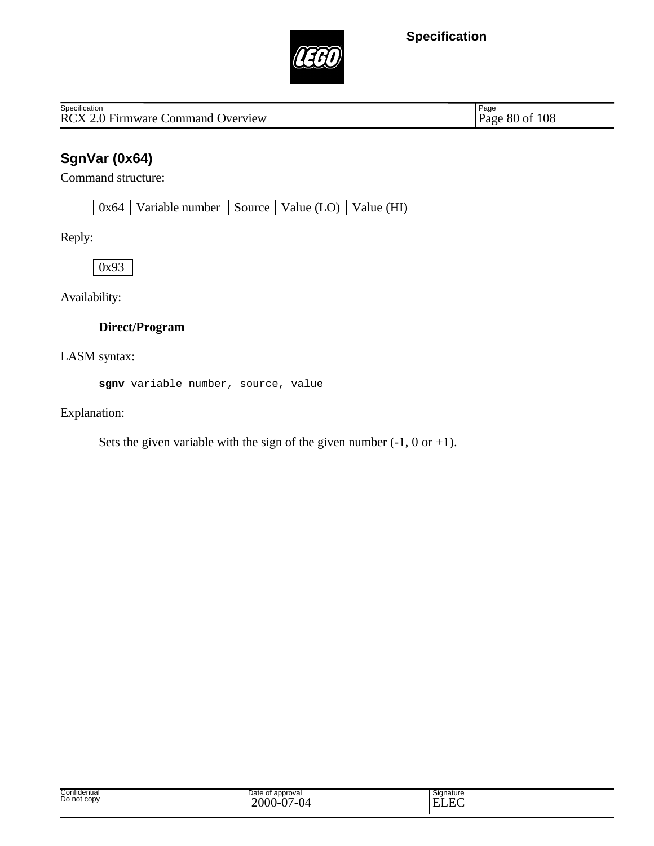

RCX 2.0 Firmware Command Overview **Specification** 

Page 80 of 108

# **SgnVar (0x64)**

Command structure:

0x64 Variable number Source Value (LO) Value (HI)

Reply:

0x93

Availability:

### **Direct/Program**

LASM syntax:

**sgnv** variable number, source, value

Explanation:

Sets the given variable with the sign of the given number  $(-1, 0 \text{ or } +1)$ .

| Confidential<br>Do not copy | Date of<br>f approval<br>2000-<br>$\cdot$ $\sim$<br>04<br>. <i>.</i><br>$\mathbf v$ . | Signature<br>ELEC |
|-----------------------------|---------------------------------------------------------------------------------------|-------------------|
|-----------------------------|---------------------------------------------------------------------------------------|-------------------|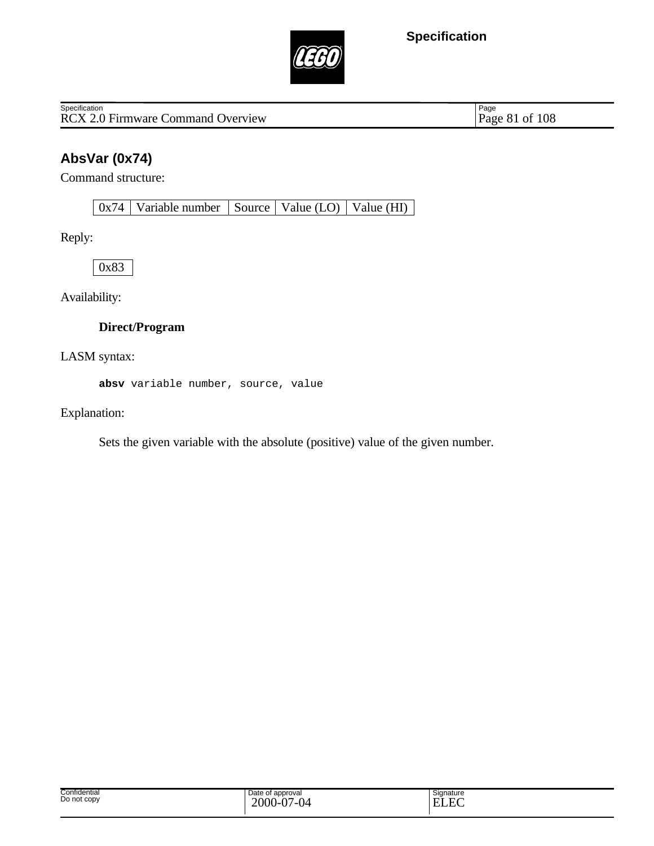

RCX 2.0 Firmware Command Overview **Specification** 

Page 81 of 108

# **AbsVar (0x74)**

Command structure:

 $0x74$  Variable number Source Value (LO) Value (HI)

Reply:

0x83

Availability:

### **Direct/Program**

LASM syntax:

**absv** variable number, source, value

Explanation:

Sets the given variable with the absolute (positive) value of the given number.

| Confidential<br>Do not copy | Date of<br>t approval<br>$2000 -$<br>7-04<br>. $\mathsf{D}$<br>◡<br>v | -<br>Signature<br>$\sim$<br>E)<br>- |
|-----------------------------|-----------------------------------------------------------------------|-------------------------------------|
|-----------------------------|-----------------------------------------------------------------------|-------------------------------------|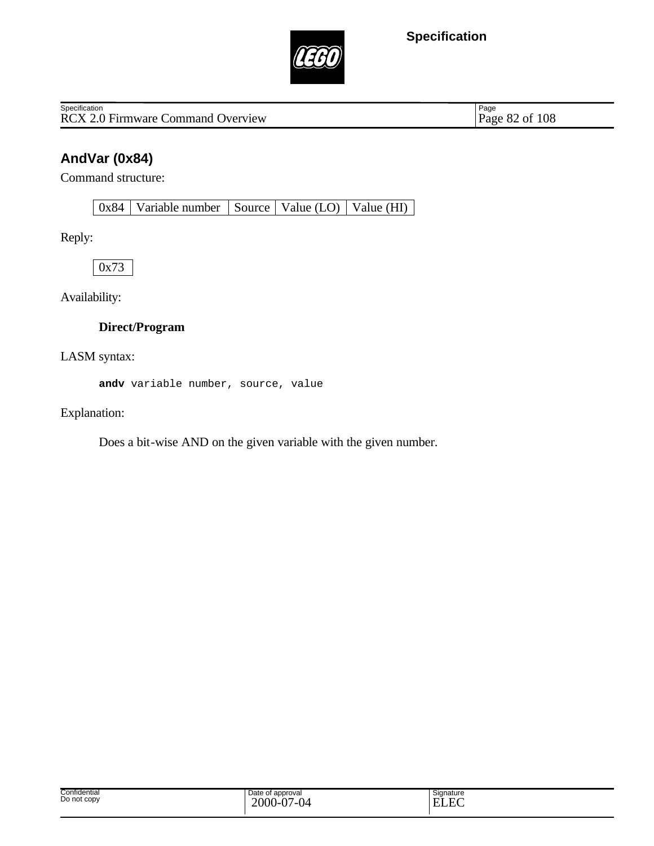

RCX 2.0 Firmware Command Overview **Specification** 

Page 82 of 108

# **AndVar (0x84)**

Command structure:

0x84 | Variable number | Source | Value (LO) | Value (HI) |

Reply:

0x73

Availability:

#### **Direct/Program**

LASM syntax:

**andv** variable number, source, value

Explanation:

Does a bit-wise AND on the given variable with the given number.

| Confidential<br>Do not copy | Date of approval<br>2000<br>$\Delta$<br>04<br>. v-v.<br>. . | $\sim$<br>Signature<br>$\sim$<br>Ē<br>H)<br>н.<br>. |
|-----------------------------|-------------------------------------------------------------|-----------------------------------------------------|
|-----------------------------|-------------------------------------------------------------|-----------------------------------------------------|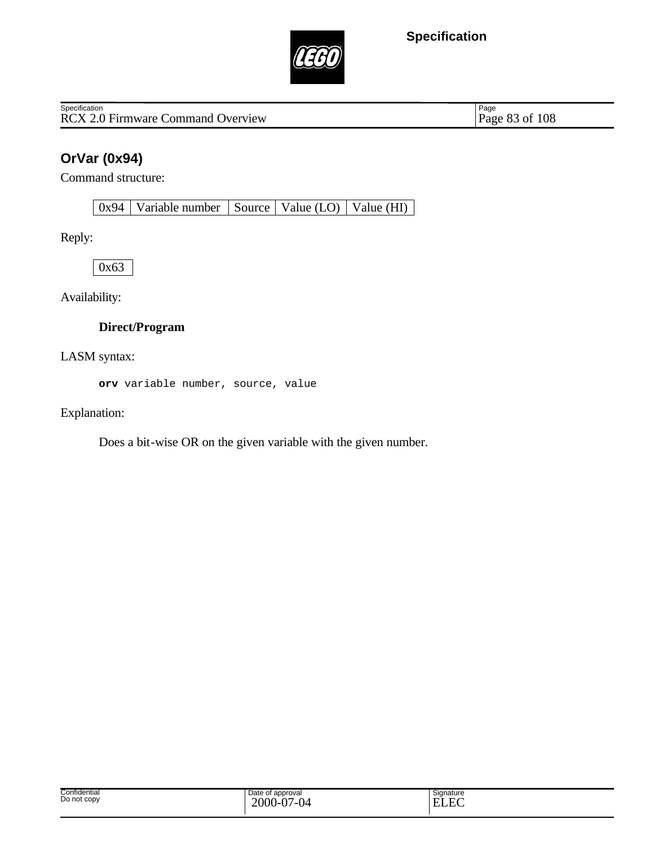

RCX 2.0 Firmware Command Overview **Specification** 

Page 83 of 108

# **OrVar (0x94)**

Command structure:

0x94 Variable number Source Value (LO) Value (HI)

Reply:

0x63

Availability:

### **Direct/Program**

LASM syntax:

**orv** variable number, source, value

Explanation:

Does a bit-wise OR on the given variable with the given number.

| Confidential<br>Do not copy | Date of<br>t approval<br>2000<br>$\Delta$<br>$\sim$<br>(∖⊿<br>---<br>$\mathbf v$ .<br>., | Signature<br>E<br>н.<br>LIJLAN. |
|-----------------------------|------------------------------------------------------------------------------------------|---------------------------------|
|-----------------------------|------------------------------------------------------------------------------------------|---------------------------------|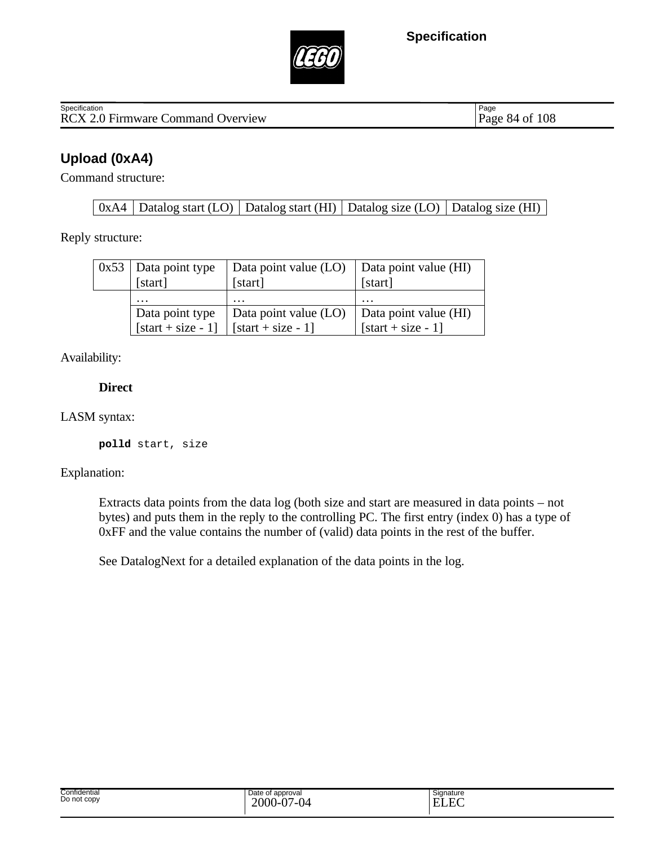



RCX 2.0 Firmware Command Overview Page 84 of 108 **Specification** 

Page

### **Upload (0xA4)**

Command structure:

 $0xA4$  Datalog start (LO) Datalog start (HI) Datalog size (LO) Datalog size (HI)

Reply structure:

| $0x53$ Data point type<br>[start] | Data point value (LO)<br>[start] | Data point value (HI)<br>[start] |
|-----------------------------------|----------------------------------|----------------------------------|
| $\cdot\cdot\cdot$                 | $\cdot\cdot\cdot$                | $\cdot$                          |
| Data point type                   | Data point value (LO)            | Data point value (HI)            |
| [start + size - 1]                | $\vert$ [start + size - 1]       | $[start + size - 1]$             |

Availability:

**Direct**

#### LASM syntax:

**polld** start, size

#### Explanation:

Extracts data points from the data log (both size and start are measured in data points – not bytes) and puts them in the reply to the controlling PC. The first entry (index 0) has a type of 0xFF and the value contains the number of (valid) data points in the rest of the buffer.

See DatalogNext for a detailed explanation of the data points in the log.

| Confidential<br>Date of approval<br>.<br>Do not copy<br>$\sim$<br>$\sim$<br>2000<br>v<br>v | Signature<br>$\Gamma$<br>-<br>-<br><b>JLA</b> |  |
|--------------------------------------------------------------------------------------------|-----------------------------------------------|--|
|--------------------------------------------------------------------------------------------|-----------------------------------------------|--|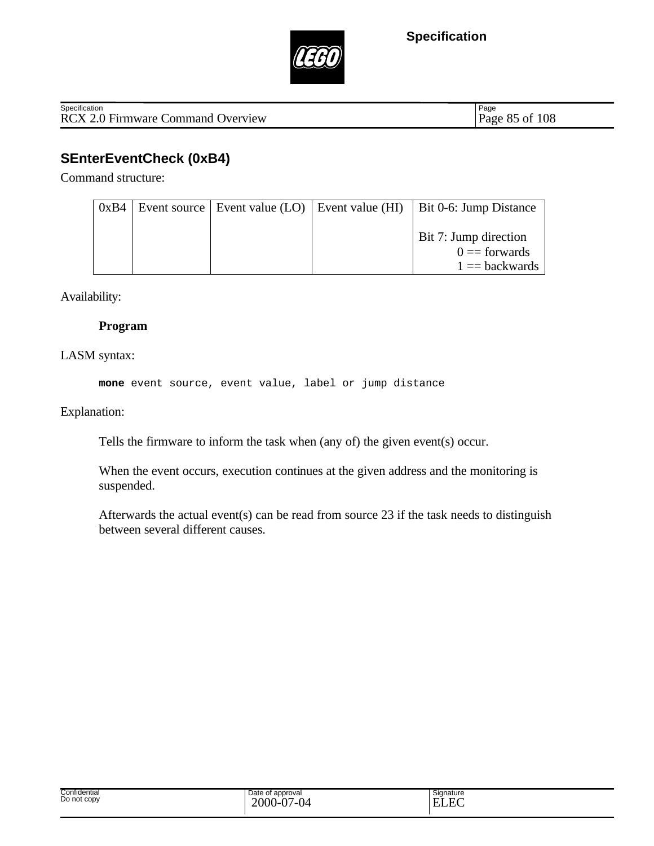

Page

# **SEnterEventCheck (0xB4)**

Command structure:

| 0xB4 |  | Event source Event value (LO) Event value (HI) Bit 0-6: Jump Distance |
|------|--|-----------------------------------------------------------------------|
|      |  | Bit 7: Jump direction<br>$0 =$ forwards<br>$1 = backwards$            |

Availability:

#### **Program**

### LASM syntax:

**mone** event source, event value, label or jump distance

Explanation:

Tells the firmware to inform the task when (any of) the given event(s) occur.

When the event occurs, execution continues at the given address and the monitoring is suspended.

Afterwards the actual event(s) can be read from source 23 if the task needs to distinguish between several different causes.

| Confidential<br>Do not copy | Date of approval<br>2000<br>$\Lambda$<br>$\sim$<br>.<br>.<br>. ש<br>◡ | Signature<br>. .<br>-<br>- Lu |
|-----------------------------|-----------------------------------------------------------------------|-------------------------------|
|                             |                                                                       |                               |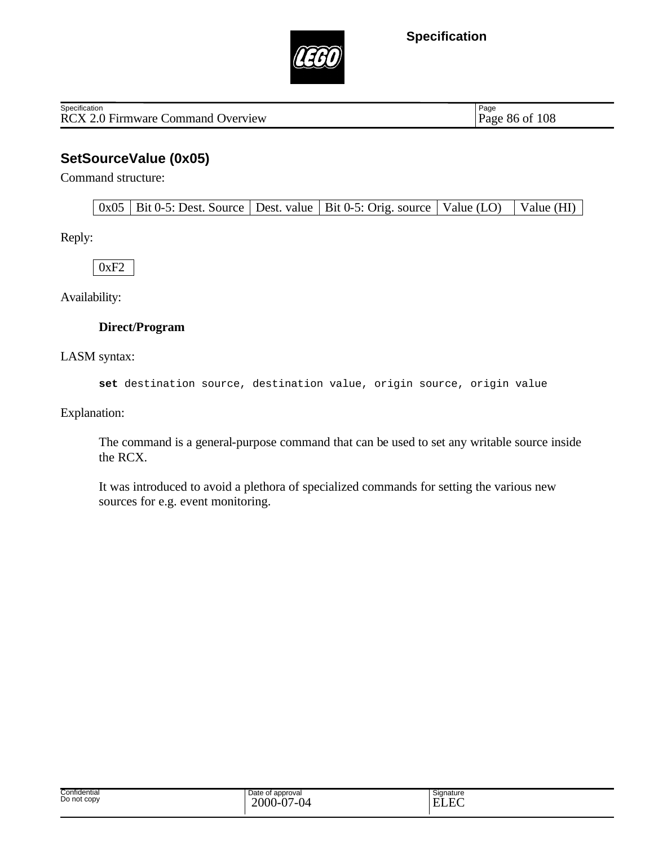

RCX 2.0 Firmware Command Overview Page 86 of 108 Specification

Page

### **SetSourceValue (0x05)**

Command structure:

Reply:

0xF2

Availability:

#### **Direct/Program**

LASM syntax:

**set** destination source, destination value, origin source, origin value

Explanation:

The command is a general-purpose command that can be used to set any writable source inside the RCX.

It was introduced to avoid a plethora of specialized commands for setting the various new sources for e.g. event monitoring.

| Signature<br>$\Gamma$<br>н.<br>-no |  |
|------------------------------------|--|
|                                    |  |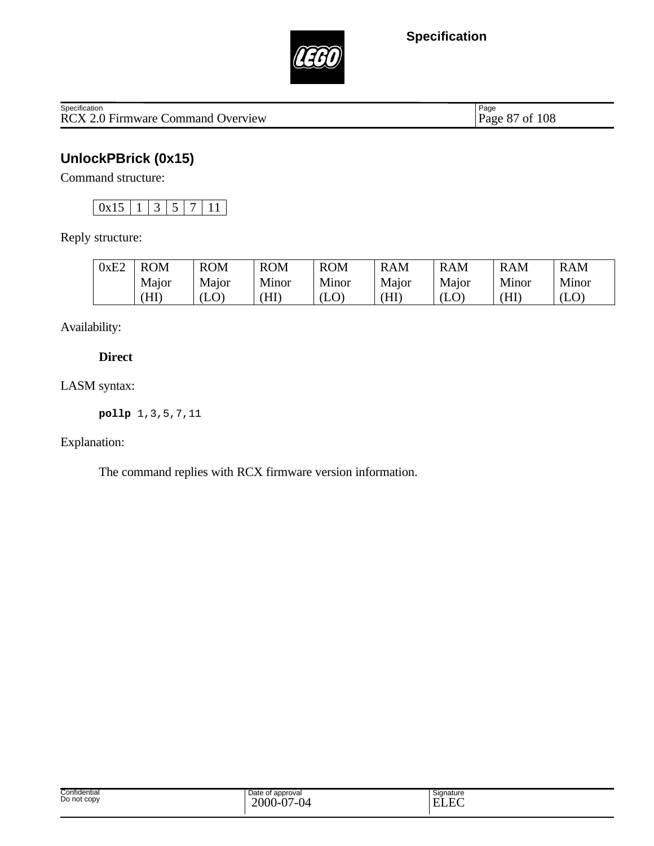

Specification<br>
RCX 2.0 Firmware Command Overview Page 87 of 108

Page 87 of 108

# **UnlockPBrick (0x15)**

Command structure:

 $\boxed{0x15}$  1 3 5 7 11

Reply structure:

| 0xE2 | <b>ROM</b> | <b>ROM</b> | <b>ROM</b> | <b>ROM</b> | <b>RAM</b> | <b>RAM</b>                | <b>RAM</b> | <b>RAM</b> |
|------|------------|------------|------------|------------|------------|---------------------------|------------|------------|
|      | Major      | Major      | Minor      | Minor      | Major      | Major                     | Minor      | Minor      |
|      | ΉI         | w          | (HI        | (LO)       | ΉI         | $\left( {\rm LO} \right)$ | (HI        | $\rm (LO)$ |

Availability:

### **Direct**

LASM syntax:

**pollp** 1,3,5,7,11

Explanation:

The command replies with RCX firmware version information.

| Confidential<br>.<br>Do not copy | Date of<br>of approval<br>2000<br>$\overline{2}$<br>$\sim$<br><br>$\cdot$<br>$\cdot$ | Signature<br>E<br>. . |  |
|----------------------------------|--------------------------------------------------------------------------------------|-----------------------|--|
|----------------------------------|--------------------------------------------------------------------------------------|-----------------------|--|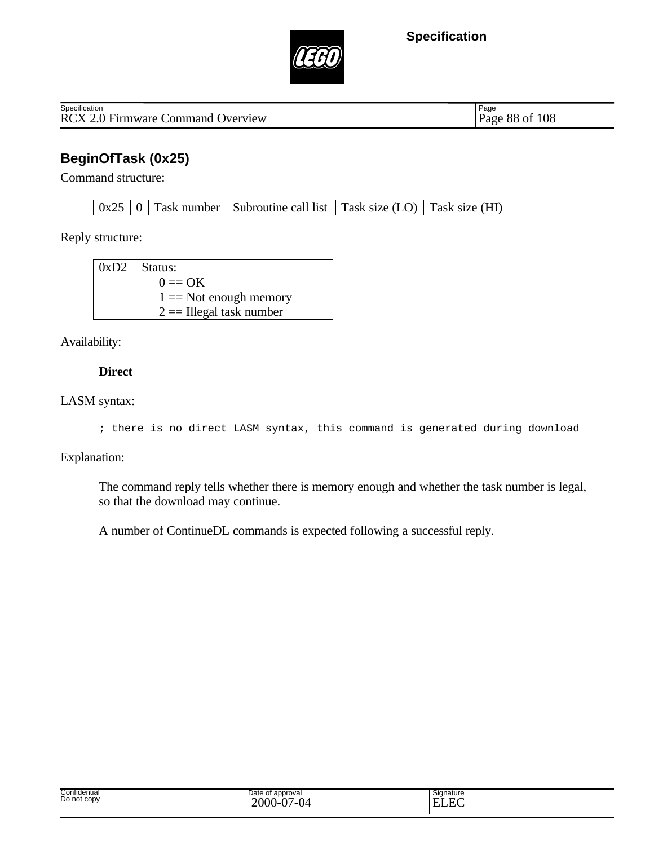

RCX 2.0 Firmware Command Overview Page 88 of 108 **Specification** 

Page

### **BeginOfTask (0x25)**

Command structure:

 $0x25 \mid 0 \mid$  Task number Subroutine call list Task size (LO) Task size (HI)

Reply structure:

| $0xD2$ Status:             |
|----------------------------|
| $0 \equiv \mathrm{OK}$     |
| $1 =$ Not enough memory    |
| $2 ==$ Illegal task number |

Availability:

#### **Direct**

#### LASM syntax:

```
; there is no direct LASM syntax, this command is generated during download
```
Explanation:

The command reply tells whether there is memory enough and whether the task number is legal, so that the download may continue.

A number of ContinueDL commands is expected following a successful reply.

| Confidential<br>Do not copy | Date of<br>of approval<br>2000<br>$\Delta$<br>⊿∩∠<br><br>$\mathbf v$ .<br>$\cdot$ | Signature<br>$\Gamma$<br>ירד<br>н<br>.<br>$\sim$ |
|-----------------------------|-----------------------------------------------------------------------------------|--------------------------------------------------|
|-----------------------------|-----------------------------------------------------------------------------------|--------------------------------------------------|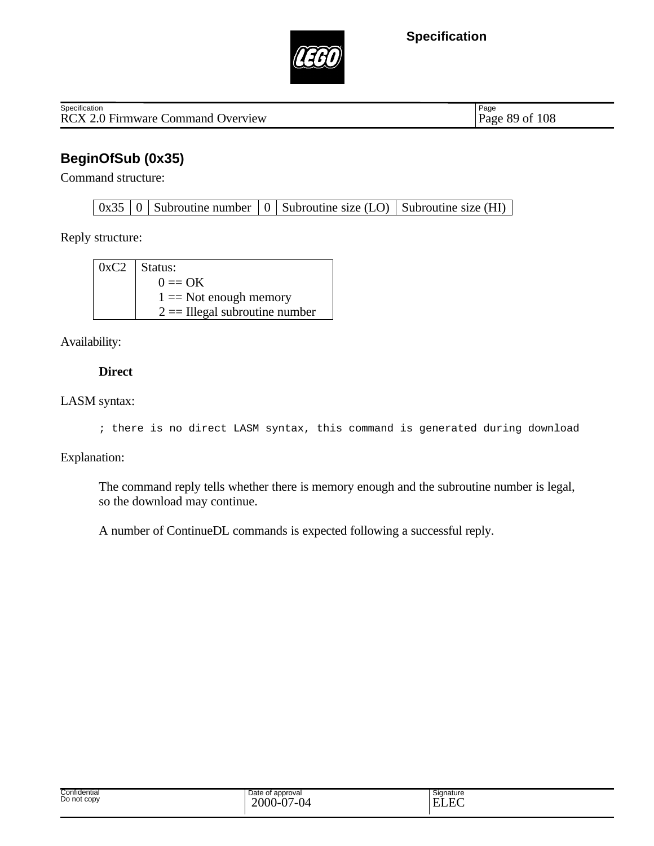



RCX 2.0 Firmware Command Overview Page 89 of 108 **Specification** 

Page

# **BeginOfSub (0x35)**

Command structure:

 $0x35 \mid 0$  Subroutine number  $\mid 0 \mid$  Subroutine size (LO) Subroutine size (HI)

Reply structure:

| $0xC2$ Status:                  |
|---------------------------------|
| $0 \equiv \mathrm{OK}$          |
| $1 ==$ Not enough memory        |
| $2 =$ Illegal subroutine number |

Availability:

#### **Direct**

#### LASM syntax:

```
; there is no direct LASM syntax, this command is generated during download
```
#### Explanation:

The command reply tells whether there is memory enough and the subroutine number is legal, so the download may continue.

A number of ContinueDL commands is expected following a successful reply.

| Confidential<br>Do not copy | Date of<br>approval<br>.<br>2000-<br>7-04<br>$\mathbf v$ . | Signature<br>$\mathbf{r}$<br>E<br>.<br>- |
|-----------------------------|------------------------------------------------------------|------------------------------------------|
|-----------------------------|------------------------------------------------------------|------------------------------------------|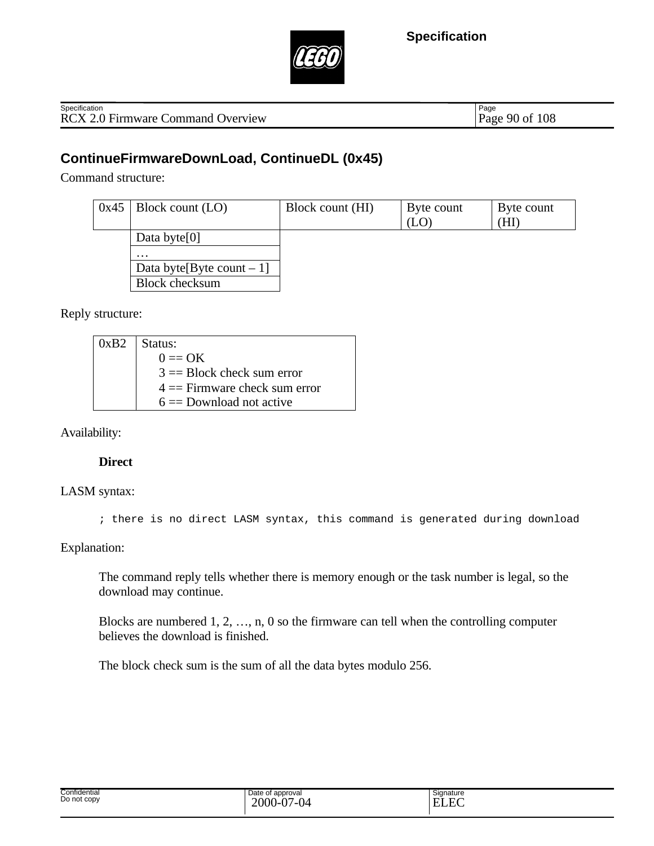



RCX 2.0 Firmware Command Overview Page 90 of 108 **Specification** 

Page

### **ContinueFirmwareDownLoad, ContinueDL (0x45)**

Command structure:

| 0x45 | Block count (LO)             | Block count (HI) | Byte count<br>(LO | Byte count<br>Ήl |
|------|------------------------------|------------------|-------------------|------------------|
|      | Data byte $[0]$              |                  |                   |                  |
|      | $\cdots$                     |                  |                   |                  |
|      | Data byte [Byte count $-1$ ] |                  |                   |                  |
|      | <b>Block checksum</b>        |                  |                   |                  |

Reply structure:

| $0xB2$   Status:                |
|---------------------------------|
| $0 \equiv \mathrm{OK}$          |
| $3 = Block$ check sum error     |
| $4 ==$ Firmware check sum error |
| $6 =$ Download not active       |

Availability:

#### **Direct**

LASM syntax:

; there is no direct LASM syntax, this command is generated during download

Explanation:

The command reply tells whether there is memory enough or the task number is legal, so the download may continue.

Blocks are numbered 1, 2, …, n, 0 so the firmware can tell when the controlling computer believes the download is finished.

The block check sum is the sum of all the data bytes modulo 256.

| Confidential | e of approval<br>Jate    | Signature                |
|--------------|--------------------------|--------------------------|
| Do not copy  |                          | $\overline{\phantom{0}}$ |
|              | $-000$ - $\degree$<br>-- | -                        |
|              |                          | _______                  |
|              |                          |                          |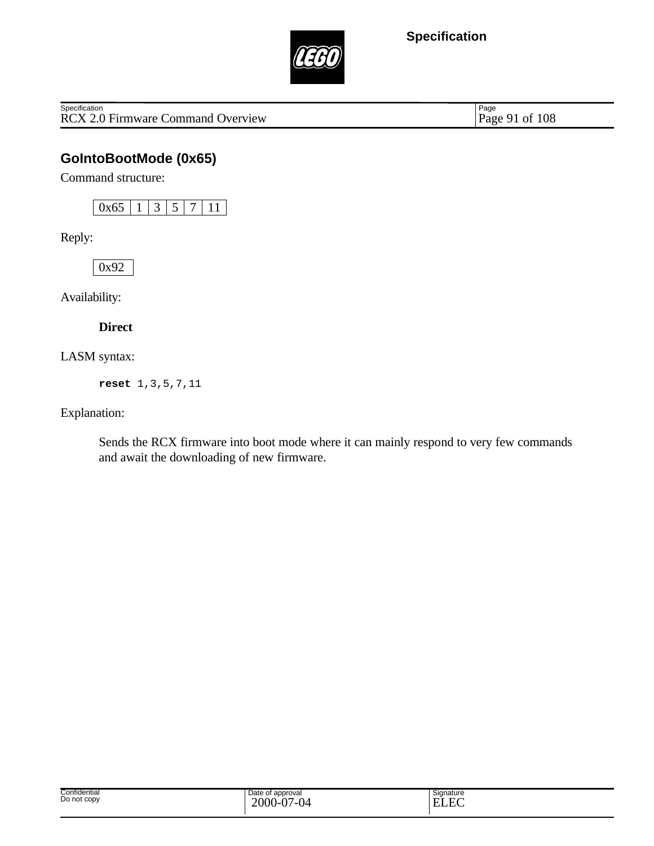

RCX 2.0 Firmware Command Overview **Specification** 

Page 91 of 108

### **GoIntoBootMode (0x65)**

Command structure:

 $0x65$  | 1 | 3 | 5 | 7 | 11 |

Reply:

0x92

Availability:

**Direct**

LASM syntax:

**reset** 1,3,5,7,11

Explanation:

Sends the RCX firmware into boot mode where it can mainly respond to very few commands and await the downloading of new firmware.

| Confidential<br>Do not copy | Date of approval<br>2000<br>$\Delta$<br>$\sim$<br>.<br>.<br>v.<br>ັ | Signature<br>$\sim$<br>$\Gamma$<br>T<br>н<br>-<br>www |  |
|-----------------------------|---------------------------------------------------------------------|-------------------------------------------------------|--|
|-----------------------------|---------------------------------------------------------------------|-------------------------------------------------------|--|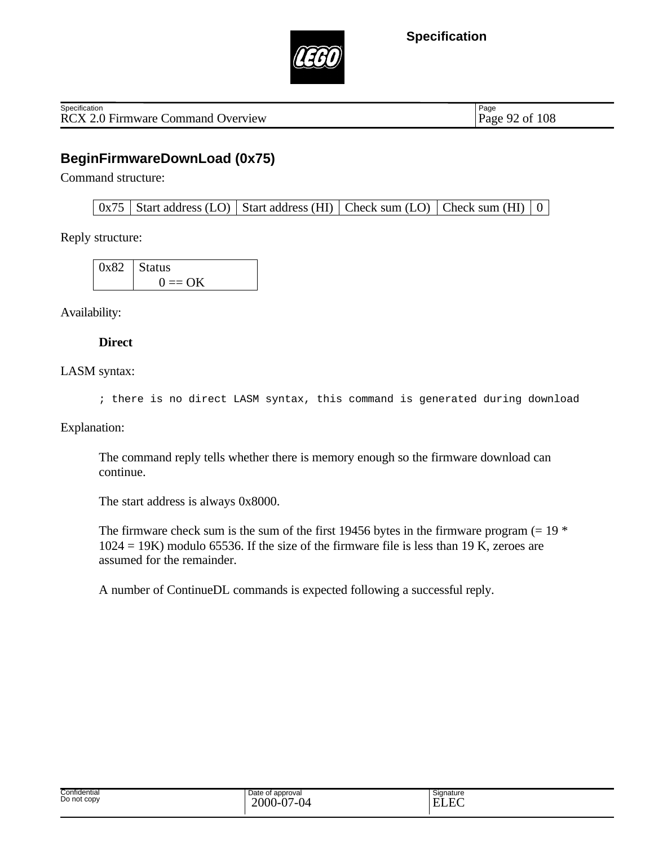

RCX 2.0 Firmware Command Overview Page 92 of 108 **Specification** 

Page

### **BeginFirmwareDownLoad (0x75)**

Command structure:

 $0x75$  Start address (LO) Start address (HI) Check sum (LO) Check sum (HI)  $\vert 0 \vert$ 

Reply structure:

| $0x82$ Status       |
|---------------------|
| $0 \equiv \Omega K$ |

Availability:

**Direct**

LASM syntax:

; there is no direct LASM syntax, this command is generated during download

Explanation:

The command reply tells whether there is memory enough so the firmware download can continue.

The start address is always 0x8000.

The firmware check sum is the sum of the first 19456 bytes in the firmware program  $(= 19 *$  $1024 = 19K$ ) modulo 65536. If the size of the firmware file is less than 19 K, zeroes are assumed for the remainder.

A number of ContinueDL commands is expected following a successful reply.

| Confidential<br>-<br>Date of approval<br>Signature<br>Do not copy<br>$\sim$<br>2000-<br>$\sim$<br>– ∼<br>ıд<br>$\mathbf{1}$<br>₩.<br>----<br>$\cdot$ |  |
|------------------------------------------------------------------------------------------------------------------------------------------------------|--|
|------------------------------------------------------------------------------------------------------------------------------------------------------|--|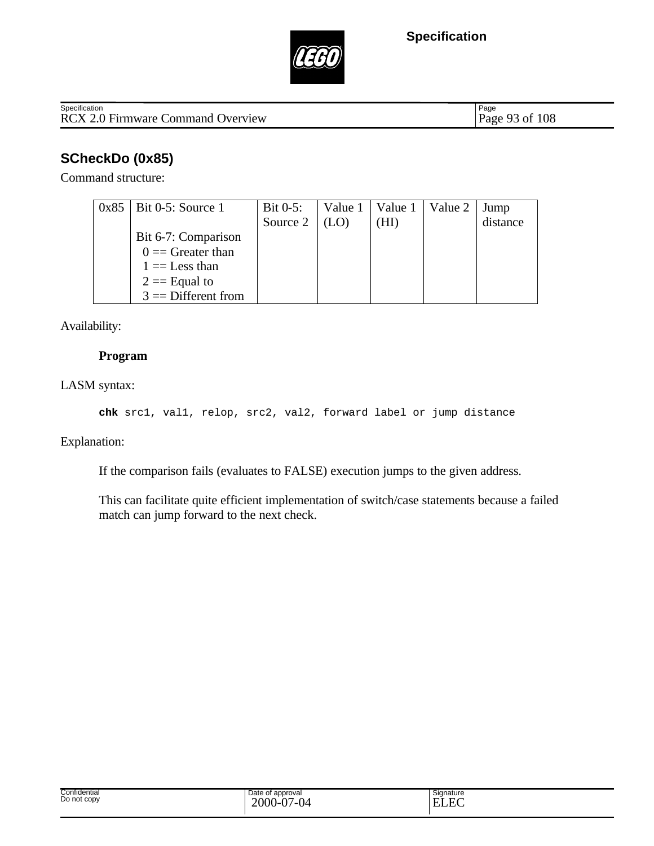

RCX 2.0 Firmware Command Overview Specification

Page 93 of 108

# **SCheckDo (0x85)**

Command structure:

| $0x85$   Bit 0-5: Source 1 | Bit $0-5$ : | Value 1   Value 1 | Value 2 | Jump     |
|----------------------------|-------------|-------------------|---------|----------|
|                            | Source 2    | HI)               |         | distance |
| Bit 6-7: Comparison        |             |                   |         |          |
| $0 =$ Greater than         |             |                   |         |          |
| $1 =$ Less than            |             |                   |         |          |
| $2 ==$ Equal to            |             |                   |         |          |
| $3 =$ Different from       |             |                   |         |          |

Availability:

#### **Program**

LASM syntax:

**chk** src1, val1, relop, src2, val2, forward label or jump distance

Explanation:

If the comparison fails (evaluates to FALSE) execution jumps to the given address.

This can facilitate quite efficient implementation of switch/case statements because a failed match can jump forward to the next check.

| Signature<br>$\Gamma$<br>н.<br>-no |  |
|------------------------------------|--|
|                                    |  |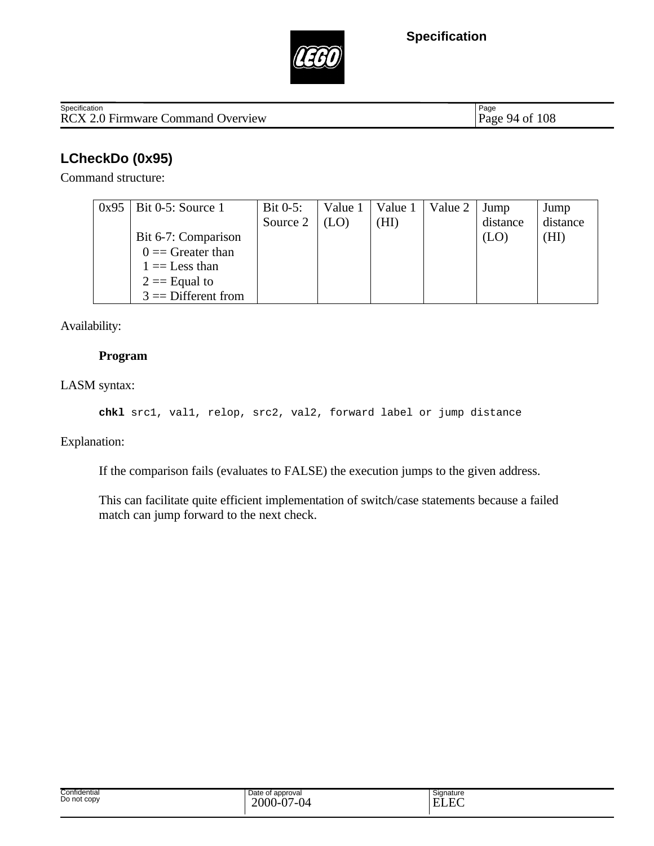

RCX 2.0 Firmware Command Overview Page 94 of 108 Specification

Page

# **LCheckDo (0x95)**

Command structure:

| $0x95$   Bit 0-5: Source 1 | Bit $0-5$ : | Value 1 | Value 1 | Value 2 | Jump     | Jump     |
|----------------------------|-------------|---------|---------|---------|----------|----------|
|                            | Source 2    |         | HI)     |         | distance | distance |
| Bit 6-7: Comparison        |             |         |         |         |          | (HI)     |
| $0 =$ Greater than         |             |         |         |         |          |          |
| $1 =$ Less than            |             |         |         |         |          |          |
| $2 ==$ Equal to            |             |         |         |         |          |          |
| $3 =$ Different from       |             |         |         |         |          |          |

Availability:

#### **Program**

LASM syntax:

**chkl** src1, val1, relop, src2, val2, forward label or jump distance

Explanation:

If the comparison fails (evaluates to FALSE) the execution jumps to the given address.

This can facilitate quite efficient implementation of switch/case statements because a failed match can jump forward to the next check.

| Confidential<br>Do not copy | Date of approval<br>2000-<br>$\Delta$<br>$\sim$<br>v<br>ັ | Signature<br>$\Gamma$<br>. .<br>◡◡ |
|-----------------------------|-----------------------------------------------------------|------------------------------------|
|-----------------------------|-----------------------------------------------------------|------------------------------------|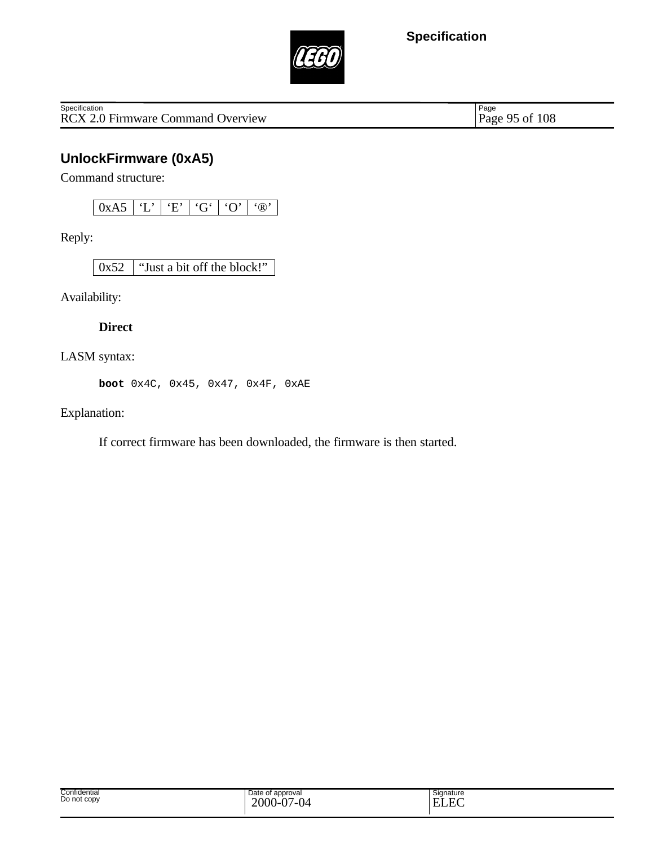

RCX 2.0 Firmware Command Overview **Specification** 

Page 95 of 108

# **UnlockFirmware (0xA5)**

Command structure:

Reply:

0x52 "Just a bit off the block!"

Availability:

**Direct**

LASM syntax:

**boot** 0x4C, 0x45, 0x47, 0x4F, 0xAE

Explanation:

If correct firmware has been downloaded, the firmware is then started.

| Confidential<br>Do not copy | Date of<br>of approval<br>$2000 -$<br>$\Delta$ 0.7<br>7-04<br>v | Signature<br>$\sim$<br>EI<br>. |
|-----------------------------|-----------------------------------------------------------------|--------------------------------|
|-----------------------------|-----------------------------------------------------------------|--------------------------------|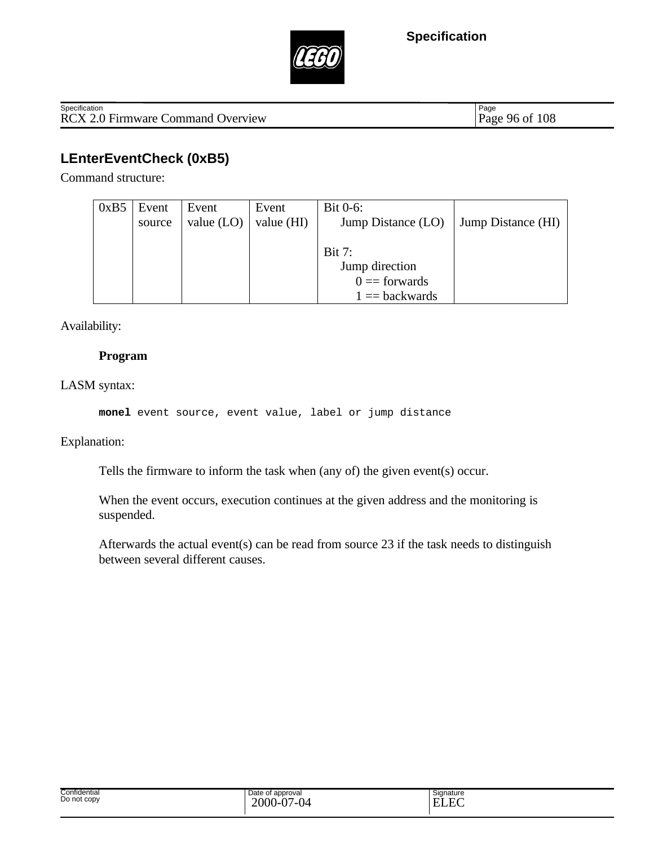



RCX 2.0 Firmware Command Overview Page 96 of 108 Specification

Page

# **LEnterEventCheck (0xB5)**

Command structure:

| 0xB5 | Event  | Event        | Event      | Bit $0-6$ :        |                    |
|------|--------|--------------|------------|--------------------|--------------------|
|      | source | value $(LO)$ | value (HI) | Jump Distance (LO) | Jump Distance (HI) |
|      |        |              |            |                    |                    |
|      |        |              |            | Bit 7:             |                    |
|      |        |              |            | Jump direction     |                    |
|      |        |              |            | $0 =$ forwards     |                    |
|      |        |              |            | $1 = backwards$    |                    |

Availability:

#### **Program**

LASM syntax:

**monel** event source, event value, label or jump distance

Explanation:

Tells the firmware to inform the task when (any of) the given event(s) occur.

When the event occurs, execution continues at the given address and the monitoring is suspended.

Afterwards the actual event(s) can be read from source 23 if the task needs to distinguish between several different causes.

| Confidential<br>Date of approval<br>.<br>Do not copy<br>$\sim$<br>$\sim$<br>2000<br>v<br>v | Signature<br>$\Gamma$<br>-<br>-<br><b>JLA</b> |  |
|--------------------------------------------------------------------------------------------|-----------------------------------------------|--|
|--------------------------------------------------------------------------------------------|-----------------------------------------------|--|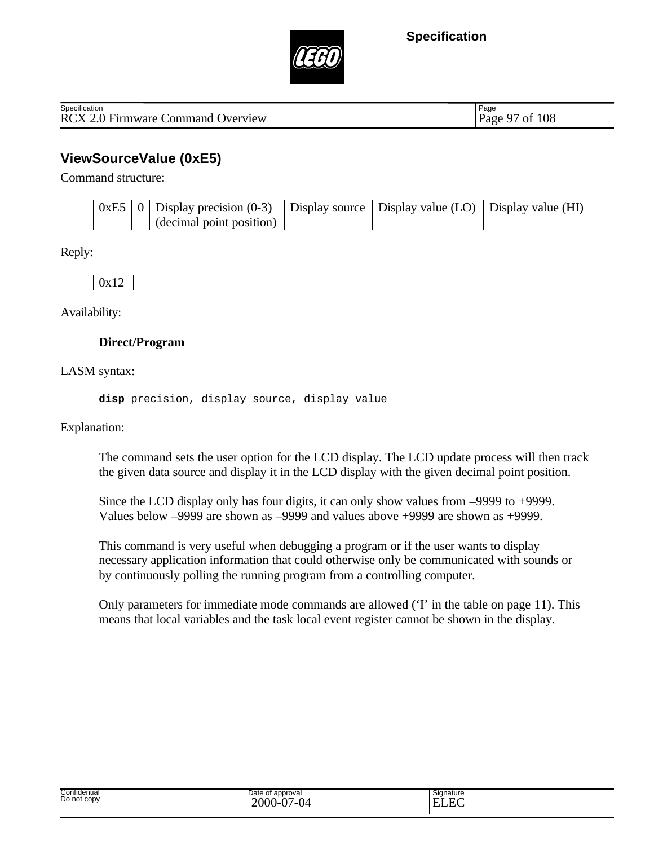



RCX 2.0 Firmware Command Overview Page 97 of 108 **Specification** 

Page

### **ViewSourceValue (0xE5)**

Command structure:

|  | $\vert$ 0xE5 $\vert$ 0 $\vert$ Display precision (0-3) $\vert$ Display source $\vert$ Display value (LO) $\vert$ Display value (HI) |  |  |
|--|-------------------------------------------------------------------------------------------------------------------------------------|--|--|
|  | (decimal point position)                                                                                                            |  |  |

Reply:

0x12

Availability:

#### **Direct/Program**

LASM syntax:

**disp** precision, display source, display value

Explanation:

The command sets the user option for the LCD display. The LCD update process will then track the given data source and display it in the LCD display with the given decimal point position.

Since the LCD display only has four digits, it can only show values from –9999 to +9999. Values below –9999 are shown as –9999 and values above +9999 are shown as +9999.

This command is very useful when debugging a program or if the user wants to display necessary application information that could otherwise only be communicated with sounds or by continuously polling the running program from a controlling computer.

Only parameters for immediate mode commands are allowed ('I' in the table on page 11). This means that local variables and the task local event register cannot be shown in the display.

| Confidential<br>Do not copy | Date of approval<br>$\Delta$<br>$2000 - C$<br>$\sim$<br>$-0/1 - 04$ | ~<br>Signature<br>$\sim$<br>. . |
|-----------------------------|---------------------------------------------------------------------|---------------------------------|
|-----------------------------|---------------------------------------------------------------------|---------------------------------|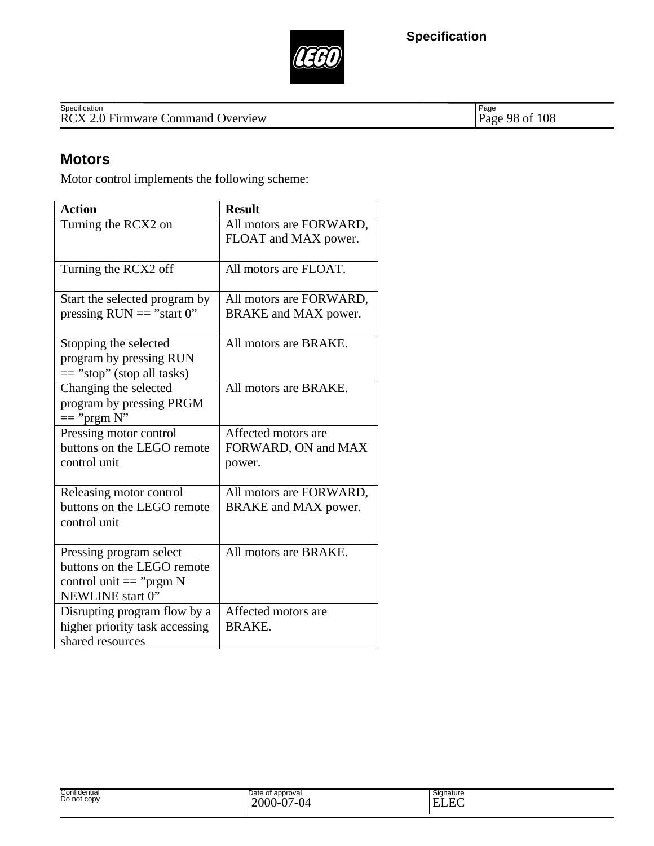



Specification<br>
RCX 2.0 Firmware Command Overview Page 98 of 108

Page 98 of 108

### **Motors**

Motor control implements the following scheme:

| <b>Action</b>                  | <b>Result</b>           |
|--------------------------------|-------------------------|
| Turning the RCX2 on            | All motors are FORWARD, |
|                                | FLOAT and MAX power.    |
|                                |                         |
| Turning the RCX2 off           | All motors are FLOAT.   |
|                                |                         |
| Start the selected program by  | All motors are FORWARD, |
| pressing $RUN == "start 0"$    | BRAKE and MAX power.    |
| Stopping the selected          | All motors are BRAKE.   |
| program by pressing RUN        |                         |
| $==$ "stop" (stop all tasks)   |                         |
| Changing the selected          | All motors are BRAKE.   |
| program by pressing PRGM       |                         |
| $==$ "prgm N"                  |                         |
| Pressing motor control         | Affected motors are     |
| buttons on the LEGO remote     | FORWARD, ON and MAX     |
| control unit                   | power.                  |
|                                |                         |
| Releasing motor control        | All motors are FORWARD, |
| buttons on the LEGO remote     | BRAKE and MAX power.    |
| control unit                   |                         |
|                                |                         |
| Pressing program select        | All motors are BRAKE.   |
| buttons on the LEGO remote     |                         |
| control unit $==$ " $prgm N$   |                         |
| NEWLINE start 0"               |                         |
| Disrupting program flow by a   | Affected motors are     |
| higher priority task accessing | <b>BRAKE.</b>           |
| shared resources               |                         |

| Confidential | Date of approval        | Signature                                                                    |
|--------------|-------------------------|------------------------------------------------------------------------------|
| Do not copy  | $7 - 04$<br>2000-<br>v. | E<br>$\overline{\phantom{0}}$<br>. .<br>Ð<br>.<br>$\sim$ . The set of $\sim$ |
|              |                         |                                                                              |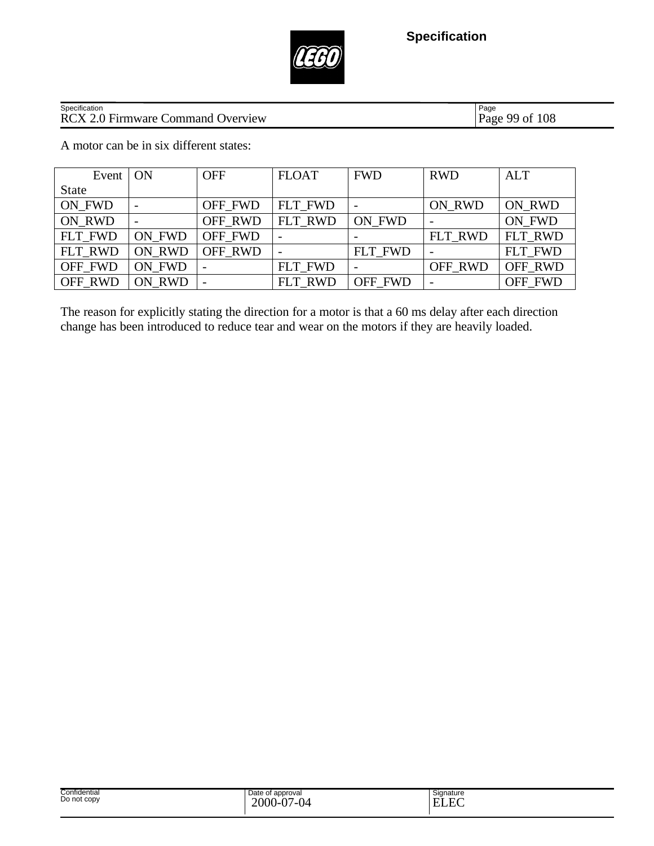

# Specification<br>
RCX 2.0 Firmware Command Overview Page 99 of 108

Page 99 of 108

A motor can be in six different states:

| Event        | ON     | <b>OFF</b>     | <b>FLOAT</b>   | <b>FWD</b> | <b>RWD</b> | <b>ALT</b> |
|--------------|--------|----------------|----------------|------------|------------|------------|
| <b>State</b> |        |                |                |            |            |            |
| ON FWD       |        | OFF FWD        | FLT FWD        |            | ON RWD     | ON RWD     |
| ON RWD       |        | OFF RWD        | FLT RWD        | ON FWD     |            | ON FWD     |
| FLT_FWD      | ON FWD | OFF FWD        |                |            | FLT RWD    | FLT RWD    |
| FLT_RWD      | ON RWD | <b>OFF RWD</b> |                | FLT FWD    |            | FLT FWD    |
| OFF FWD      | ON FWD |                | FLT FWD        |            | OFF_RWD    | OFF RWD    |
| OFF RWD      | ON RWD |                | <b>FLT RWD</b> | OFF FWD    |            | OFF FWD    |

The reason for explicitly stating the direction for a motor is that a 60 ms delay after each direction change has been introduced to reduce tear and wear on the motors if they are heavily loaded.

| Confidential<br>Date of approval<br>Signature<br>Do not copy<br>$\Gamma$<br>$\Delta$<br>2000<br>$\sim$<br>--<br>н<br>.<br>பட<br>17 |  |
|------------------------------------------------------------------------------------------------------------------------------------|--|
|------------------------------------------------------------------------------------------------------------------------------------|--|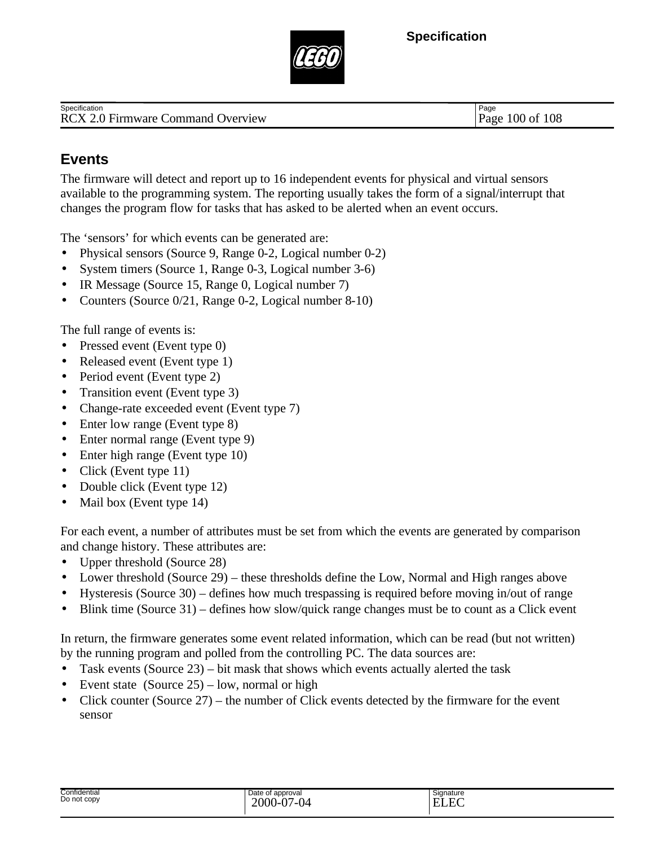

RCX 2.0 Firmware Command Overview Page 100 of 108 **Specification** 

Page

# **Events**

The firmware will detect and report up to 16 independent events for physical and virtual sensors available to the programming system. The reporting usually takes the form of a signal/interrupt that changes the program flow for tasks that has asked to be alerted when an event occurs.

The 'sensors' for which events can be generated are:

- Physical sensors (Source 9, Range 0-2, Logical number 0-2)
- System timers (Source 1, Range 0-3, Logical number 3-6)
- IR Message (Source 15, Range 0, Logical number 7)
- Counters (Source 0/21, Range 0-2, Logical number 8-10)

The full range of events is:

- Pressed event (Event type 0)
- Released event (Event type 1)
- Period event (Event type 2)
- Transition event (Event type 3)
- Change-rate exceeded event (Event type 7)
- Enter low range (Event type 8)
- Enter normal range (Event type 9)
- Enter high range (Event type 10)
- Click (Event type 11)
- Double click (Event type 12)
- Mail box (Event type 14)

For each event, a number of attributes must be set from which the events are generated by comparison and change history. These attributes are:

- Upper threshold (Source 28)
- Lower threshold (Source 29) these thresholds define the Low, Normal and High ranges above
- Hysteresis (Source 30) defines how much trespassing is required before moving in/out of range
- Blink time (Source 31) defines how slow/quick range changes must be to count as a Click event

In return, the firmware generates some event related information, which can be read (but not written) by the running program and polled from the controlling PC. The data sources are:

- Task events (Source 23) bit mask that shows which events actually alerted the task
- Event state (Source  $25$ ) low, normal or high
- Click counter (Source  $27$ ) the number of Click events detected by the firmware for the event sensor

| Confidential<br>Do not copy | Date of approval<br>2000<br>'-04<br>--<br>v | Signature<br>$\Gamma$<br>–<br>. .<br>--<br>-<br>cec |
|-----------------------------|---------------------------------------------|-----------------------------------------------------|
|-----------------------------|---------------------------------------------|-----------------------------------------------------|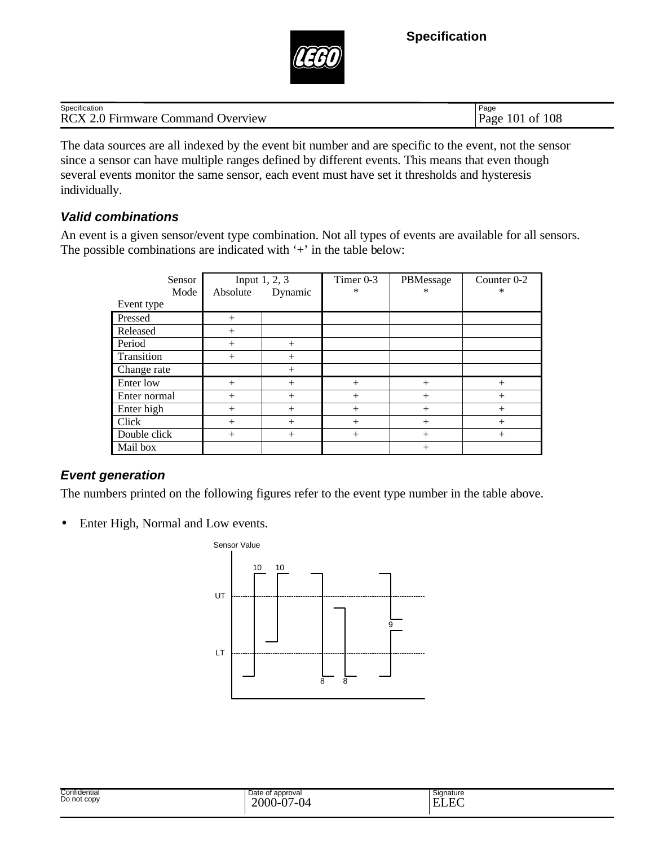

| $\cdot$ .<br>Specification                              | Page                              |
|---------------------------------------------------------|-----------------------------------|
| $\Omega$ Fi<br>RCX2<br>Jverview<br>.\ommand<br>Firmware | 108<br>$10^{\circ}$<br>0İ<br>Page |

The data sources are all indexed by the event bit number and are specific to the event, not the sensor since a sensor can have multiple ranges defined by different events. This means that even though several events monitor the same sensor, each event must have set it thresholds and hysteresis individually.

### *Valid combinations*

An event is a given sensor/event type combination. Not all types of events are available for all sensors. The possible combinations are indicated with '+' in the table below:

| Sensor       | Input $1, 2, 3$ |         | Timer $0-3$ | PBMessage | Counter 0-2 |
|--------------|-----------------|---------|-------------|-----------|-------------|
| Mode         | Absolute        | Dynamic | $\ast$      | $\ast$    | ∗           |
| Event type   |                 |         |             |           |             |
| Pressed      | $+$             |         |             |           |             |
| Released     | $+$             |         |             |           |             |
| Period       | $^{+}$          | $+$     |             |           |             |
| Transition   | $+$             | $^{+}$  |             |           |             |
| Change rate  |                 | $^{+}$  |             |           |             |
| Enter low    | $+$             | $^{+}$  | $^{+}$      | $^{+}$    | $^{+}$      |
| Enter normal | $^{+}$          | $^{+}$  | $^{+}$      | $^{+}$    | $^{+}$      |
| Enter high   | $^{+}$          | $^{+}$  | $^{+}$      | $^{+}$    | $^{+}$      |
| Click        | $+$             | $^{+}$  | $^{+}$      | $^{+}$    | $^{+}$      |
| Double click | $+$             | $^{+}$  | $^{+}$      | $^{+}$    | $^{+}$      |
| Mail box     |                 |         |             | $^{+}$    |             |

### *Event generation*

The numbers printed on the following figures refer to the event type number in the table above.

• Enter High, Normal and Low events.



| Confidential<br>Do not copy | Date of approval<br>$\overline{2}$<br>$\sim$<br>$2000 - C$<br>$\sqrt{2}$<br>υΨ<br>◡ | Signature<br>-<br>$\sqrt{2}$<br>--<br>н<br>———— |
|-----------------------------|-------------------------------------------------------------------------------------|-------------------------------------------------|
|                             |                                                                                     |                                                 |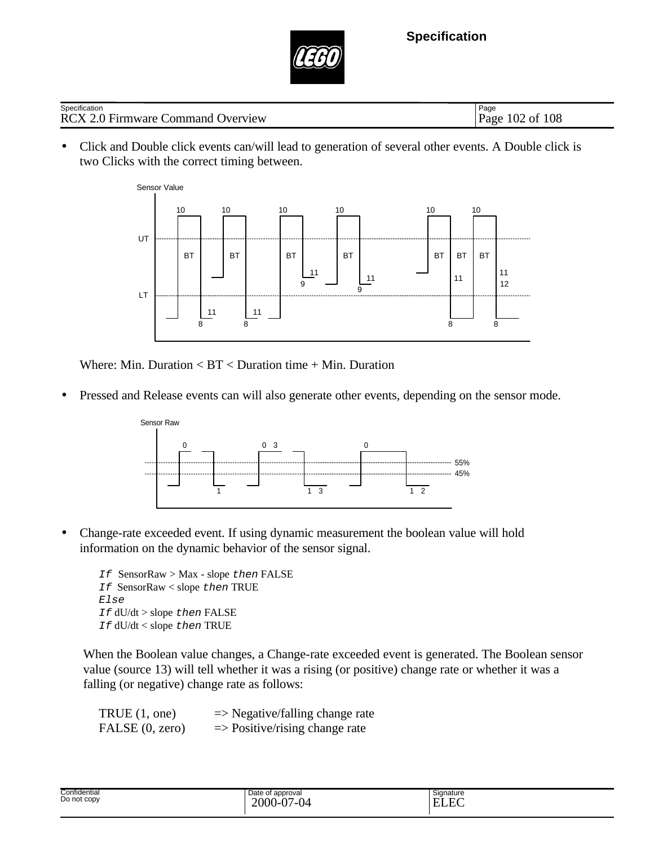

| Specification                            | Page                       |
|------------------------------------------|----------------------------|
| <b>RCX 2.0 Firmware Command Overview</b> | งf 108<br>$102$ of<br>Page |

• Click and Double click events can/will lead to generation of several other events. A Double click is two Clicks with the correct timing between.



Where: Min. Duration < BT < Duration time + Min. Duration

• Pressed and Release events can will also generate other events, depending on the sensor mode.



• Change-rate exceeded event. If using dynamic measurement the boolean value will hold information on the dynamic behavior of the sensor signal.

*If* SensorRaw > Max - slope *then* FALSE *If* SensorRaw < slope *then* TRUE *Else If* dU/dt > slope *then* FALSE *If* dU/dt < slope *then* TRUE

When the Boolean value changes, a Change-rate exceeded event is generated. The Boolean sensor value (source 13) will tell whether it was a rising (or positive) change rate or whether it was a falling (or negative) change rate as follows:

| TRUE $(1, one)$ | $\Rightarrow$ Negative/falling change rate |
|-----------------|--------------------------------------------|
| FALSE (0, zero) | $\Rightarrow$ Positive/rising change rate  |

| Confidential<br>Do not copy | Date of approval<br>$\sim$<br>$\sim$<br>2000<br>$\mathsf{U}^{\mathcal{A}}$<br>.<br>. .<br>-υ. | $\overline{\phantom{a}}$<br>Signature<br>$\Gamma$<br><b>TT</b><br>н<br>LLL |  |
|-----------------------------|-----------------------------------------------------------------------------------------------|----------------------------------------------------------------------------|--|
|-----------------------------|-----------------------------------------------------------------------------------------------|----------------------------------------------------------------------------|--|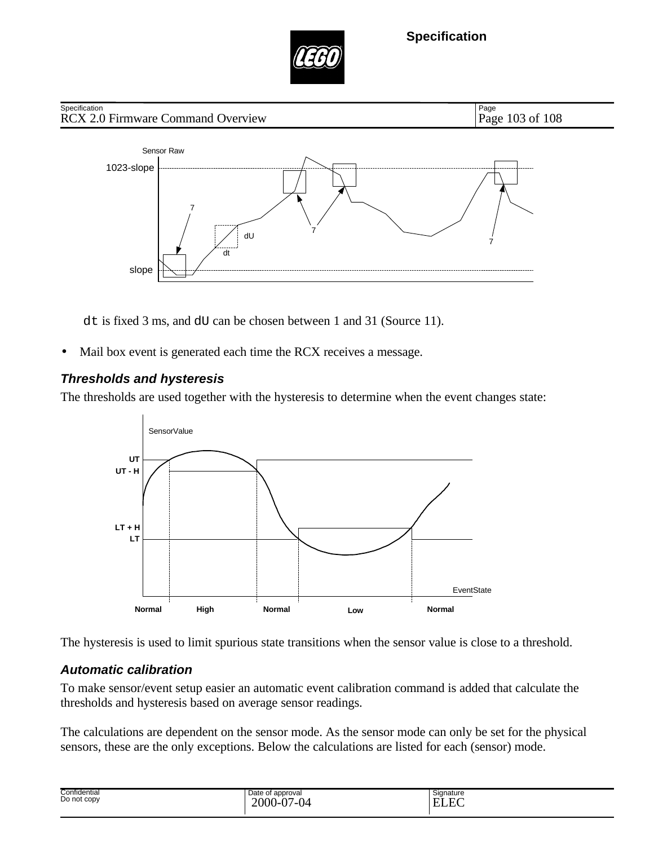



dt is fixed 3 ms, and dU can be chosen between 1 and 31 (Source 11).

• Mail box event is generated each time the RCX receives a message.

### *Thresholds and hysteresis*

The thresholds are used together with the hysteresis to determine when the event changes state:



The hysteresis is used to limit spurious state transitions when the sensor value is close to a threshold.

### *Automatic calibration*

To make sensor/event setup easier an automatic event calibration command is added that calculate the thresholds and hysteresis based on average sensor readings.

The calculations are dependent on the sensor mode. As the sensor mode can only be set for the physical sensors, these are the only exceptions. Below the calculations are listed for each (sensor) mode.

| Confidential<br>Do not copy | Date of approval<br>2000-<br>'-04<br>∩−<br>ັ | Sianature<br>$\Gamma$<br>-<br>-<br>_____ |
|-----------------------------|----------------------------------------------|------------------------------------------|
|-----------------------------|----------------------------------------------|------------------------------------------|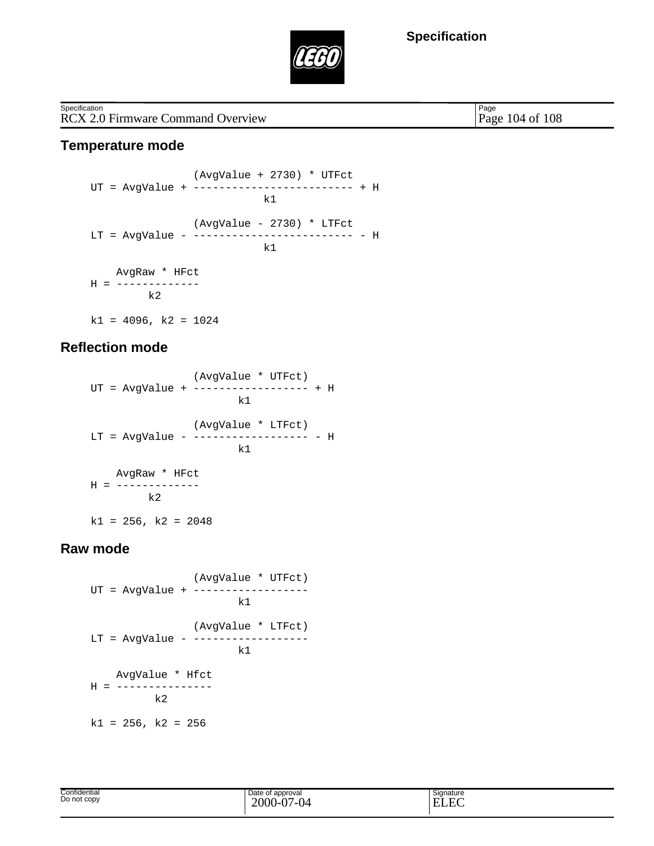

RCX 2.0 Firmware Command Overview Page 104 of 108 **Specification** 

Page

#### **Temperature mode**

 (AvgValue + 2730) \* UTFct  $\text{UT} \; = \; \text{AvgValue} \; + \; \text{---} \; - \text{---} \; - \text{---} \; - \text{---} \; + \; \text{H} \; \\ \text{k1}$ k<sup>1</sup> (AvgValue - 2730) \* LTFct LT = AvgValue - ------------------------- - H k<sup>1</sup> AvgRaw \* HFct H = ------------  $k2$  $k1 = 4096$ ,  $k2 = 1024$ 

#### **Reflection mode**

 (AvgValue \* UTFct) UT = AvgValue + ------------------ + H k<sup>1</sup> (AvgValue \* LTFct) LT = AvgValue - ------------------ - H k1 AvgRaw \* HFct H = ------------  $k2$  $k1 = 256$ ,  $k2 = 2048$ 

#### **Raw mode**

 (AvgValue \* UTFct) UT = AvgValue + ----------------- k1 (AvgValue \* LTFct) LT = AvgValue - ----------------- k<sup>1</sup> AvgValue \* Hfct  $H =$  --------------- k2  $k1 = 256$ ,  $k2 = 256$ 

| Confidential | of approval<br>Date             | Signature |
|--------------|---------------------------------|-----------|
| Do not copy  | $\sim$<br>( )(<br>IΔ<br>$\cdot$ | н         |
|              |                                 |           |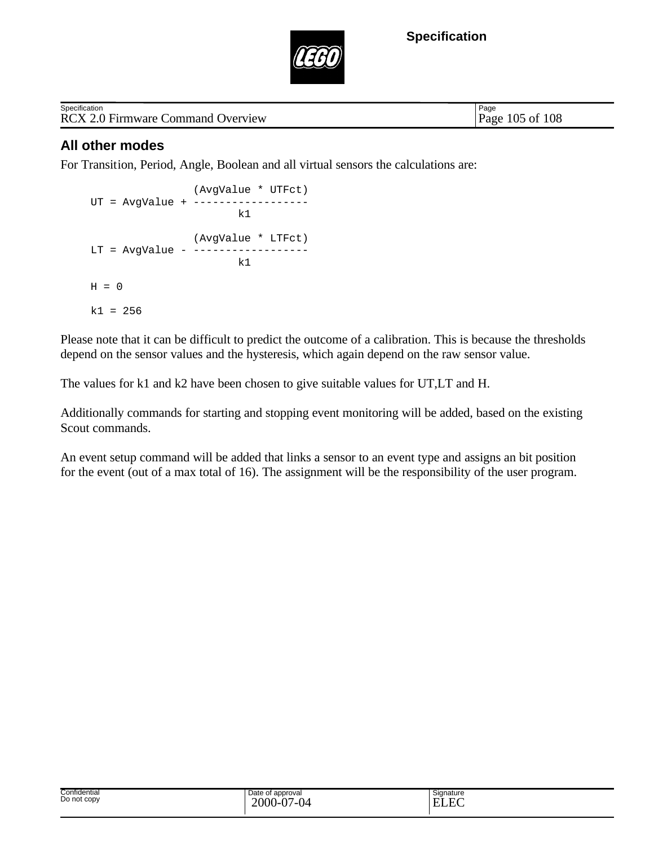

| Specification                            |  |
|------------------------------------------|--|
| <b>RCX 2.0 Firmware Command Overview</b> |  |

Page 105 of 108 Page

### **All other modes**

For Transition, Period, Angle, Boolean and all virtual sensors the calculations are:

 (AvgValue \* UTFct) UT = AvgValue + ----------------- k<sup>1</sup> (AvgValue \* LTFct)  $LT = AyqValue - - - - - - - - - - - - - -$  $k1$  $H = 0$  $k1 = 256$ 

Please note that it can be difficult to predict the outcome of a calibration. This is because the thresholds depend on the sensor values and the hysteresis, which again depend on the raw sensor value.

The values for k1 and k2 have been chosen to give suitable values for UT,LT and H.

Additionally commands for starting and stopping event monitoring will be added, based on the existing Scout commands.

An event setup command will be added that links a sensor to an event type and assigns an bit position for the event (out of a max total of 16). The assignment will be the responsibility of the user program.

| Confidential<br>.<br>Do not copy<br>$\cdots$ | approvai<br>late.<br>$\cdot$<br>. | Signature |
|----------------------------------------------|-----------------------------------|-----------|
|                                              |                                   |           |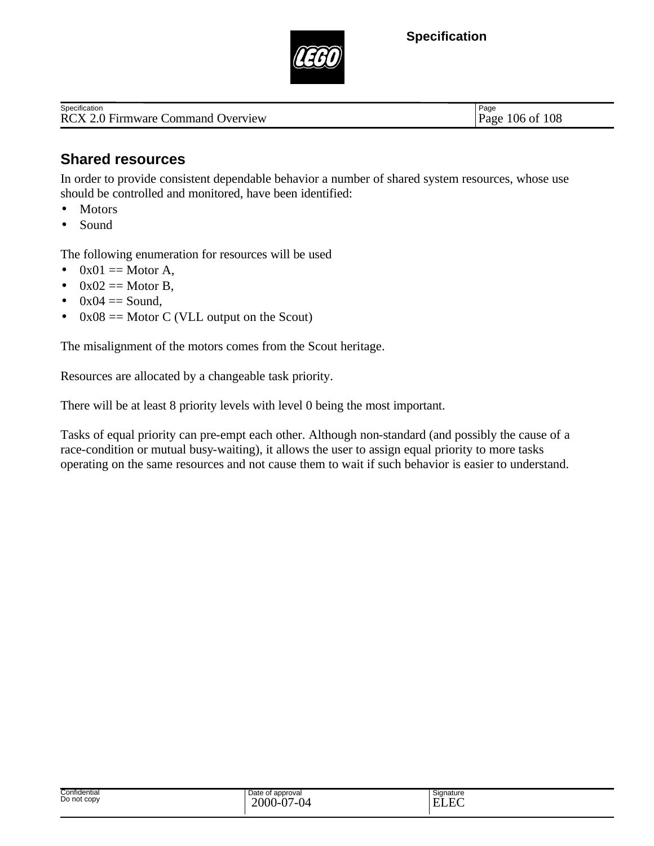

RCX 2.0 Firmware Command Overview Page 106 of 108 **Specification** 

Page

### **Shared resources**

In order to provide consistent dependable behavior a number of shared system resources, whose use should be controlled and monitored, have been identified:

- Motors
- Sound

The following enumeration for resources will be used

- $0x01 ==$  Motor A,
- $0x02 ==$  Motor B,
- $\bullet$  0x04 = Sound,
- $0x08 ==$  Motor C (VLL output on the Scout)

The misalignment of the motors comes from the Scout heritage.

Resources are allocated by a changeable task priority.

There will be at least 8 priority levels with level 0 being the most important.

Tasks of equal priority can pre-empt each other. Although non-standard (and possibly the cause of a race-condition or mutual busy-waiting), it allows the user to assign equal priority to more tasks operating on the same resources and not cause them to wait if such behavior is easier to understand.

| Confidential<br>.<br>Do not copy<br>. | approval<br>Jate<br>$\overline{\phantom{0}}$<br>. . | Signature<br>$\overline{\phantom{0}}$ |
|---------------------------------------|-----------------------------------------------------|---------------------------------------|
|                                       |                                                     |                                       |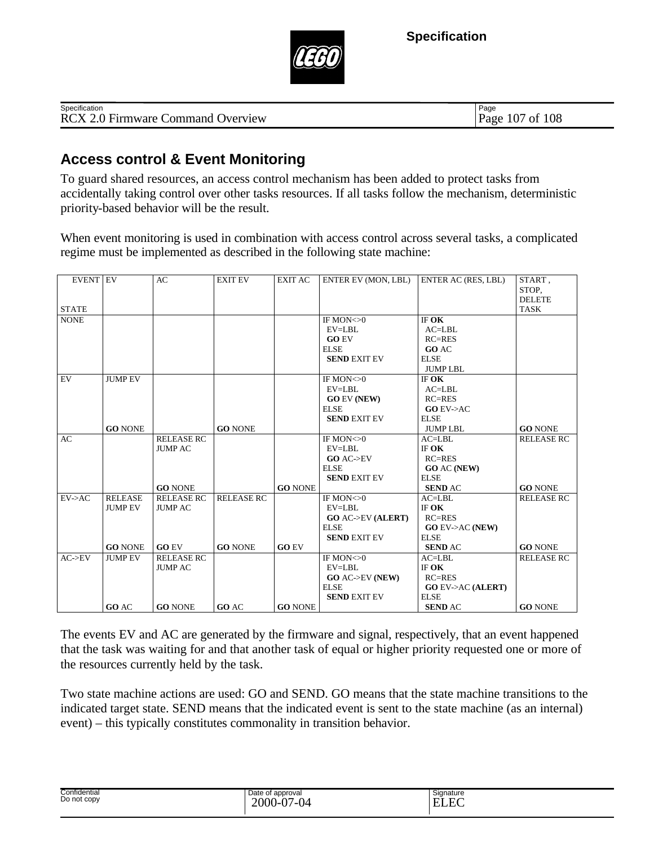

| Specification                          | Page                                   |
|----------------------------------------|----------------------------------------|
| RCX 2.0 Firmware C<br>Command Overview | 108<br>10 <sup>7</sup><br>Page<br>- of |

### **Access control & Event Monitoring**

To guard shared resources, an access control mechanism has been added to protect tasks from accidentally taking control over other tasks resources. If all tasks follow the mechanism, deterministic priority-based behavior will be the result.

When event monitoring is used in combination with access control across several tasks, a complicated regime must be implemented as described in the following state machine:

| <b>EVENT EV</b> |                | AC                | <b>EXIT EV</b>    | EXIT AC        | ENTER EV (MON, LBL)         | ENTER AC (RES, LBL)         | START,            |
|-----------------|----------------|-------------------|-------------------|----------------|-----------------------------|-----------------------------|-------------------|
|                 |                |                   |                   |                |                             |                             | STOP.             |
|                 |                |                   |                   |                |                             |                             | <b>DELETE</b>     |
| <b>STATE</b>    |                |                   |                   |                |                             |                             | <b>TASK</b>       |
| <b>NONE</b>     |                |                   |                   |                | IF MON $<$ $>0$             | IF OK                       |                   |
|                 |                |                   |                   |                | EV=LBL                      | $AC = LBL$                  |                   |
|                 |                |                   |                   |                | <b>GO EV</b>                | $RC = RES$                  |                   |
|                 |                |                   |                   |                | <b>ELSE</b>                 | <b>GO AC</b>                |                   |
|                 |                |                   |                   |                | <b>SEND EXIT EV</b>         | <b>ELSE</b>                 |                   |
|                 |                |                   |                   |                |                             | <b>JUMPLBL</b>              |                   |
| EV              | <b>JUMP EV</b> |                   |                   |                | IF MON $<$ -0               | IF OK                       |                   |
|                 |                |                   |                   |                | EV=LBL                      | $AC=LBL$                    |                   |
|                 |                |                   |                   |                | <b>GO EV (NEW)</b>          | $RC = RES$                  |                   |
|                 |                |                   |                   |                | <b>ELSE</b>                 | $GO$ EV- $>A$ C             |                   |
|                 |                |                   |                   |                | <b>SEND EXIT EV</b>         | <b>ELSE</b>                 |                   |
|                 | <b>GO NONE</b> |                   | <b>GO NONE</b>    |                |                             | <b>JUMPLBL</b>              | <b>GO NONE</b>    |
| AC              |                | <b>RELEASE RC</b> |                   |                | IF MON $<$ -0               | $AC=LBL$                    | <b>RELEASE RC</b> |
|                 |                | <b>JUMP AC</b>    |                   |                | EV=LBL                      | IF OK                       |                   |
|                 |                |                   |                   |                | GO AC > EV                  | $RC = RES$                  |                   |
|                 |                |                   |                   |                | <b>ELSE</b>                 | <b>GO AC (NEW)</b>          |                   |
|                 |                |                   |                   |                | <b>SEND EXIT EV</b>         | <b>ELSE</b>                 |                   |
|                 |                | <b>GO NONE</b>    |                   | <b>GO NONE</b> |                             | <b>SEND AC</b>              | <b>GO NONE</b>    |
| EV > AC         | <b>RELEASE</b> | <b>RELEASE RC</b> | <b>RELEASE RC</b> |                | IF MON $<$ -0               | $AC = LBL$                  | <b>RELEASE RC</b> |
|                 | <b>JUMP EV</b> | <b>JUMP AC</b>    |                   |                | EV=LBL                      | IF OK                       |                   |
|                 |                |                   |                   |                | <b>GO AC-&gt;EV (ALERT)</b> | $RC = RES$                  |                   |
|                 |                |                   |                   |                | <b>ELSE</b>                 | <b>GO EV-&gt;AC (NEW)</b>   |                   |
|                 |                |                   |                   |                | <b>SEND EXIT EV</b>         | <b>ELSE</b>                 |                   |
|                 | <b>GO NONE</b> | <b>GO EV</b>      | <b>GO NONE</b>    | <b>GO EV</b>   |                             | <b>SEND AC</b>              | <b>GO NONE</b>    |
| AC > EV         | <b>JUMP EV</b> | <b>RELEASE RC</b> |                   |                | IF MON $<$ -0               | $AC = LBL$                  | <b>RELEASE RC</b> |
|                 |                | <b>JUMP AC</b>    |                   |                | EV=LBL                      | IF OK                       |                   |
|                 |                |                   |                   |                | <b>GO AC-&gt;EV (NEW)</b>   | $RC=RES$                    |                   |
|                 |                |                   |                   |                | <b>ELSE</b>                 | <b>GO EV-&gt;AC (ALERT)</b> |                   |
|                 |                |                   |                   |                | <b>SEND EXIT EV</b>         | <b>ELSE</b>                 |                   |
|                 | GO AC          | <b>GO NONE</b>    | <b>GO AC</b>      | <b>GO NONE</b> |                             | <b>SEND AC</b>              | <b>GO NONE</b>    |

The events EV and AC are generated by the firmware and signal, respectively, that an event happened that the task was waiting for and that another task of equal or higher priority requested one or more of the resources currently held by the task.

Two state machine actions are used: GO and SEND. GO means that the state machine transitions to the indicated target state. SEND means that the indicated event is sent to the state machine (as an internal) event) – this typically constitutes commonality in transition behavior.

| Confidential<br>Do not copy | Date of approval<br>$\sim$<br>7-04<br>2000<br>-- | Signature<br>$\tilde{}$<br>E<br>$\overline{\phantom{0}}$<br>.<br>п.<br>.<br>LIJIN. |
|-----------------------------|--------------------------------------------------|------------------------------------------------------------------------------------|
|-----------------------------|--------------------------------------------------|------------------------------------------------------------------------------------|